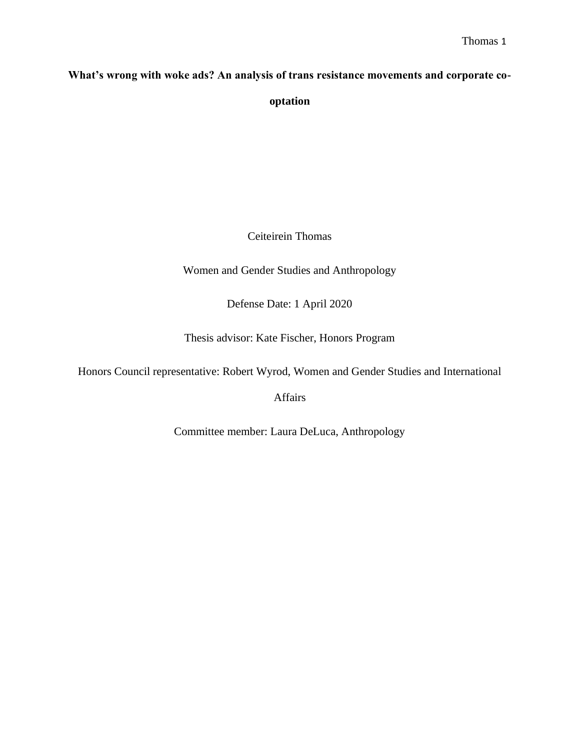### **What's wrong with woke ads? An analysis of trans resistance movements and corporate co-**

**optation**

Ceiteirein Thomas

Women and Gender Studies and Anthropology

Defense Date: 1 April 2020

Thesis advisor: Kate Fischer, Honors Program

Honors Council representative: Robert Wyrod, Women and Gender Studies and International

Affairs

Committee member: Laura DeLuca, Anthropology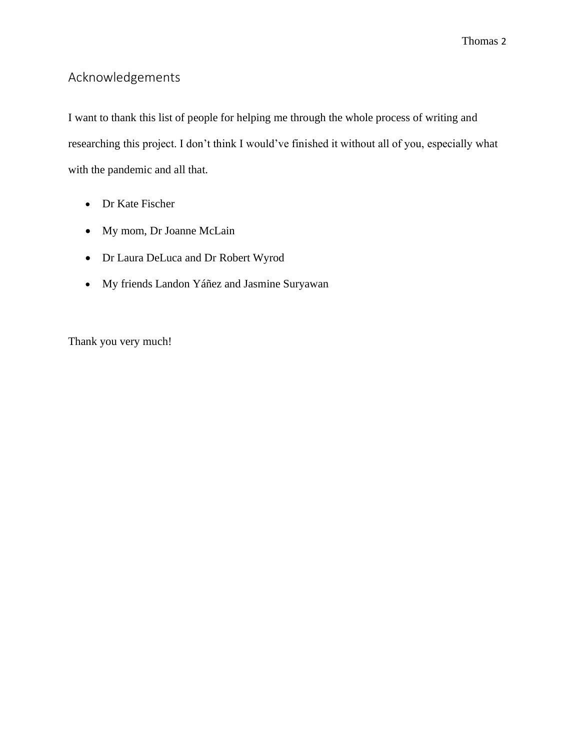## Acknowledgements

I want to thank this list of people for helping me through the whole process of writing and researching this project. I don't think I would've finished it without all of you, especially what with the pandemic and all that.

- Dr Kate Fischer
- My mom, Dr Joanne McLain
- Dr Laura DeLuca and Dr Robert Wyrod
- My friends Landon Yáñez and Jasmine Suryawan

Thank you very much!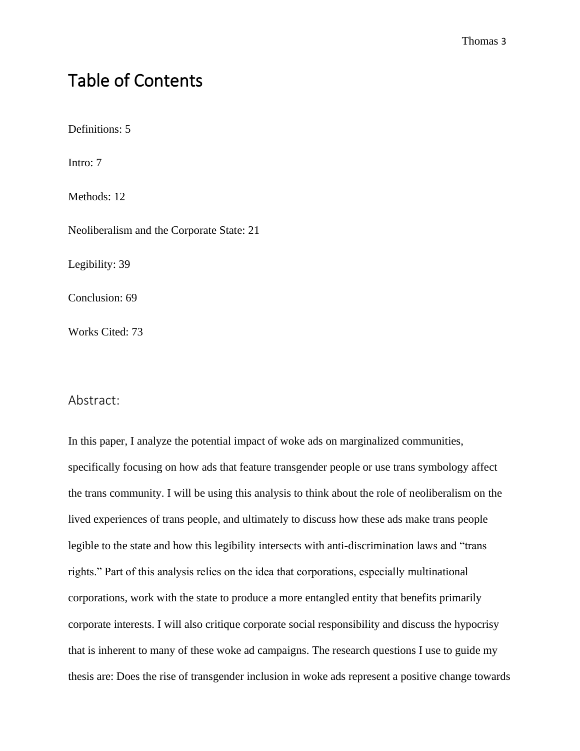# Table of Contents

Definitions: 5

Intro: 7

Methods: 12

Neoliberalism and the Corporate State: 21

Legibility: 39

Conclusion: 69

Works Cited: 73

#### Abstract:

In this paper, I analyze the potential impact of woke ads on marginalized communities, specifically focusing on how ads that feature transgender people or use trans symbology affect the trans community. I will be using this analysis to think about the role of neoliberalism on the lived experiences of trans people, and ultimately to discuss how these ads make trans people legible to the state and how this legibility intersects with anti-discrimination laws and "trans rights." Part of this analysis relies on the idea that corporations, especially multinational corporations, work with the state to produce a more entangled entity that benefits primarily corporate interests. I will also critique corporate social responsibility and discuss the hypocrisy that is inherent to many of these woke ad campaigns. The research questions I use to guide my thesis are: Does the rise of transgender inclusion in woke ads represent a positive change towards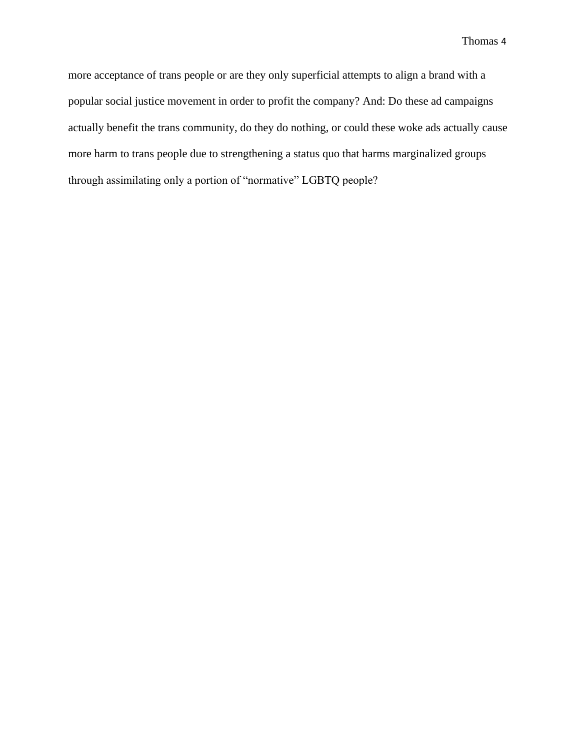more acceptance of trans people or are they only superficial attempts to align a brand with a popular social justice movement in order to profit the company? And: Do these ad campaigns actually benefit the trans community, do they do nothing, or could these woke ads actually cause more harm to trans people due to strengthening a status quo that harms marginalized groups through assimilating only a portion of "normative" LGBTQ people?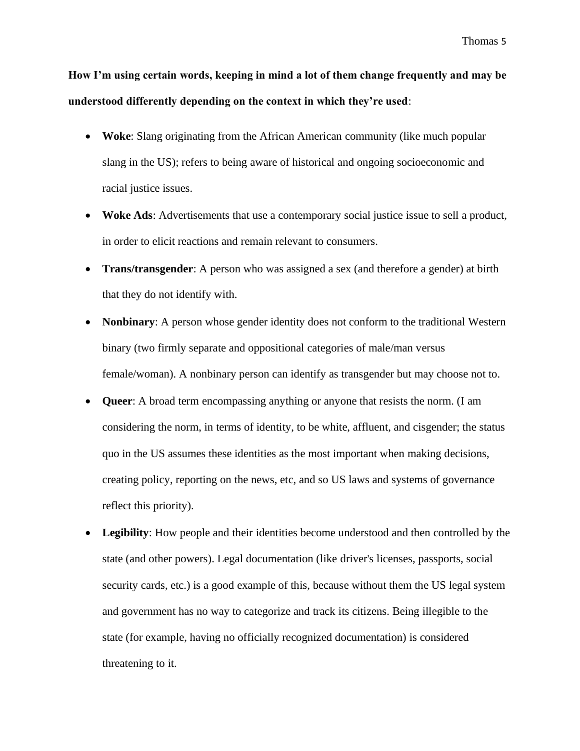**How I'm using certain words, keeping in mind a lot of them change frequently and may be understood differently depending on the context in which they're used**:

- **Woke**: Slang originating from the African American community (like much popular slang in the US); refers to being aware of historical and ongoing socioeconomic and racial justice issues.
- **Woke Ads:** Advertisements that use a contemporary social justice issue to sell a product, in order to elicit reactions and remain relevant to consumers.
- **Trans/transgender**: A person who was assigned a sex (and therefore a gender) at birth that they do not identify with.
- **Nonbinary:** A person whose gender identity does not conform to the traditional Western binary (two firmly separate and oppositional categories of male/man versus female/woman). A nonbinary person can identify as transgender but may choose not to.
- **Queer**: A broad term encompassing anything or anyone that resists the norm. (I am considering the norm, in terms of identity, to be white, affluent, and cisgender; the status quo in the US assumes these identities as the most important when making decisions, creating policy, reporting on the news, etc, and so US laws and systems of governance reflect this priority).
- **Legibility**: How people and their identities become understood and then controlled by the state (and other powers). Legal documentation (like driver's licenses, passports, social security cards, etc.) is a good example of this, because without them the US legal system and government has no way to categorize and track its citizens. Being illegible to the state (for example, having no officially recognized documentation) is considered threatening to it.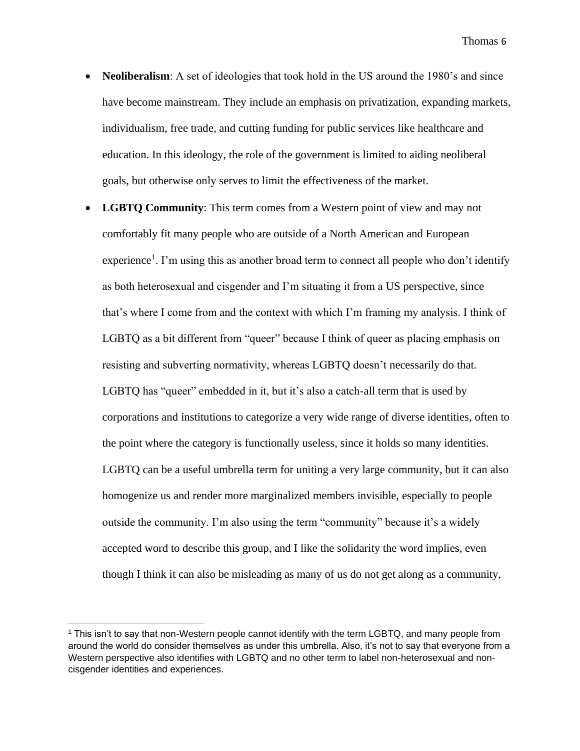- **Neoliberalism**: A set of ideologies that took hold in the US around the 1980's and since have become mainstream. They include an emphasis on privatization, expanding markets, individualism, free trade, and cutting funding for public services like healthcare and education. In this ideology, the role of the government is limited to aiding neoliberal goals, but otherwise only serves to limit the effectiveness of the market.
- **LGBTQ Community**: This term comes from a Western point of view and may not comfortably fit many people who are outside of a North American and European experience<sup>1</sup>. I'm using this as another broad term to connect all people who don't identify as both heterosexual and cisgender and I'm situating it from a US perspective, since that's where I come from and the context with which I'm framing my analysis. I think of LGBTQ as a bit different from "queer" because I think of queer as placing emphasis on resisting and subverting normativity, whereas LGBTQ doesn't necessarily do that. LGBTQ has "queer" embedded in it, but it's also a catch-all term that is used by corporations and institutions to categorize a very wide range of diverse identities, often to the point where the category is functionally useless, since it holds so many identities. LGBTQ can be a useful umbrella term for uniting a very large community, but it can also homogenize us and render more marginalized members invisible, especially to people outside the community. I'm also using the term "community" because it's a widely accepted word to describe this group, and I like the solidarity the word implies, even though I think it can also be misleading as many of us do not get along as a community,

<sup>1</sup> This isn't to say that non-Western people cannot identify with the term LGBTQ, and many people from around the world do consider themselves as under this umbrella. Also, it's not to say that everyone from a Western perspective also identifies with LGBTQ and no other term to label non-heterosexual and noncisgender identities and experiences.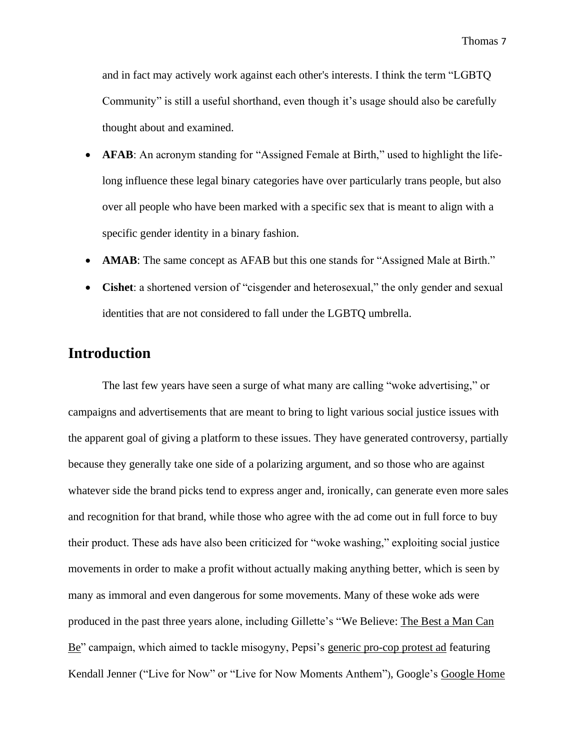and in fact may actively work against each other's interests. I think the term "LGBTQ Community" is still a useful shorthand, even though it's usage should also be carefully thought about and examined.

- **AFAB:** An acronym standing for "Assigned Female at Birth," used to highlight the lifelong influence these legal binary categories have over particularly trans people, but also over all people who have been marked with a specific sex that is meant to align with a specific gender identity in a binary fashion.
- **AMAB**: The same concept as AFAB but this one stands for "Assigned Male at Birth."
- **Cishet**: a shortened version of "cisgender and heterosexual," the only gender and sexual identities that are not considered to fall under the LGBTQ umbrella.

## **Introduction**

The last few years have seen a surge of what many are calling "woke advertising," or campaigns and advertisements that are meant to bring to light various social justice issues with the apparent goal of giving a platform to these issues. They have generated controversy, partially because they generally take one side of a polarizing argument, and so those who are against whatever side the brand picks tend to express anger and, ironically, can generate even more sales and recognition for that brand, while those who agree with the ad come out in full force to buy their product. These ads have also been criticized for "woke washing," exploiting social justice movements in order to make a profit without actually making anything better, which is seen by many as immoral and even dangerous for some movements. Many of these woke ads were produced in the past three years alone, including Gillette's "We Believe: [The Best a Man Can](https://www.youtube.com/watch?v=koPmuEyP3a0)  [Be"](https://www.youtube.com/watch?v=koPmuEyP3a0) campaign, which aimed to tackle misogyny, Pepsi's [generic pro-cop protest ad](https://www.youtube.com/watch?time_continue=1&v=dA5Yq1DLSmQ&feature=emb_logo) featuring Kendall Jenner ("Live for Now" or "Live for Now Moments Anthem"), Google's [Google Home](http://youtube.com/watch?v=RZNqSy-zFXo)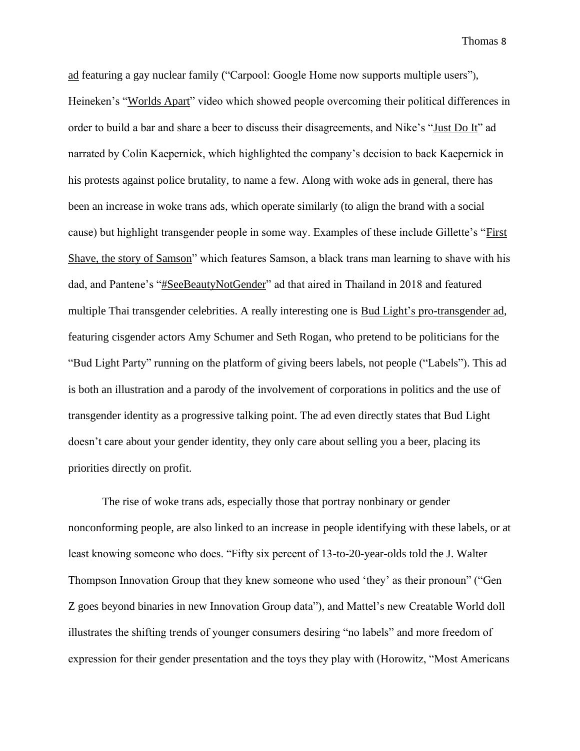[ad](http://youtube.com/watch?v=RZNqSy-zFXo) featuring a gay nuclear family ("Carpool: Google Home now supports multiple users"), Heineken's ["Worlds Apart"](https://www.youtube.com/watch?v=IbIjGxc1vjo) video which showed people overcoming their political differences in order to build a bar and share a beer to discuss their disagreements, and Nike's ["Just Do It"](https://www.theguardian.com/sport/video/2018/sep/07/nike-releases-full-ad-featuring-colin-kaepernick-video) ad narrated by Colin Kaepernick, which highlighted the company's decision to back Kaepernick in his protests against police brutality, to name a few. Along with woke ads in general, there has been an increase in woke trans ads, which operate similarly (to align the brand with a social cause) but highlight transgender people in some way. Examples of these include Gillette's ["First](https://www.facebook.com/gillette/videos/first-shave-the-story-of-samson-mybestself/2353380328320259/)  [Shave, the story of Samson"](https://www.facebook.com/gillette/videos/first-shave-the-story-of-samson-mybestself/2353380328320259/) which features Samson, a black trans man learning to shave with his dad, and Pantene's ["#SeeBeautyNotGender"](https://www.thedrum.com/news/2018/08/06/pantene-ad-tells-emotional-transgender-stories-asking-people-see-beyond-gender) ad that aired in Thailand in 2018 and featured multiple Thai transgender celebrities. A really interesting one is [Bud Light's pro-transgender ad,](https://www.advocate.com/transgender/2016/8/15/bud-light-debuts-pro-transgender-ad-video) featuring cisgender actors Amy Schumer and Seth Rogan, who pretend to be politicians for the "Bud Light Party" running on the platform of giving beers labels, not people ("Labels"). This ad is both an illustration and a parody of the involvement of corporations in politics and the use of transgender identity as a progressive talking point. The ad even directly states that Bud Light doesn't care about your gender identity, they only care about selling you a beer, placing its priorities directly on profit.

The rise of woke trans ads, especially those that portray nonbinary or gender nonconforming people, are also linked to an increase in people identifying with these labels, or at least knowing someone who does. "Fifty six percent of 13-to-20-year-olds told the J. Walter Thompson Innovation Group that they knew someone who used 'they' as their pronoun" ("Gen Z goes beyond binaries in new Innovation Group data"), and Mattel's new Creatable World doll illustrates the shifting trends of younger consumers desiring "no labels" and more freedom of expression for their gender presentation and the toys they play with (Horowitz, "Most Americans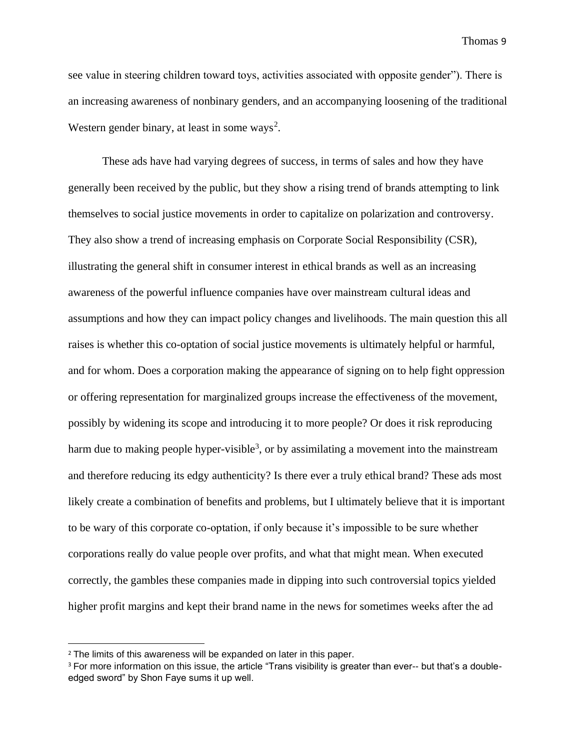see value in steering children toward toys, activities associated with opposite gender"). There is an increasing awareness of nonbinary genders, and an accompanying loosening of the traditional Western gender binary, at least in some ways<sup>2</sup>.

These ads have had varying degrees of success, in terms of sales and how they have generally been received by the public, but they show a rising trend of brands attempting to link themselves to social justice movements in order to capitalize on polarization and controversy. They also show a trend of increasing emphasis on Corporate Social Responsibility (CSR), illustrating the general shift in consumer interest in ethical brands as well as an increasing awareness of the powerful influence companies have over mainstream cultural ideas and assumptions and how they can impact policy changes and livelihoods. The main question this all raises is whether this co-optation of social justice movements is ultimately helpful or harmful, and for whom. Does a corporation making the appearance of signing on to help fight oppression or offering representation for marginalized groups increase the effectiveness of the movement, possibly by widening its scope and introducing it to more people? Or does it risk reproducing harm due to making people hyper-visible<sup>3</sup>, or by assimilating a movement into the mainstream and therefore reducing its edgy authenticity? Is there ever a truly ethical brand? These ads most likely create a combination of benefits and problems, but I ultimately believe that it is important to be wary of this corporate co-optation, if only because it's impossible to be sure whether corporations really do value people over profits, and what that might mean. When executed correctly, the gambles these companies made in dipping into such controversial topics yielded higher profit margins and kept their brand name in the news for sometimes weeks after the ad

<sup>&</sup>lt;sup>2</sup> The limits of this awareness will be expanded on later in this paper.

<sup>&</sup>lt;sup>3</sup> For more information on this issue, the article "Trans visibility is greater than ever-- but that's a doubleedged sword" by Shon Faye sums it up well.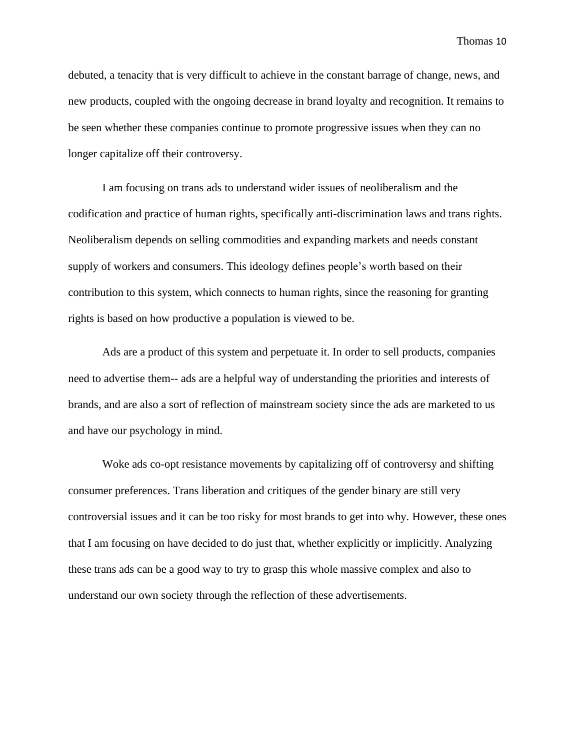debuted, a tenacity that is very difficult to achieve in the constant barrage of change, news, and new products, coupled with the ongoing decrease in brand loyalty and recognition. It remains to be seen whether these companies continue to promote progressive issues when they can no longer capitalize off their controversy.

I am focusing on trans ads to understand wider issues of neoliberalism and the codification and practice of human rights, specifically anti-discrimination laws and trans rights. Neoliberalism depends on selling commodities and expanding markets and needs constant supply of workers and consumers. This ideology defines people's worth based on their contribution to this system, which connects to human rights, since the reasoning for granting rights is based on how productive a population is viewed to be.

Ads are a product of this system and perpetuate it. In order to sell products, companies need to advertise them-- ads are a helpful way of understanding the priorities and interests of brands, and are also a sort of reflection of mainstream society since the ads are marketed to us and have our psychology in mind.

Woke ads co-opt resistance movements by capitalizing off of controversy and shifting consumer preferences. Trans liberation and critiques of the gender binary are still very controversial issues and it can be too risky for most brands to get into why. However, these ones that I am focusing on have decided to do just that, whether explicitly or implicitly. Analyzing these trans ads can be a good way to try to grasp this whole massive complex and also to understand our own society through the reflection of these advertisements.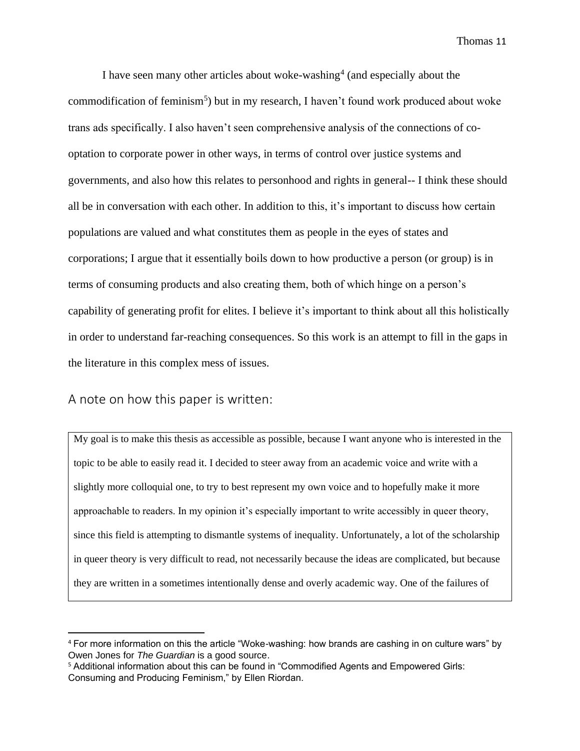I have seen many other articles about woke-washing<sup>4</sup> (and especially about the commodification of feminism<sup>5</sup>) but in my research, I haven't found work produced about woke trans ads specifically. I also haven't seen comprehensive analysis of the connections of cooptation to corporate power in other ways, in terms of control over justice systems and governments, and also how this relates to personhood and rights in general-- I think these should all be in conversation with each other. In addition to this, it's important to discuss how certain populations are valued and what constitutes them as people in the eyes of states and corporations; I argue that it essentially boils down to how productive a person (or group) is in terms of consuming products and also creating them, both of which hinge on a person's capability of generating profit for elites. I believe it's important to think about all this holistically in order to understand far-reaching consequences. So this work is an attempt to fill in the gaps in the literature in this complex mess of issues.

#### A note on how this paper is written:

My goal is to make this thesis as accessible as possible, because I want anyone who is interested in the topic to be able to easily read it. I decided to steer away from an academic voice and write with a slightly more colloquial one, to try to best represent my own voice and to hopefully make it more approachable to readers. In my opinion it's especially important to write accessibly in queer theory, since this field is attempting to dismantle systems of inequality. Unfortunately, a lot of the scholarship in queer theory is very difficult to read, not necessarily because the ideas are complicated, but because they are written in a sometimes intentionally dense and overly academic way. One of the failures of

<sup>4</sup> For more information on this the article "Woke-washing: how brands are cashing in on culture wars" by Owen Jones for *The Guardian* is a good source.

<sup>5</sup> Additional information about this can be found in "Commodified Agents and Empowered Girls: Consuming and Producing Feminism," by Ellen Riordan.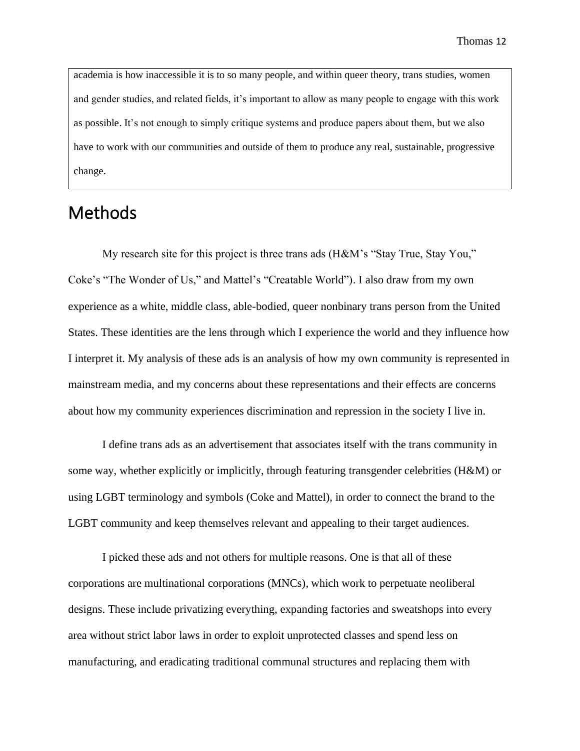academia is how inaccessible it is to so many people, and within queer theory, trans studies, women and gender studies, and related fields, it's important to allow as many people to engage with this work as possible. It's not enough to simply critique systems and produce papers about them, but we also have to work with our communities and outside of them to produce any real, sustainable, progressive change.

# **Methods**

My research site for this project is three trans ads (H&M's "Stay True, Stay You," Coke's "The Wonder of Us," and Mattel's "Creatable World"). I also draw from my own experience as a white, middle class, able-bodied, queer nonbinary trans person from the United States. These identities are the lens through which I experience the world and they influence how I interpret it. My analysis of these ads is an analysis of how my own community is represented in mainstream media, and my concerns about these representations and their effects are concerns about how my community experiences discrimination and repression in the society I live in.

I define trans ads as an advertisement that associates itself with the trans community in some way, whether explicitly or implicitly, through featuring transgender celebrities (H&M) or using LGBT terminology and symbols (Coke and Mattel), in order to connect the brand to the LGBT community and keep themselves relevant and appealing to their target audiences.

I picked these ads and not others for multiple reasons. One is that all of these corporations are multinational corporations (MNCs), which work to perpetuate neoliberal designs. These include privatizing everything, expanding factories and sweatshops into every area without strict labor laws in order to exploit unprotected classes and spend less on manufacturing, and eradicating traditional communal structures and replacing them with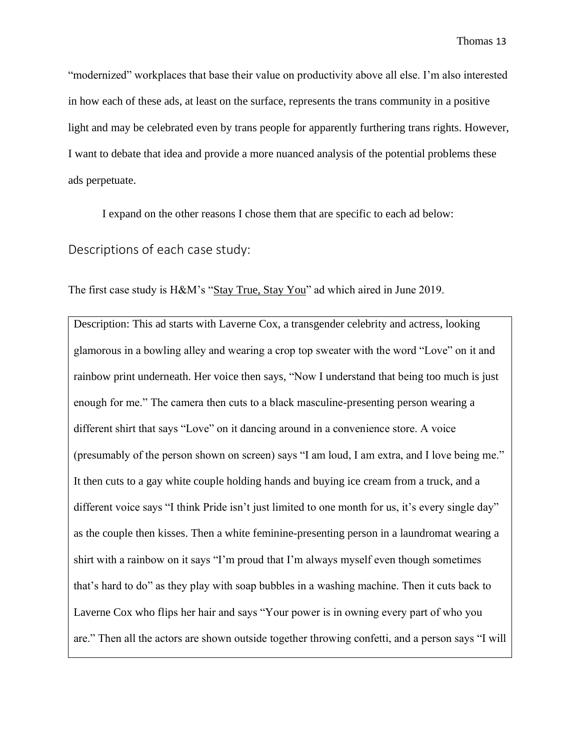"modernized" workplaces that base their value on productivity above all else. I'm also interested in how each of these ads, at least on the surface, represents the trans community in a positive light and may be celebrated even by trans people for apparently furthering trans rights. However, I want to debate that idea and provide a more nuanced analysis of the potential problems these ads perpetuate.

I expand on the other reasons I chose them that are specific to each ad below:

Descriptions of each case study:

The first case study is H&M's ["Stay True, Stay You"](https://www.youtube.com/watch?v=fOrqLzI3NNw) ad which aired in June 2019.

Description: This ad starts with Laverne Cox, a transgender celebrity and actress, looking glamorous in a bowling alley and wearing a crop top sweater with the word "Love" on it and rainbow print underneath. Her voice then says, "Now I understand that being too much is just enough for me." The camera then cuts to a black masculine-presenting person wearing a different shirt that says "Love" on it dancing around in a convenience store. A voice (presumably of the person shown on screen) says "I am loud, I am extra, and I love being me." It then cuts to a gay white couple holding hands and buying ice cream from a truck, and a different voice says "I think Pride isn't just limited to one month for us, it's every single day" as the couple then kisses. Then a white feminine-presenting person in a laundromat wearing a shirt with a rainbow on it says "I'm proud that I'm always myself even though sometimes that's hard to do" as they play with soap bubbles in a washing machine. Then it cuts back to Laverne Cox who flips her hair and says "Your power is in owning every part of who you are." Then all the actors are shown outside together throwing confetti, and a person says "I will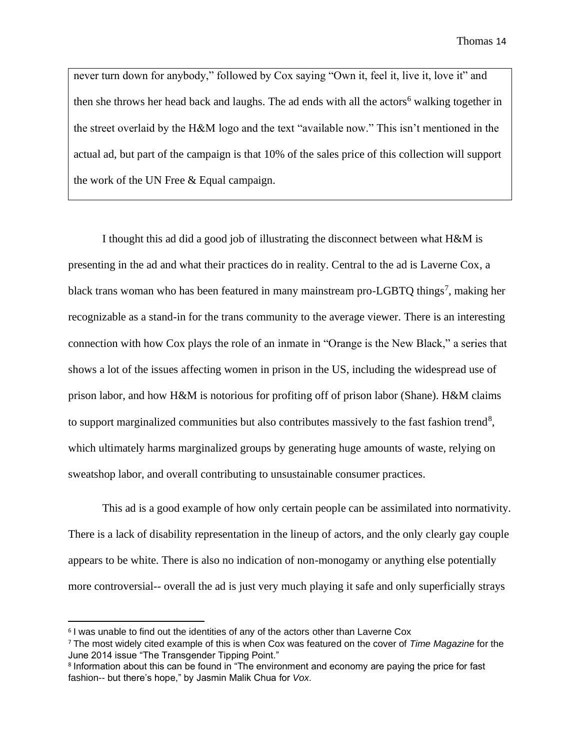never turn down for anybody," followed by Cox saying "Own it, feel it, live it, love it" and then she throws her head back and laughs. The ad ends with all the actors<sup>6</sup> walking together in the street overlaid by the H&M logo and the text "available now." This isn't mentioned in the actual ad, but part of the campaign is that 10% of the sales price of this collection will support the work of the UN Free & Equal campaign.

I thought this ad did a good job of illustrating the disconnect between what H&M is presenting in the ad and what their practices do in reality. Central to the ad is Laverne Cox, a black trans woman who has been featured in many mainstream pro-LGBTQ things<sup>7</sup>, making her recognizable as a stand-in for the trans community to the average viewer. There is an interesting connection with how Cox plays the role of an inmate in "Orange is the New Black," a series that shows a lot of the issues affecting women in prison in the US, including the widespread use of prison labor, and how H&M is notorious for profiting off of prison labor (Shane). H&M claims to support marginalized communities but also contributes massively to the fast fashion trend<sup>8</sup>, which ultimately harms marginalized groups by generating huge amounts of waste, relying on sweatshop labor, and overall contributing to unsustainable consumer practices.

This ad is a good example of how only certain people can be assimilated into normativity. There is a lack of disability representation in the lineup of actors, and the only clearly gay couple appears to be white. There is also no indication of non-monogamy or anything else potentially more controversial-- overall the ad is just very much playing it safe and only superficially strays

<sup>&</sup>lt;sup>6</sup> I was unable to find out the identities of any of the actors other than Laverne Cox

<sup>7</sup> The most widely cited example of this is when Cox was featured on the cover of *Time Magazine* for the June 2014 issue "The Transgender Tipping Point."

<sup>&</sup>lt;sup>8</sup> Information about this can be found in "The environment and economy are paying the price for fast fashion-- but there's hope," by Jasmin Malik Chua for *Vox.*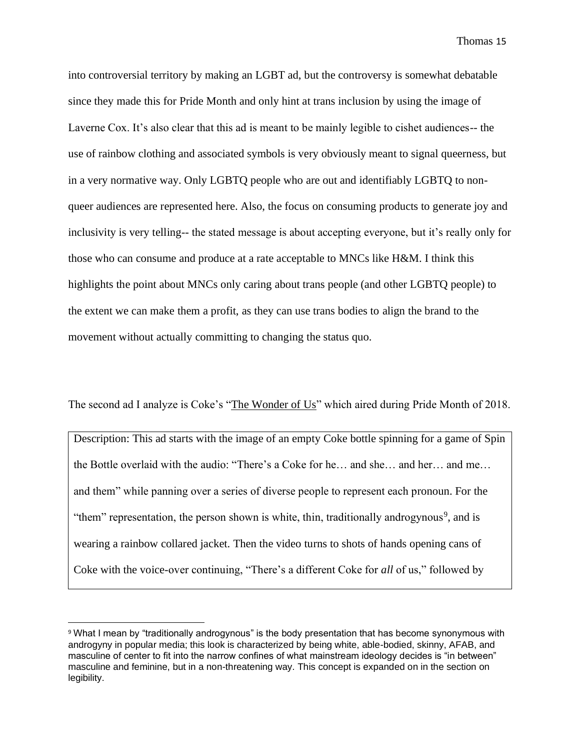into controversial territory by making an LGBT ad, but the controversy is somewhat debatable since they made this for Pride Month and only hint at trans inclusion by using the image of Laverne Cox. It's also clear that this ad is meant to be mainly legible to cishet audiences-- the use of rainbow clothing and associated symbols is very obviously meant to signal queerness, but in a very normative way. Only LGBTQ people who are out and identifiably LGBTQ to nonqueer audiences are represented here. Also, the focus on consuming products to generate joy and inclusivity is very telling-- the stated message is about accepting everyone, but it's really only for those who can consume and produce at a rate acceptable to MNCs like H&M. I think this highlights the point about MNCs only caring about trans people (and other LGBTQ people) to the extent we can make them a profit, as they can use trans bodies to align the brand to the movement without actually committing to changing the status quo.

The second ad I analyze is Coke's ["The Wonder of Us"](https://www.youtube.com/watch?v=-R-EEdvDrUU) which aired during Pride Month of 2018.

Description: This ad starts with the image of an empty Coke bottle spinning for a game of Spin the Bottle overlaid with the audio: "There's a Coke for he… and she… and her… and me… and them" while panning over a series of diverse people to represent each pronoun. For the "them" representation, the person shown is white, thin, traditionally androgynous<sup>9</sup>, and is wearing a rainbow collared jacket. Then the video turns to shots of hands opening cans of Coke with the voice-over continuing, "There's a different Coke for *all* of us," followed by

<sup>9</sup> What I mean by "traditionally androgynous" is the body presentation that has become synonymous with androgyny in popular media; this look is characterized by being white, able-bodied, skinny, AFAB, and masculine of center to fit into the narrow confines of what mainstream ideology decides is "in between" masculine and feminine, but in a non-threatening way. This concept is expanded on in the section on legibility.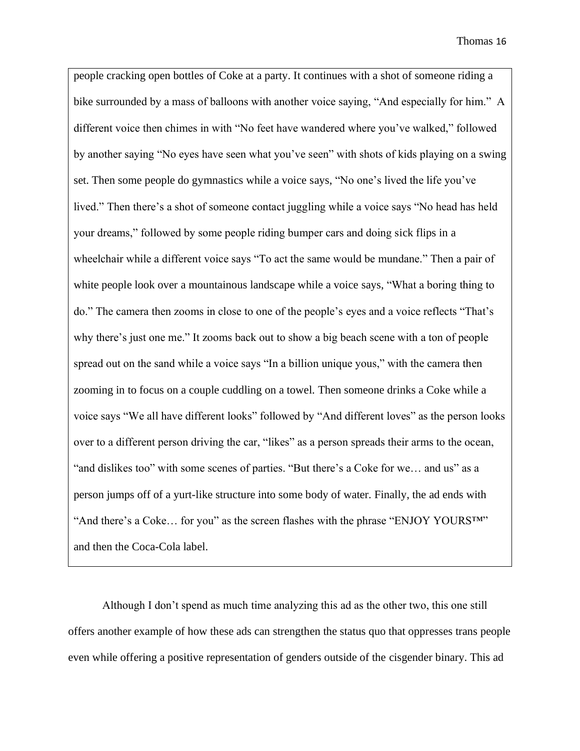people cracking open bottles of Coke at a party. It continues with a shot of someone riding a bike surrounded by a mass of balloons with another voice saying, "And especially for him." A different voice then chimes in with "No feet have wandered where you've walked," followed by another saying "No eyes have seen what you've seen" with shots of kids playing on a swing set. Then some people do gymnastics while a voice says, "No one's lived the life you've lived." Then there's a shot of someone contact juggling while a voice says "No head has held your dreams," followed by some people riding bumper cars and doing sick flips in a wheelchair while a different voice says "To act the same would be mundane." Then a pair of white people look over a mountainous landscape while a voice says, "What a boring thing to do." The camera then zooms in close to one of the people's eyes and a voice reflects "That's why there's just one me." It zooms back out to show a big beach scene with a ton of people spread out on the sand while a voice says "In a billion unique yous," with the camera then zooming in to focus on a couple cuddling on a towel. Then someone drinks a Coke while a voice says "We all have different looks" followed by "And different loves" as the person looks over to a different person driving the car, "likes" as a person spreads their arms to the ocean, "and dislikes too" with some scenes of parties. "But there's a Coke for we… and us" as a person jumps off of a yurt-like structure into some body of water. Finally, the ad ends with "And there's a Coke... for you" as the screen flashes with the phrase "ENJOY YOURSTM" and then the Coca-Cola label.

Although I don't spend as much time analyzing this ad as the other two, this one still offers another example of how these ads can strengthen the status quo that oppresses trans people even while offering a positive representation of genders outside of the cisgender binary. This ad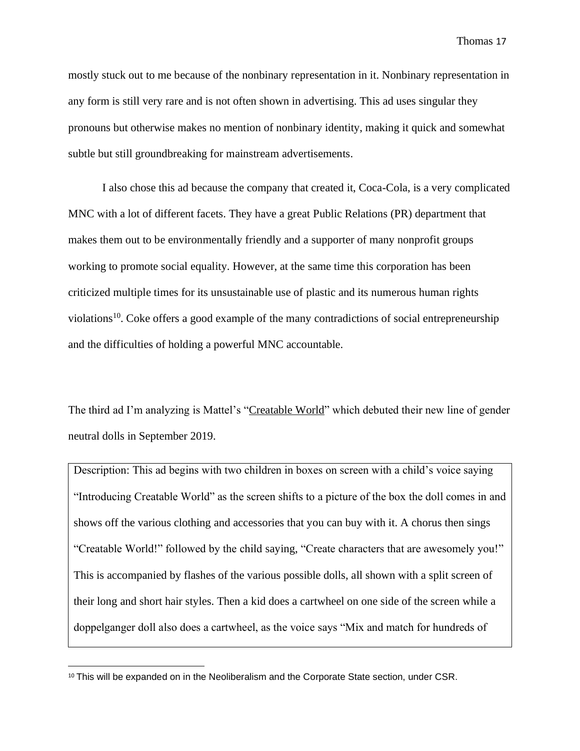mostly stuck out to me because of the nonbinary representation in it. Nonbinary representation in any form is still very rare and is not often shown in advertising. This ad uses singular they pronouns but otherwise makes no mention of nonbinary identity, making it quick and somewhat subtle but still groundbreaking for mainstream advertisements.

I also chose this ad because the company that created it, Coca-Cola, is a very complicated MNC with a lot of different facets. They have a great Public Relations (PR) department that makes them out to be environmentally friendly and a supporter of many nonprofit groups working to promote social equality. However, at the same time this corporation has been criticized multiple times for its unsustainable use of plastic and its numerous human rights violations<sup>10</sup>. Coke offers a good example of the many contradictions of social entrepreneurship and the difficulties of holding a powerful MNC accountable.

The third ad I'm analyzing is Mattel's ["Creatable World"](https://www.youtube.com/watch?v=HJCtVhkufd4) which debuted their new line of gender neutral dolls in September 2019.

Description: This ad begins with two children in boxes on screen with a child's voice saying "Introducing Creatable World" as the screen shifts to a picture of the box the doll comes in and shows off the various clothing and accessories that you can buy with it. A chorus then sings "Creatable World!" followed by the child saying, "Create characters that are awesomely you!" This is accompanied by flashes of the various possible dolls, all shown with a split screen of their long and short hair styles. Then a kid does a cartwheel on one side of the screen while a doppelganger doll also does a cartwheel, as the voice says "Mix and match for hundreds of

<sup>&</sup>lt;sup>10</sup> This will be expanded on in the Neoliberalism and the Corporate State section, under CSR.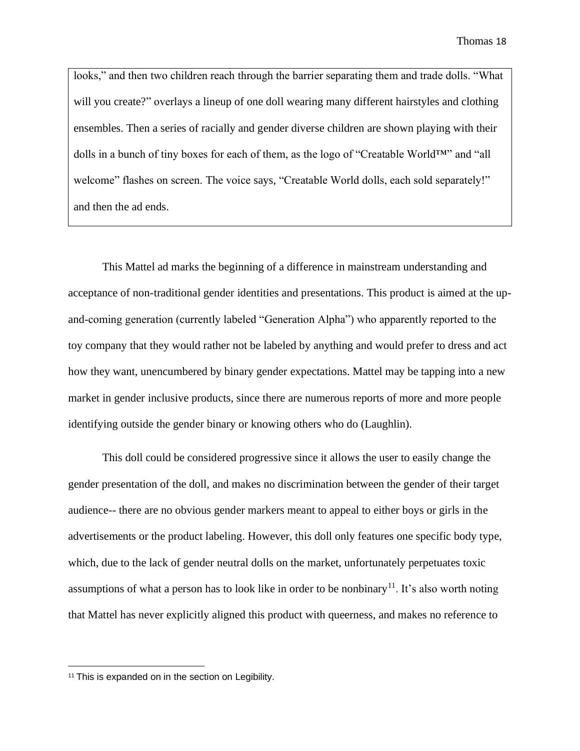looks," and then two children reach through the barrier separating them and trade dolls. "What will you create?" overlays a lineup of one doll wearing many different hairstyles and clothing ensembles. Then a series of racially and gender diverse children are shown playing with their dolls in a bunch of tiny boxes for each of them, as the logo of "Creatable World™" and "all welcome" flashes on screen. The voice says, "Creatable World dolls, each sold separately!" and then the ad ends.

This Mattel ad marks the beginning of a difference in mainstream understanding and acceptance of non-traditional gender identities and presentations. This product is aimed at the upand-coming generation (currently labeled "Generation Alpha") who apparently reported to the toy company that they would rather not be labeled by anything and would prefer to dress and act how they want, unencumbered by binary gender expectations. Mattel may be tapping into a new market in gender inclusive products, since there are numerous reports of more and more people identifying outside the gender binary or knowing others who do (Laughlin).

This doll could be considered progressive since it allows the user to easily change the gender presentation of the doll, and makes no discrimination between the gender of their target audience-- there are no obvious gender markers meant to appeal to either boys or girls in the advertisements or the product labeling. However, this doll only features one specific body type, which, due to the lack of gender neutral dolls on the market, unfortunately perpetuates toxic assumptions of what a person has to look like in order to be nonbinary<sup>11</sup>. It's also worth noting that Mattel has never explicitly aligned this product with queerness, and makes no reference to

<sup>&</sup>lt;sup>11</sup> This is expanded on in the section on Legibility.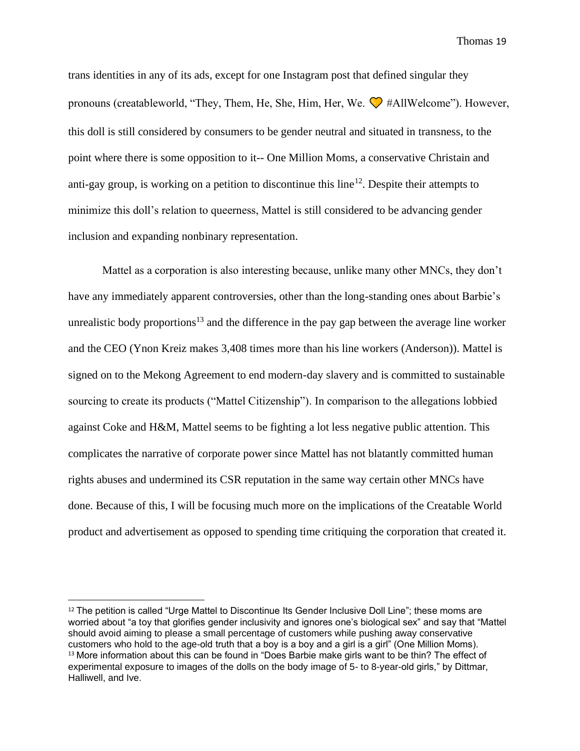trans identities in any of its ads, except for one Instagram post that defined singular they pronouns (creatableworld, "They, Them, He, She, Him, Her, We.  $\bigotimes$  #AllWelcome"). However, this doll is still considered by consumers to be gender neutral and situated in transness, to the point where there is some opposition to it-- One Million Moms, a conservative Christain and anti-gay group, is working on a petition to discontinue this line<sup>12</sup>. Despite their attempts to minimize this doll's relation to queerness, Mattel is still considered to be advancing gender inclusion and expanding nonbinary representation.

Mattel as a corporation is also interesting because, unlike many other MNCs, they don't have any immediately apparent controversies, other than the long-standing ones about Barbie's unrealistic body proportions<sup>13</sup> and the difference in the pay gap between the average line worker and the CEO (Ynon Kreiz makes 3,408 times more than his line workers (Anderson)). Mattel is signed on to the Mekong Agreement to end modern-day slavery and is committed to sustainable sourcing to create its products ("Mattel Citizenship"). In comparison to the allegations lobbied against Coke and H&M, Mattel seems to be fighting a lot less negative public attention. This complicates the narrative of corporate power since Mattel has not blatantly committed human rights abuses and undermined its CSR reputation in the same way certain other MNCs have done. Because of this, I will be focusing much more on the implications of the Creatable World product and advertisement as opposed to spending time critiquing the corporation that created it.

<sup>&</sup>lt;sup>12</sup> The petition is called "Urge Mattel to Discontinue Its Gender Inclusive Doll Line"; these moms are worried about "a toy that glorifies gender inclusivity and ignores one's biological sex" and say that "Mattel should avoid aiming to please a small percentage of customers while pushing away conservative customers who hold to the age-old truth that a boy is a boy and a girl is a girl" (One Million Moms). <sup>13</sup> More information about this can be found in "Does Barbie make girls want to be thin? The effect of experimental exposure to images of the dolls on the body image of 5- to 8-year-old girls," by Dittmar, Halliwell, and Ive.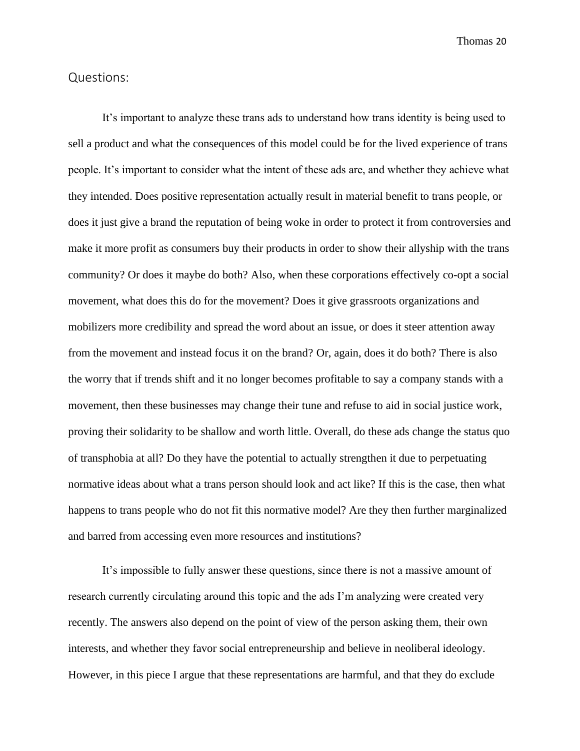#### Questions:

It's important to analyze these trans ads to understand how trans identity is being used to sell a product and what the consequences of this model could be for the lived experience of trans people. It's important to consider what the intent of these ads are, and whether they achieve what they intended. Does positive representation actually result in material benefit to trans people, or does it just give a brand the reputation of being woke in order to protect it from controversies and make it more profit as consumers buy their products in order to show their allyship with the trans community? Or does it maybe do both? Also, when these corporations effectively co-opt a social movement, what does this do for the movement? Does it give grassroots organizations and mobilizers more credibility and spread the word about an issue, or does it steer attention away from the movement and instead focus it on the brand? Or, again, does it do both? There is also the worry that if trends shift and it no longer becomes profitable to say a company stands with a movement, then these businesses may change their tune and refuse to aid in social justice work, proving their solidarity to be shallow and worth little. Overall, do these ads change the status quo of transphobia at all? Do they have the potential to actually strengthen it due to perpetuating normative ideas about what a trans person should look and act like? If this is the case, then what happens to trans people who do not fit this normative model? Are they then further marginalized and barred from accessing even more resources and institutions?

It's impossible to fully answer these questions, since there is not a massive amount of research currently circulating around this topic and the ads I'm analyzing were created very recently. The answers also depend on the point of view of the person asking them, their own interests, and whether they favor social entrepreneurship and believe in neoliberal ideology. However, in this piece I argue that these representations are harmful, and that they do exclude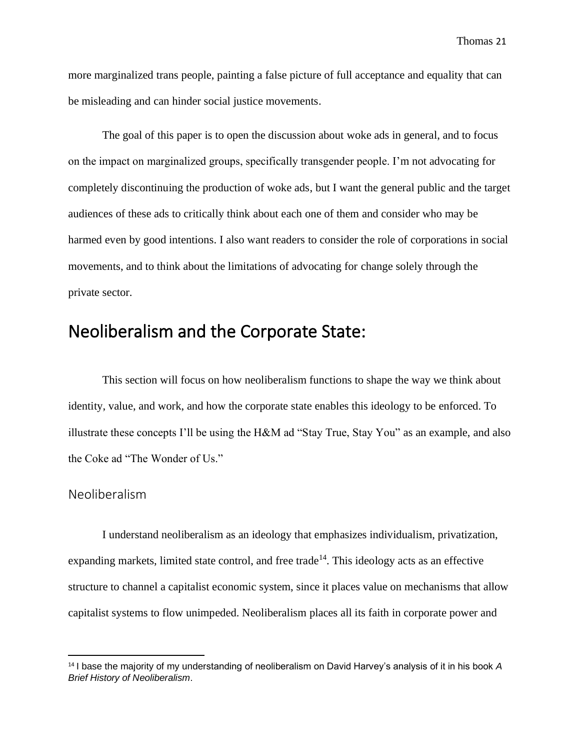more marginalized trans people, painting a false picture of full acceptance and equality that can be misleading and can hinder social justice movements.

The goal of this paper is to open the discussion about woke ads in general, and to focus on the impact on marginalized groups, specifically transgender people. I'm not advocating for completely discontinuing the production of woke ads, but I want the general public and the target audiences of these ads to critically think about each one of them and consider who may be harmed even by good intentions. I also want readers to consider the role of corporations in social movements, and to think about the limitations of advocating for change solely through the private sector.

# Neoliberalism and the Corporate State:

This section will focus on how neoliberalism functions to shape the way we think about identity, value, and work, and how the corporate state enables this ideology to be enforced. To illustrate these concepts I'll be using the H&M ad "Stay True, Stay You" as an example, and also the Coke ad "The Wonder of Us."

#### Neoliberalism

I understand neoliberalism as an ideology that emphasizes individualism, privatization, expanding markets, limited state control, and free trade<sup>14</sup>. This ideology acts as an effective structure to channel a capitalist economic system, since it places value on mechanisms that allow capitalist systems to flow unimpeded. Neoliberalism places all its faith in corporate power and

<sup>14</sup> I base the majority of my understanding of neoliberalism on David Harvey's analysis of it in his book *A Brief History of Neoliberalism*.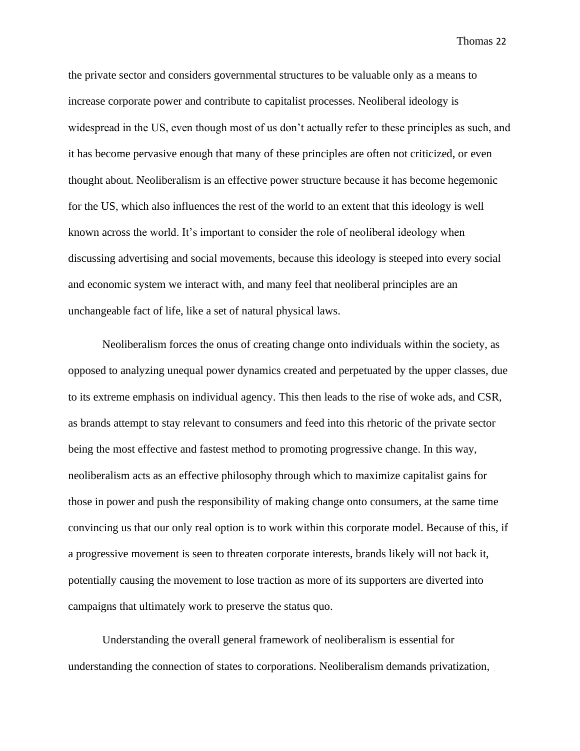the private sector and considers governmental structures to be valuable only as a means to increase corporate power and contribute to capitalist processes. Neoliberal ideology is widespread in the US, even though most of us don't actually refer to these principles as such, and it has become pervasive enough that many of these principles are often not criticized, or even thought about. Neoliberalism is an effective power structure because it has become hegemonic for the US, which also influences the rest of the world to an extent that this ideology is well known across the world. It's important to consider the role of neoliberal ideology when discussing advertising and social movements, because this ideology is steeped into every social and economic system we interact with, and many feel that neoliberal principles are an unchangeable fact of life, like a set of natural physical laws.

Neoliberalism forces the onus of creating change onto individuals within the society, as opposed to analyzing unequal power dynamics created and perpetuated by the upper classes, due to its extreme emphasis on individual agency. This then leads to the rise of woke ads, and CSR, as brands attempt to stay relevant to consumers and feed into this rhetoric of the private sector being the most effective and fastest method to promoting progressive change. In this way, neoliberalism acts as an effective philosophy through which to maximize capitalist gains for those in power and push the responsibility of making change onto consumers, at the same time convincing us that our only real option is to work within this corporate model. Because of this, if a progressive movement is seen to threaten corporate interests, brands likely will not back it, potentially causing the movement to lose traction as more of its supporters are diverted into campaigns that ultimately work to preserve the status quo.

Understanding the overall general framework of neoliberalism is essential for understanding the connection of states to corporations. Neoliberalism demands privatization,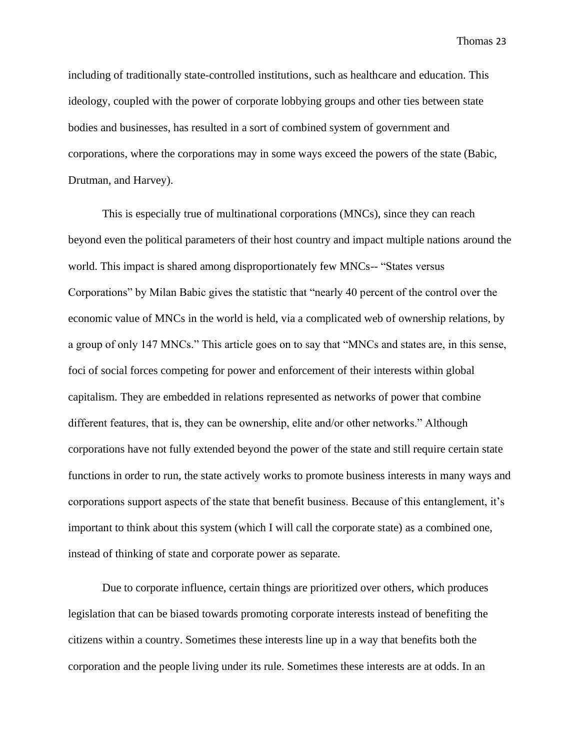including of traditionally state-controlled institutions, such as healthcare and education. This ideology, coupled with the power of corporate lobbying groups and other ties between state bodies and businesses, has resulted in a sort of combined system of government and corporations, where the corporations may in some ways exceed the powers of the state (Babic, Drutman, and Harvey).

This is especially true of multinational corporations (MNCs), since they can reach beyond even the political parameters of their host country and impact multiple nations around the world. This impact is shared among disproportionately few MNCs-- "States versus Corporations" by Milan Babic gives the statistic that "nearly 40 percent of the control over the economic value of MNCs in the world is held, via a complicated web of ownership relations, by a group of only 147 MNCs." This article goes on to say that "MNCs and states are, in this sense, foci of social forces competing for power and enforcement of their interests within global capitalism. They are embedded in relations represented as networks of power that combine different features, that is, they can be ownership, elite and/or other networks." Although corporations have not fully extended beyond the power of the state and still require certain state functions in order to run, the state actively works to promote business interests in many ways and corporations support aspects of the state that benefit business. Because of this entanglement, it's important to think about this system (which I will call the corporate state) as a combined one, instead of thinking of state and corporate power as separate.

Due to corporate influence, certain things are prioritized over others, which produces legislation that can be biased towards promoting corporate interests instead of benefiting the citizens within a country. Sometimes these interests line up in a way that benefits both the corporation and the people living under its rule. Sometimes these interests are at odds. In an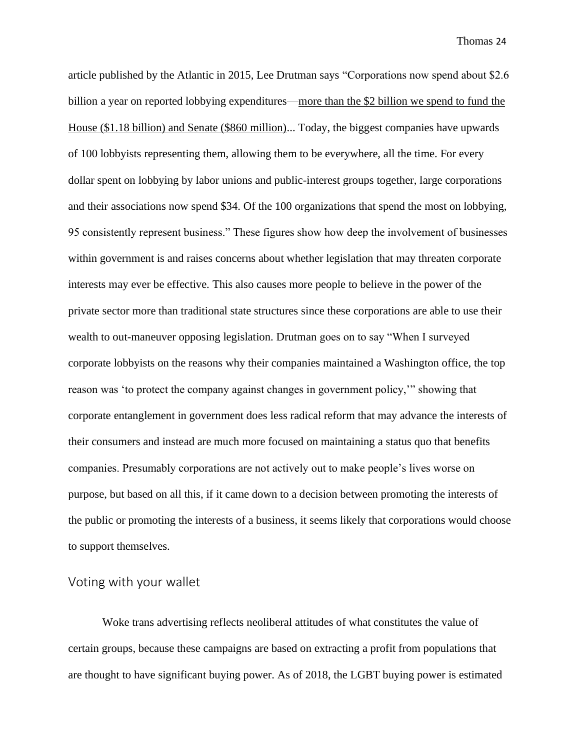article published by the Atlantic in 2015, Lee Drutman says "Corporations now spend about \$2.6 billion a year on reported lobbying expenditures[—more than the \\$2 billion we spend to fund the](http://fas.org/sgp/crs/misc/R43557.pdf)  [House \(\\$1.18 billion\) and Senate \(\\$860 million\).](http://fas.org/sgp/crs/misc/R43557.pdf).. Today, the biggest companies have upwards of 100 lobbyists representing them, allowing them to be everywhere, all the time. For every dollar spent on lobbying by labor unions and public-interest groups together, large corporations and their associations now spend \$34. Of the 100 organizations that spend the most on lobbying, 95 consistently represent business." These figures show how deep the involvement of businesses within government is and raises concerns about whether legislation that may threaten corporate interests may ever be effective. This also causes more people to believe in the power of the private sector more than traditional state structures since these corporations are able to use their wealth to out-maneuver opposing legislation. Drutman goes on to say "When I surveyed corporate lobbyists on the reasons why their companies maintained a Washington office, the top reason was 'to protect the company against changes in government policy,'" showing that corporate entanglement in government does less radical reform that may advance the interests of their consumers and instead are much more focused on maintaining a status quo that benefits companies. Presumably corporations are not actively out to make people's lives worse on purpose, but based on all this, if it came down to a decision between promoting the interests of the public or promoting the interests of a business, it seems likely that corporations would choose to support themselves.

### Voting with your wallet

Woke trans advertising reflects neoliberal attitudes of what constitutes the value of certain groups, because these campaigns are based on extracting a profit from populations that are thought to have significant buying power. As of 2018, the LGBT buying power is estimated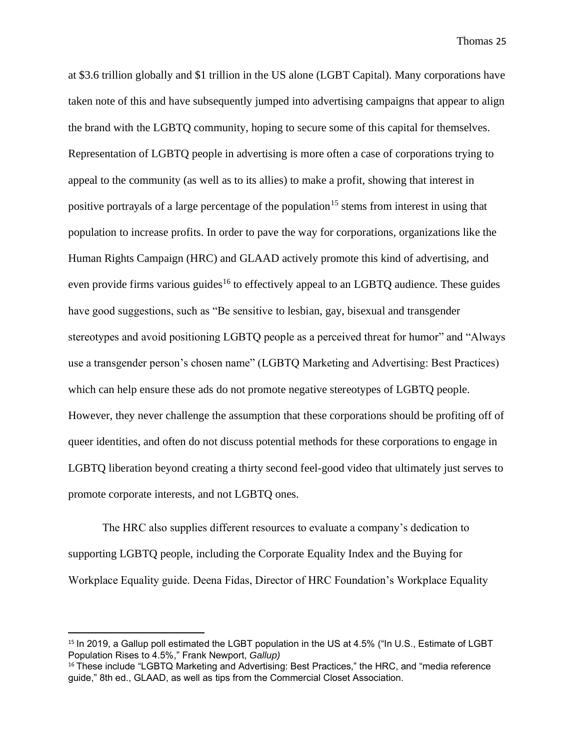at [\\$3.6 trillion globally](http://www.lgbt-capital.com/docs/Estimated_LGBT-GDP_(table)_-_2018.pdf) and \$1 trillion in the US alone (LGBT Capital). Many corporations have taken note of this and have subsequently jumped into advertising campaigns that appear to align the brand with the LGBTQ community, hoping to secure some of this capital for themselves. Representation of LGBTQ people in advertising is more often a case of corporations trying to appeal to the community (as well as to its allies) to make a profit, showing that interest in positive portrayals of a large percentage of the population<sup>15</sup> stems from interest in using that population to increase profits. In order to pave the way for corporations, organizations like the Human Rights Campaign (HRC) and GLAAD actively promote this kind of advertising, and even provide firms various guides<sup>16</sup> to effectively appeal to an LGBTO audience. These guides have good suggestions, such as "Be sensitive to lesbian, gay, bisexual and transgender stereotypes and avoid positioning LGBTQ people as a perceived threat for humor" and "Always use a transgender person's chosen name" (LGBTQ Marketing and Advertising: Best Practices) which can help ensure these ads do not promote negative stereotypes of LGBTQ people. However, they never challenge the assumption that these corporations should be profiting off of queer identities, and often do not discuss potential methods for these corporations to engage in LGBTQ liberation beyond creating a thirty second feel-good video that ultimately just serves to promote corporate interests, and not LGBTQ ones.

The HRC also supplies different resources to evaluate a company's dedication to supporting LGBTQ people, including the Corporate Equality Index and the Buying for Workplace Equality guide. Deena Fidas, Director of HRC Foundation's Workplace Equality

<sup>&</sup>lt;sup>15</sup> In 2019, a Gallup poll estimated the LGBT population in the US at 4.5% ("In U.S., Estimate of LGBT Population Rises to 4.5%," Frank Newport, *Gallup)*

<sup>16</sup> These include "LGBTQ Marketing and Advertising: Best Practices," the HRC, and "media reference guide," 8th ed., GLAAD, as well as tips from the Commercial Closet Association.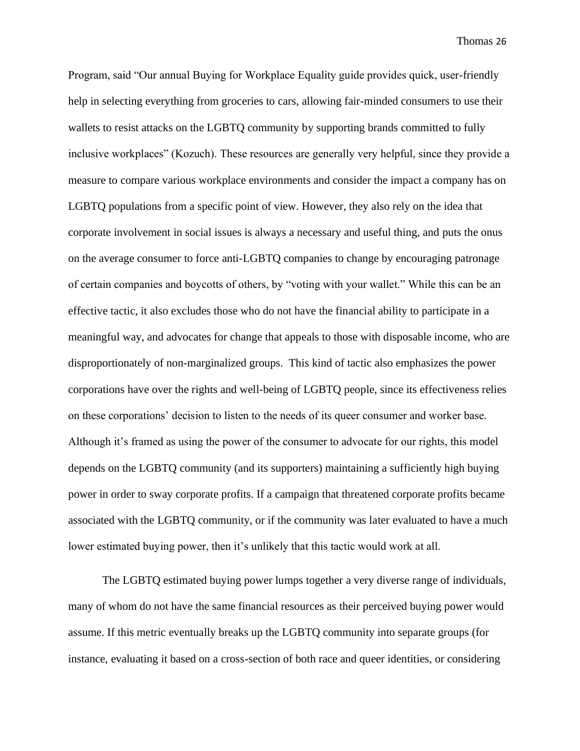Program, said "Our annual Buying for Workplace Equality guide provides quick, user-friendly help in selecting everything from groceries to cars, allowing fair-minded consumers to use their wallets to resist attacks on the LGBTQ community by supporting brands committed to fully inclusive workplaces" (Kozuch). These resources are generally very helpful, since they provide a measure to compare various workplace environments and consider the impact a company has on LGBTQ populations from a specific point of view. However, they also rely on the idea that corporate involvement in social issues is always a necessary and useful thing, and puts the onus on the average consumer to force anti-LGBTQ companies to change by encouraging patronage of certain companies and boycotts of others, by "voting with your wallet." While this can be an effective tactic, it also excludes those who do not have the financial ability to participate in a meaningful way, and advocates for change that appeals to those with disposable income, who are disproportionately of non-marginalized groups. This kind of tactic also emphasizes the power corporations have over the rights and well-being of LGBTQ people, since its effectiveness relies on these corporations' decision to listen to the needs of its queer consumer and worker base. Although it's framed as using the power of the consumer to advocate for our rights, this model depends on the LGBTQ community (and its supporters) maintaining a sufficiently high buying power in order to sway corporate profits. If a campaign that threatened corporate profits became associated with the LGBTQ community, or if the community was later evaluated to have a much lower estimated buying power, then it's unlikely that this tactic would work at all.

The LGBTQ estimated buying power lumps together a very diverse range of individuals, many of whom do not have the same financial resources as their perceived buying power would assume. If this metric eventually breaks up the LGBTQ community into separate groups (for instance, evaluating it based on a cross-section of both race and queer identities, or considering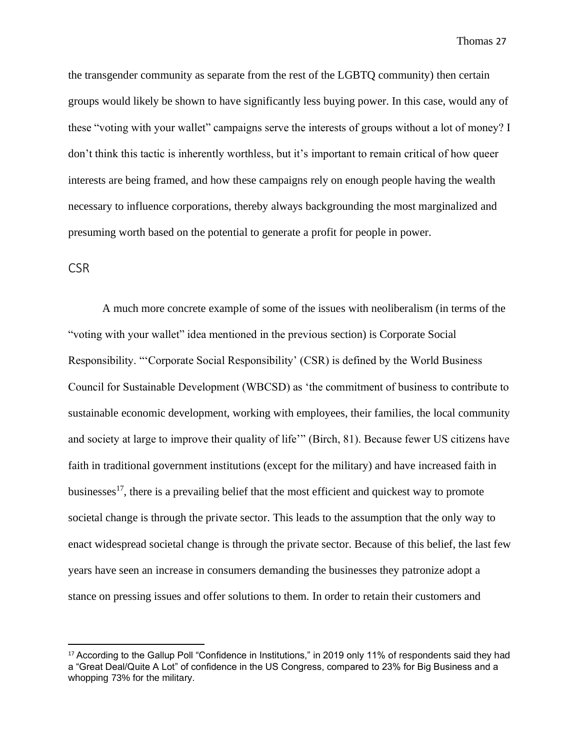the transgender community as separate from the rest of the LGBTQ community) then certain groups would likely be shown to have significantly less buying power. In this case, would any of these "voting with your wallet" campaigns serve the interests of groups without a lot of money? I don't think this tactic is inherently worthless, but it's important to remain critical of how queer interests are being framed, and how these campaigns rely on enough people having the wealth necessary to influence corporations, thereby always backgrounding the most marginalized and presuming worth based on the potential to generate a profit for people in power.

#### **CSR**

A much more concrete example of some of the issues with neoliberalism (in terms of the "voting with your wallet" idea mentioned in the previous section) is Corporate Social Responsibility. "'Corporate Social Responsibility' (CSR) is defined by the World Business Council for Sustainable Development (WBCSD) as 'the commitment of business to contribute to sustainable economic development, working with employees, their families, the local community and society at large to improve their quality of life'" (Birch, 81). Because fewer US citizens have faith in traditional government institutions (except for the military) and have increased faith in businesses<sup>17</sup>, there is a prevailing belief that the most efficient and quickest way to promote societal change is through the private sector. This leads to the assumption that the only way to enact widespread societal change is through the private sector. Because of this belief, the last few years have seen an increase in consumers demanding the businesses they patronize adopt a stance on pressing issues and offer solutions to them. In order to retain their customers and

<sup>&</sup>lt;sup>17</sup> According to the Gallup Poll "Confidence in Institutions," in 2019 only 11% of respondents said they had a "Great Deal/Quite A Lot" of confidence in the US Congress, compared to 23% for Big Business and a whopping 73% for the military.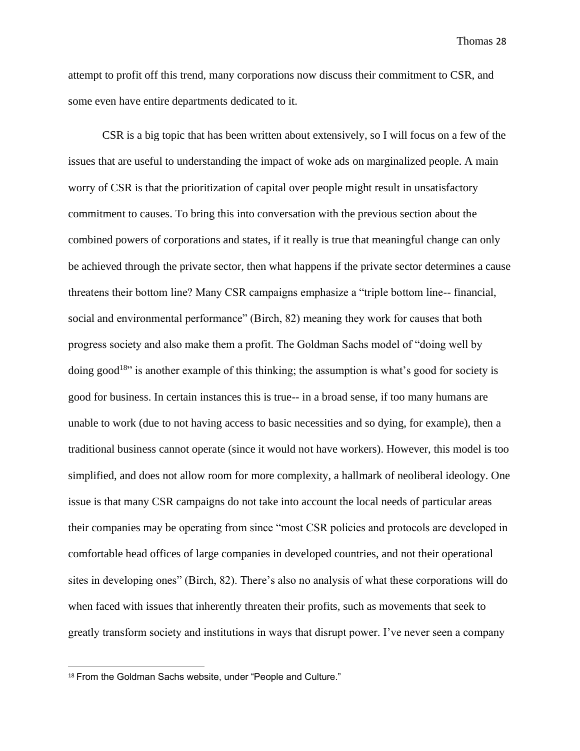attempt to profit off this trend, many corporations now discuss their commitment to CSR, and some even have entire departments dedicated to it.

CSR is a big topic that has been written about extensively, so I will focus on a few of the issues that are useful to understanding the impact of woke ads on marginalized people. A main worry of CSR is that the prioritization of capital over people might result in unsatisfactory commitment to causes. To bring this into conversation with the previous section about the combined powers of corporations and states, if it really is true that meaningful change can only be achieved through the private sector, then what happens if the private sector determines a cause threatens their bottom line? Many CSR campaigns emphasize a "triple bottom line-- financial, social and environmental performance" (Birch, 82) meaning they work for causes that both progress society and also make them a profit. The Goldman Sachs model of "doing well by doing good<sup>18</sup>" is another example of this thinking; the assumption is what's good for society is good for business. In certain instances this is true-- in a broad sense, if too many humans are unable to work (due to not having access to basic necessities and so dying, for example), then a traditional business cannot operate (since it would not have workers). However, this model is too simplified, and does not allow room for more complexity, a hallmark of neoliberal ideology. One issue is that many CSR campaigns do not take into account the local needs of particular areas their companies may be operating from since "most CSR policies and protocols are developed in comfortable head offices of large companies in developed countries, and not their operational sites in developing ones" (Birch, 82). There's also no analysis of what these corporations will do when faced with issues that inherently threaten their profits, such as movements that seek to greatly transform society and institutions in ways that disrupt power. I've never seen a company

<sup>&</sup>lt;sup>18</sup> From the Goldman Sachs website, under "People and Culture."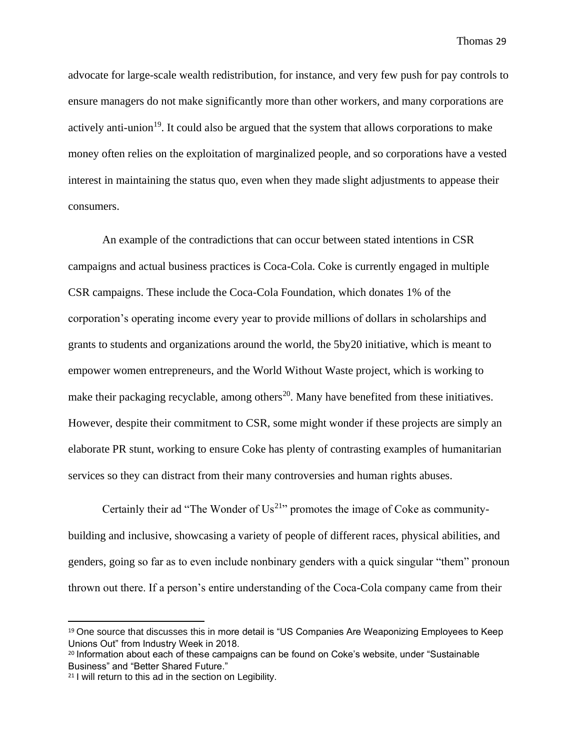advocate for large-scale wealth redistribution, for instance, and very few push for pay controls to ensure managers do not make significantly more than other workers, and many corporations are actively anti-union<sup>19</sup>. It could also be argued that the system that allows corporations to make money often relies on the exploitation of marginalized people, and so corporations have a vested interest in maintaining the status quo, even when they made slight adjustments to appease their consumers.

An example of the contradictions that can occur between stated intentions in CSR campaigns and actual business practices is Coca-Cola. Coke is currently engaged in multiple CSR campaigns. These include the Coca-Cola Foundation, which donates 1% of the corporation's operating income every year to provide millions of dollars in scholarships and grants to students and organizations around the world, the 5by20 initiative, which is meant to empower women entrepreneurs, and the World Without Waste project, which is working to make their packaging recyclable, among others<sup>20</sup>. Many have benefited from these initiatives. However, despite their commitment to CSR, some might wonder if these projects are simply an elaborate PR stunt, working to ensure Coke has plenty of contrasting examples of humanitarian services so they can distract from their many controversies and human rights abuses.

Certainly their ad "The Wonder of  $Us^{21}$ " promotes the image of Coke as communitybuilding and inclusive, showcasing a variety of people of different races, physical abilities, and genders, going so far as to even include nonbinary genders with a quick singular "them" pronoun thrown out there. If a person's entire understanding of the Coca-Cola company came from their

<sup>&</sup>lt;sup>19</sup> One source that discusses this in more detail is "US Companies Are Weaponizing Employees to Keep Unions Out" from Industry Week in 2018.

<sup>&</sup>lt;sup>20</sup> Information about each of these campaigns can be found on Coke's website, under "Sustainable" Business" and "Better Shared Future."

<sup>21</sup> I will return to this ad in the section on Legibility.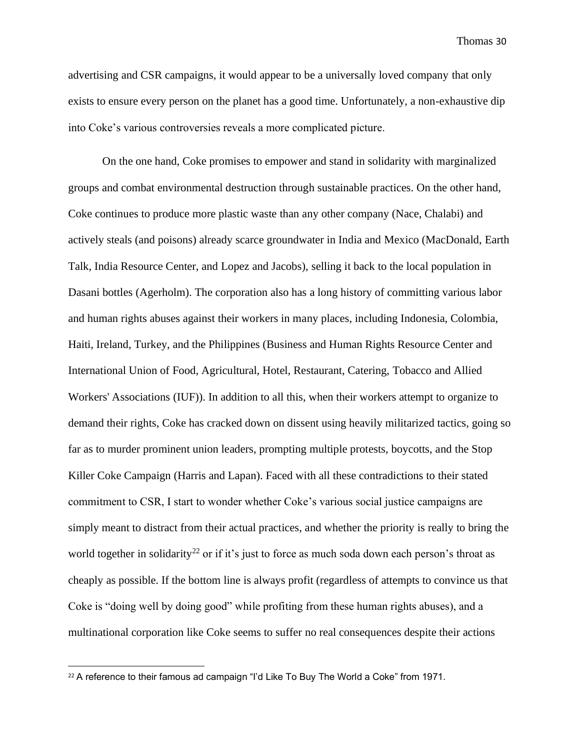advertising and CSR campaigns, it would appear to be a universally loved company that only exists to ensure every person on the planet has a good time. Unfortunately, a non-exhaustive dip into Coke's various controversies reveals a more complicated picture.

On the one hand, Coke promises to empower and stand in solidarity with marginalized groups and combat environmental destruction through sustainable practices. On the other hand, Coke continues to produce more plastic waste than any other company (Nace, Chalabi) and actively steals (and poisons) already scarce groundwater in India and Mexico (MacDonald, Earth Talk, India Resource Center, and Lopez and Jacobs), selling it back to the local population in Dasani bottles (Agerholm). The corporation also has a long history of committing various labor and human rights abuses against their workers in many places, including Indonesia, Colombia, Haiti, Ireland, Turkey, and the Philippines (Business and Human Rights Resource Center and International Union of Food, Agricultural, Hotel, Restaurant, Catering, Tobacco and Allied Workers' Associations (IUF)). In addition to all this, when their workers attempt to organize to demand their rights, Coke has cracked down on dissent using heavily militarized tactics, going so far as to murder prominent union leaders, prompting multiple protests, boycotts, and the Stop Killer Coke Campaign (Harris and Lapan). Faced with all these contradictions to their stated commitment to CSR, I start to wonder whether Coke's various social justice campaigns are simply meant to distract from their actual practices, and whether the priority is really to bring the world together in solidarity<sup>22</sup> or if it's just to force as much soda down each person's throat as cheaply as possible. If the bottom line is always profit (regardless of attempts to convince us that Coke is "doing well by doing good" while profiting from these human rights abuses), and a multinational corporation like Coke seems to suffer no real consequences despite their actions

<sup>&</sup>lt;sup>22</sup> A reference to their famous ad campaign "I'd Like To Buy The World a Coke" from 1971.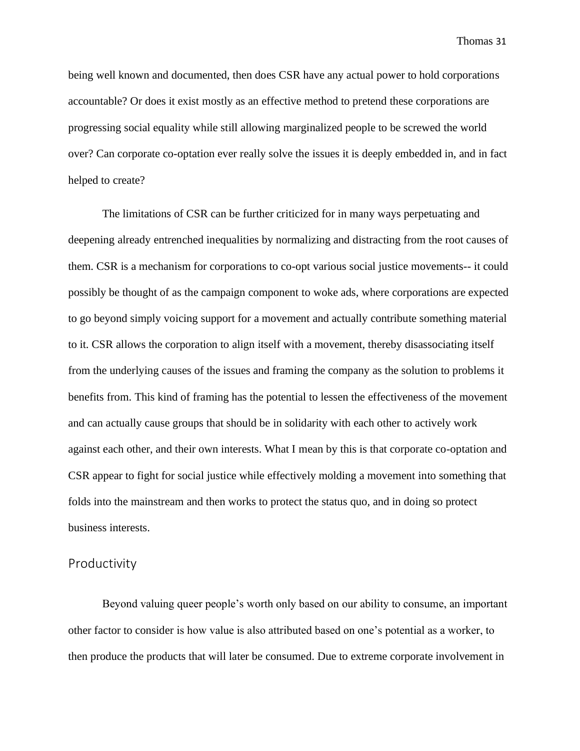being well known and documented, then does CSR have any actual power to hold corporations accountable? Or does it exist mostly as an effective method to pretend these corporations are progressing social equality while still allowing marginalized people to be screwed the world over? Can corporate co-optation ever really solve the issues it is deeply embedded in, and in fact helped to create?

The limitations of CSR can be further criticized for in many ways perpetuating and deepening already entrenched inequalities by normalizing and distracting from the root causes of them. CSR is a mechanism for corporations to co-opt various social justice movements-- it could possibly be thought of as the campaign component to woke ads, where corporations are expected to go beyond simply voicing support for a movement and actually contribute something material to it. CSR allows the corporation to align itself with a movement, thereby disassociating itself from the underlying causes of the issues and framing the company as the solution to problems it benefits from. This kind of framing has the potential to lessen the effectiveness of the movement and can actually cause groups that should be in solidarity with each other to actively work against each other, and their own interests. What I mean by this is that corporate co-optation and CSR appear to fight for social justice while effectively molding a movement into something that folds into the mainstream and then works to protect the status quo, and in doing so protect business interests.

#### Productivity

Beyond valuing queer people's worth only based on our ability to consume, an important other factor to consider is how value is also attributed based on one's potential as a worker, to then produce the products that will later be consumed. Due to extreme corporate involvement in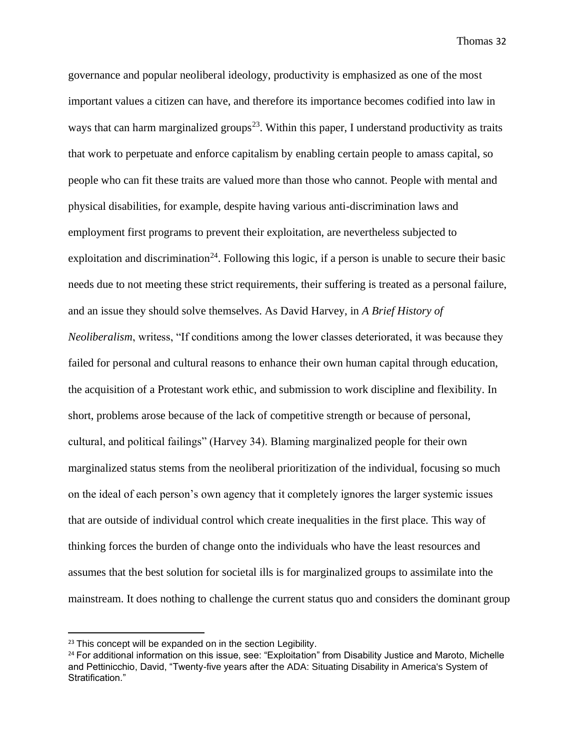governance and popular neoliberal ideology, productivity is emphasized as one of the most important values a citizen can have, and therefore its importance becomes codified into law in ways that can harm marginalized groups<sup>23</sup>. Within this paper, I understand productivity as traits that work to perpetuate and enforce capitalism by enabling certain people to amass capital, so people who can fit these traits are valued more than those who cannot. People with mental and physical disabilities, for example, despite having various anti-discrimination laws and employment first programs to prevent their exploitation, are nevertheless subjected to exploitation and discrimination<sup>24</sup>. Following this logic, if a person is unable to secure their basic needs due to not meeting these strict requirements, their suffering is treated as a personal failure, and an issue they should solve themselves. As David Harvey, in *A Brief History of Neoliberalism*, writess, "If conditions among the lower classes deteriorated, it was because they failed for personal and cultural reasons to enhance their own human capital through education, the acquisition of a Protestant work ethic, and submission to work discipline and flexibility. In short, problems arose because of the lack of competitive strength or because of personal, cultural, and political failings" (Harvey 34). Blaming marginalized people for their own marginalized status stems from the neoliberal prioritization of the individual, focusing so much on the ideal of each person's own agency that it completely ignores the larger systemic issues that are outside of individual control which create inequalities in the first place. This way of thinking forces the burden of change onto the individuals who have the least resources and assumes that the best solution for societal ills is for marginalized groups to assimilate into the mainstream. It does nothing to challenge the current status quo and considers the dominant group

<sup>&</sup>lt;sup>23</sup> This concept will be expanded on in the section Legibility.

<sup>&</sup>lt;sup>24</sup> For additional information on this issue, see: "Exploitation" from Disability Justice and Maroto, Michelle and Pettinicchio, David, "Twenty-five years after the ADA: Situating Disability in America's System of Stratification."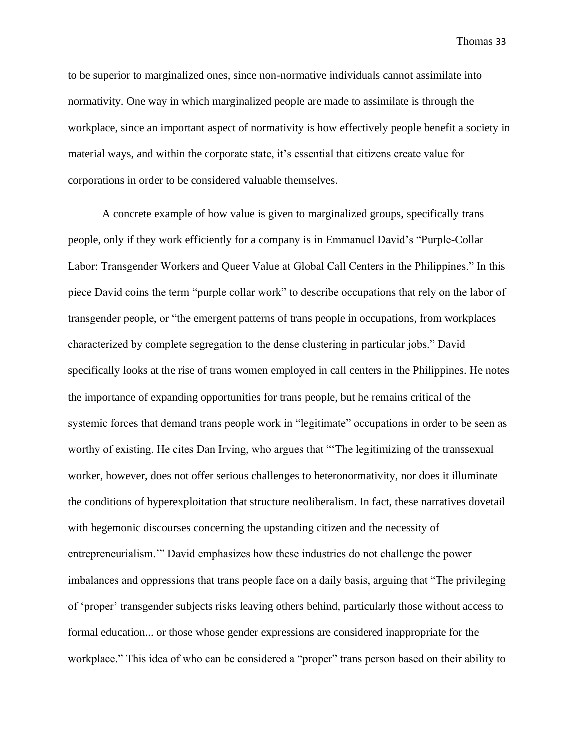to be superior to marginalized ones, since non-normative individuals cannot assimilate into normativity. One way in which marginalized people are made to assimilate is through the workplace, since an important aspect of normativity is how effectively people benefit a society in material ways, and within the corporate state, it's essential that citizens create value for corporations in order to be considered valuable themselves.

A concrete example of how value is given to marginalized groups, specifically trans people, only if they work efficiently for a company is in Emmanuel David's "Purple-Collar Labor: Transgender Workers and Queer Value at Global Call Centers in the Philippines." In this piece David coins the term "purple collar work" to describe occupations that rely on the labor of transgender people, or "the emergent patterns of trans people in occupations, from workplaces characterized by complete segregation to the dense clustering in particular jobs." David specifically looks at the rise of trans women employed in call centers in the Philippines. He notes the importance of expanding opportunities for trans people, but he remains critical of the systemic forces that demand trans people work in "legitimate" occupations in order to be seen as worthy of existing. He cites Dan Irving, who argues that "'The legitimizing of the transsexual worker, however, does not offer serious challenges to heteronormativity, nor does it illuminate the conditions of hyperexploitation that structure neoliberalism. In fact, these narratives dovetail with hegemonic discourses concerning the upstanding citizen and the necessity of entrepreneurialism.'" David emphasizes how these industries do not challenge the power imbalances and oppressions that trans people face on a daily basis, arguing that "The privileging of 'proper' transgender subjects risks leaving others behind, particularly those without access to formal education... or those whose gender expressions are considered inappropriate for the workplace." This idea of who can be considered a "proper" trans person based on their ability to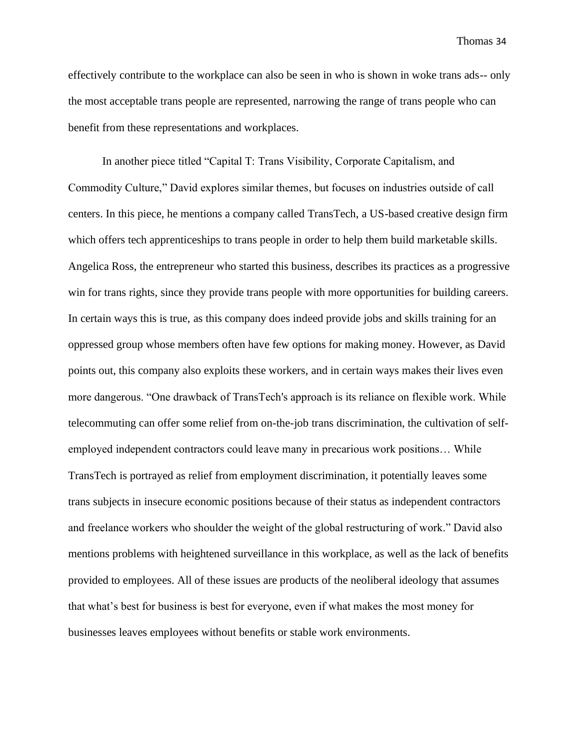effectively contribute to the workplace can also be seen in who is shown in woke trans ads-- only the most acceptable trans people are represented, narrowing the range of trans people who can benefit from these representations and workplaces.

In another piece titled "Capital T: Trans Visibility, Corporate Capitalism, and Commodity Culture," David explores similar themes, but focuses on industries outside of call centers. In this piece, he mentions a company called TransTech, a US-based creative design firm which offers tech apprenticeships to trans people in order to help them build marketable skills. Angelica Ross, the entrepreneur who started this business, describes its practices as a progressive win for trans rights, since they provide trans people with more opportunities for building careers. In certain ways this is true, as this company does indeed provide jobs and skills training for an oppressed group whose members often have few options for making money. However, as David points out, this company also exploits these workers, and in certain ways makes their lives even more dangerous. "One drawback of TransTech's approach is its reliance on flexible work. While telecommuting can offer some relief from on-the-job trans discrimination, the cultivation of selfemployed independent contractors could leave many in precarious work positions… While TransTech is portrayed as relief from employment discrimination, it potentially leaves some trans subjects in insecure economic positions because of their status as independent contractors and freelance workers who shoulder the weight of the global restructuring of work." David also mentions problems with heightened surveillance in this workplace, as well as the lack of benefits provided to employees. All of these issues are products of the neoliberal ideology that assumes that what's best for business is best for everyone, even if what makes the most money for businesses leaves employees without benefits or stable work environments.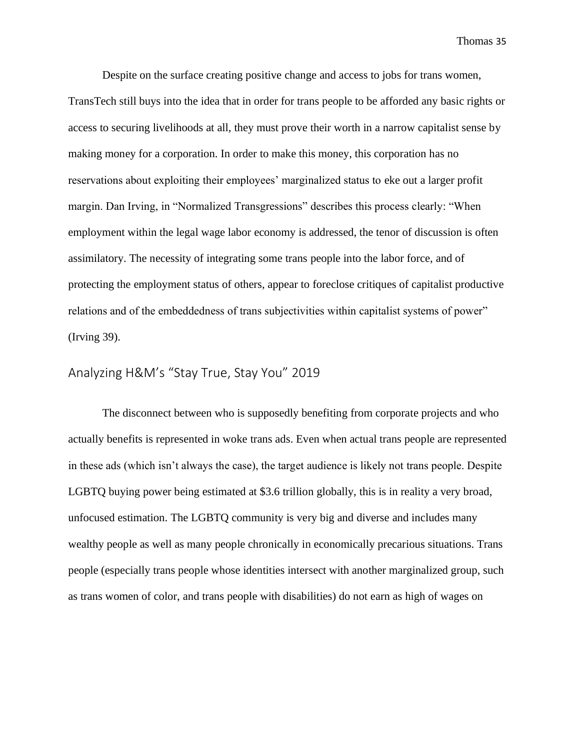Despite on the surface creating positive change and access to jobs for trans women, TransTech still buys into the idea that in order for trans people to be afforded any basic rights or access to securing livelihoods at all, they must prove their worth in a narrow capitalist sense by making money for a corporation. In order to make this money, this corporation has no reservations about exploiting their employees' marginalized status to eke out a larger profit margin. Dan Irving, in "Normalized Transgressions" describes this process clearly: "When employment within the legal wage labor economy is addressed, the tenor of discussion is often assimilatory. The necessity of integrating some trans people into the labor force, and of protecting the employment status of others, appear to foreclose critiques of capitalist productive relations and of the embeddedness of trans subjectivities within capitalist systems of power" (Irving 39).

### Analyzing H&M's "Stay True, Stay You" 2019

The disconnect between who is supposedly benefiting from corporate projects and who actually benefits is represented in woke trans ads. Even when actual trans people are represented in these ads (which isn't always the case), the target audience is likely not trans people. Despite LGBTQ buying power being estimated at \$3.6 trillion globally, this is in reality a very broad, unfocused estimation. The LGBTQ community is very big and diverse and includes many wealthy people as well as many people chronically in economically precarious situations. Trans people (especially trans people whose identities intersect with another marginalized group, such as trans women of color, and trans people with disabilities) do not earn as high of wages on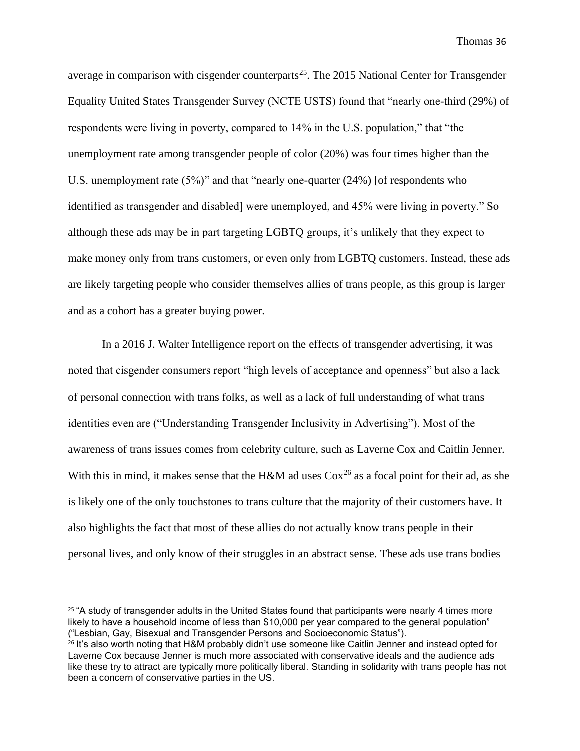average in comparison with cisgender counterparts<sup>25</sup>. The 2015 National Center for Transgender Equality United States Transgender Survey (NCTE USTS) found that "nearly one-third (29%) of respondents were living in poverty, compared to 14% in the U.S. population," that "the unemployment rate among transgender people of color (20%) was four times higher than the U.S. unemployment rate (5%)" and that "nearly one-quarter (24%) [of respondents who identified as transgender and disabled] were unemployed, and 45% were living in poverty." So although these ads may be in part targeting LGBTQ groups, it's unlikely that they expect to make money only from trans customers, or even only from LGBTQ customers. Instead, these ads are likely targeting people who consider themselves allies of trans people, as this group is larger and as a cohort has a greater buying power.

In a 2016 J. Walter Intelligence report on the effects of transgender advertising, it was noted that cisgender consumers report "high levels of acceptance and openness" but also a lack of personal connection with trans folks, as well as a lack of full understanding of what trans identities even are ("Understanding Transgender Inclusivity in Advertising"). Most of the awareness of trans issues comes from celebrity culture, such as Laverne Cox and Caitlin Jenner. With this in mind, it makes sense that the H&M ad uses  $\cos^{26}$  as a focal point for their ad, as she is likely one of the only touchstones to trans culture that the majority of their customers have. It also highlights the fact that most of these allies do not actually know trans people in their personal lives, and only know of their struggles in an abstract sense. These ads use trans bodies

<sup>&</sup>lt;sup>25</sup> "A study of transgender adults in the United States found that participants were nearly 4 times more likely to have a household income of less than \$10,000 per year compared to the general population" ("Lesbian, Gay, Bisexual and Transgender Persons and Socioeconomic Status").

 $26$  It's also worth noting that H&M probably didn't use someone like Caitlin Jenner and instead opted for Laverne Cox because Jenner is much more associated with conservative ideals and the audience ads like these try to attract are typically more politically liberal. Standing in solidarity with trans people has not been a concern of conservative parties in the US.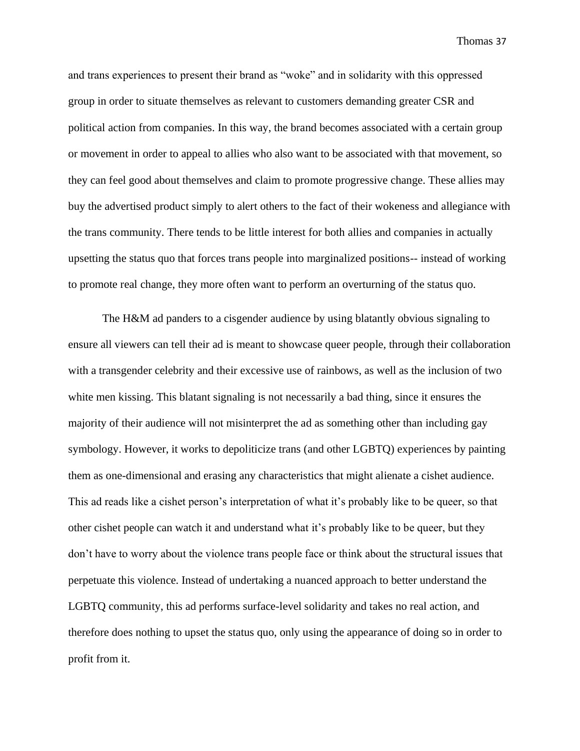and trans experiences to present their brand as "woke" and in solidarity with this oppressed group in order to situate themselves as relevant to customers demanding greater CSR and political action from companies. In this way, the brand becomes associated with a certain group or movement in order to appeal to allies who also want to be associated with that movement, so they can feel good about themselves and claim to promote progressive change. These allies may buy the advertised product simply to alert others to the fact of their wokeness and allegiance with the trans community. There tends to be little interest for both allies and companies in actually upsetting the status quo that forces trans people into marginalized positions-- instead of working to promote real change, they more often want to perform an overturning of the status quo.

The H&M ad panders to a cisgender audience by using blatantly obvious signaling to ensure all viewers can tell their ad is meant to showcase queer people, through their collaboration with a transgender celebrity and their excessive use of rainbows, as well as the inclusion of two white men kissing. This blatant signaling is not necessarily a bad thing, since it ensures the majority of their audience will not misinterpret the ad as something other than including gay symbology. However, it works to depoliticize trans (and other LGBTQ) experiences by painting them as one-dimensional and erasing any characteristics that might alienate a cishet audience. This ad reads like a cishet person's interpretation of what it's probably like to be queer, so that other cishet people can watch it and understand what it's probably like to be queer, but they don't have to worry about the violence trans people face or think about the structural issues that perpetuate this violence. Instead of undertaking a nuanced approach to better understand the LGBTQ community, this ad performs surface-level solidarity and takes no real action, and therefore does nothing to upset the status quo, only using the appearance of doing so in order to profit from it.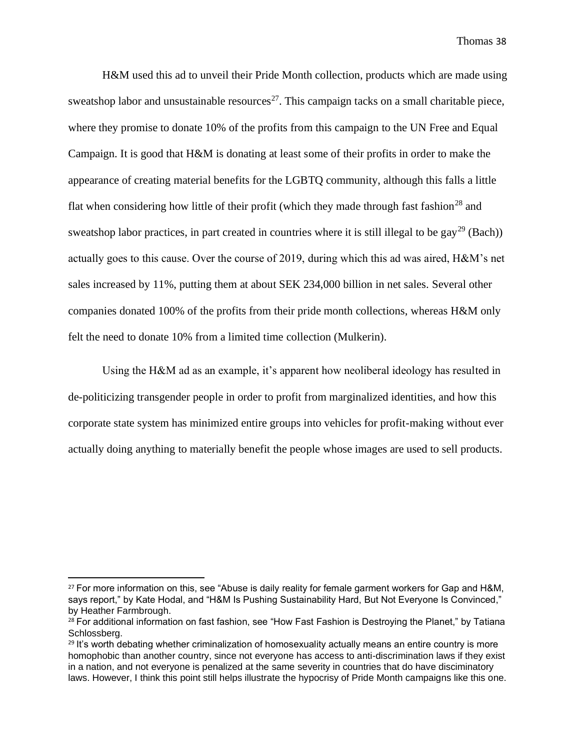H&M used this ad to unveil their Pride Month collection, products which are made using sweatshop labor and unsustainable resources<sup>27</sup>. This campaign tacks on a small charitable piece, where they promise to donate 10% of the profits from this campaign to the UN Free and Equal Campaign. It is good that H&M is donating at least some of their profits in order to make the appearance of creating material benefits for the LGBTQ community, although this falls a little flat when considering how little of their profit (which they made through fast fashion<sup>28</sup> and sweatshop labor practices, in part created in countries where it is still illegal to be gay<sup>29</sup> (Bach)) actually goes to this cause. Over the course of 2019, during which this ad was aired, H&M's net sales increased by 11%, putting them at about SEK 234,000 billion in net sales. Several other companies donated 100% of the profits from their pride month collections, whereas H&M only felt the need to donate 10% from a limited time collection (Mulkerin).

Using the H&M ad as an example, it's apparent how neoliberal ideology has resulted in de-politicizing transgender people in order to profit from marginalized identities, and how this corporate state system has minimized entire groups into vehicles for profit-making without ever actually doing anything to materially benefit the people whose images are used to sell products.

<sup>&</sup>lt;sup>27</sup> For more information on this, see "Abuse is daily reality for female garment workers for Gap and H&M, says report," by Kate Hodal, and "H&M Is Pushing Sustainability Hard, But Not Everyone Is Convinced," by Heather Farmbrough.

<sup>&</sup>lt;sup>28</sup> For additional information on fast fashion, see "How Fast Fashion is Destroying the Planet," by Tatiana Schlossberg.

<sup>&</sup>lt;sup>29</sup> It's worth debating whether criminalization of homosexuality actually means an entire country is more homophobic than another country, since not everyone has access to anti-discrimination laws if they exist in a nation, and not everyone is penalized at the same severity in countries that do have disciminatory laws. However, I think this point still helps illustrate the hypocrisy of Pride Month campaigns like this one.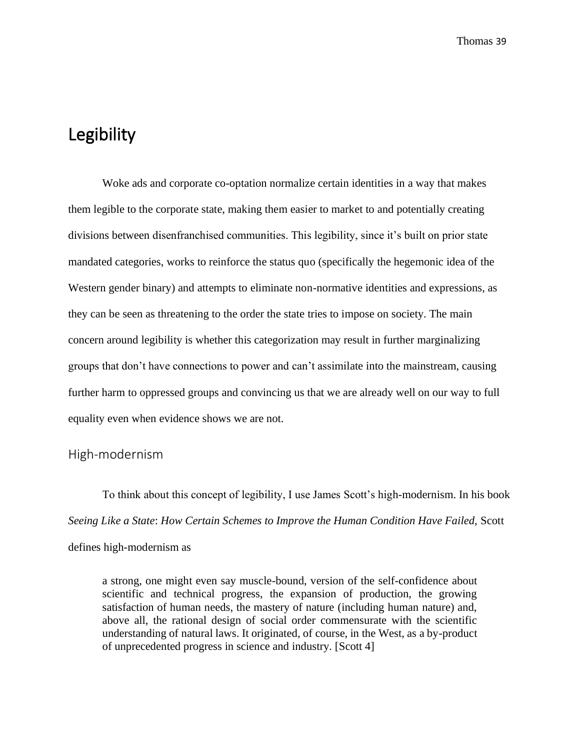# Legibility

Woke ads and corporate co-optation normalize certain identities in a way that makes them legible to the corporate state, making them easier to market to and potentially creating divisions between disenfranchised communities. This legibility, since it's built on prior state mandated categories, works to reinforce the status quo (specifically the hegemonic idea of the Western gender binary) and attempts to eliminate non-normative identities and expressions, as they can be seen as threatening to the order the state tries to impose on society. The main concern around legibility is whether this categorization may result in further marginalizing groups that don't have connections to power and can't assimilate into the mainstream, causing further harm to oppressed groups and convincing us that we are already well on our way to full equality even when evidence shows we are not.

#### High-modernism

To think about this concept of legibility, I use James Scott's high-modernism. In his book *Seeing Like a State*: *How Certain Schemes to Improve the Human Condition Have Failed,* Scott defines high-modernism as

a strong, one might even say muscle-bound, version of the self-confidence about scientific and technical progress, the expansion of production, the growing satisfaction of human needs, the mastery of nature (including human nature) and, above all, the rational design of social order commensurate with the scientific understanding of natural laws. It originated, of course, in the West, as a by-product of unprecedented progress in science and industry. [Scott 4]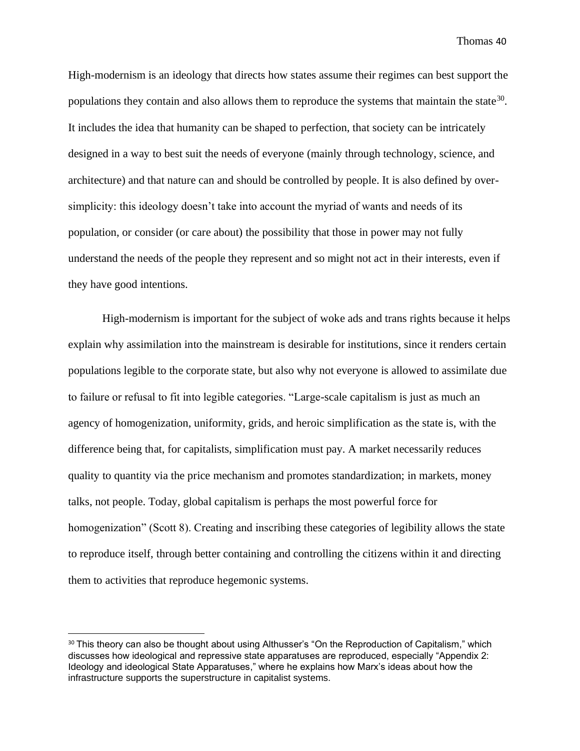High-modernism is an ideology that directs how states assume their regimes can best support the populations they contain and also allows them to reproduce the systems that maintain the state<sup>30</sup>. It includes the idea that humanity can be shaped to perfection, that society can be intricately designed in a way to best suit the needs of everyone (mainly through technology, science, and architecture) and that nature can and should be controlled by people. It is also defined by oversimplicity: this ideology doesn't take into account the myriad of wants and needs of its population, or consider (or care about) the possibility that those in power may not fully understand the needs of the people they represent and so might not act in their interests, even if they have good intentions.

High-modernism is important for the subject of woke ads and trans rights because it helps explain why assimilation into the mainstream is desirable for institutions, since it renders certain populations legible to the corporate state, but also why not everyone is allowed to assimilate due to failure or refusal to fit into legible categories. "Large-scale capitalism is just as much an agency of homogenization, uniformity, grids, and heroic simplification as the state is, with the difference being that, for capitalists, simplification must pay. A market necessarily reduces quality to quantity via the price mechanism and promotes standardization; in markets, money talks, not people. Today, global capitalism is perhaps the most powerful force for homogenization" (Scott 8). Creating and inscribing these categories of legibility allows the state to reproduce itself, through better containing and controlling the citizens within it and directing them to activities that reproduce hegemonic systems.

<sup>&</sup>lt;sup>30</sup> This theory can also be thought about using Althusser's "On the Reproduction of Capitalism," which discusses how ideological and repressive state apparatuses are reproduced, especially "Appendix 2: Ideology and ideological State Apparatuses," where he explains how Marx's ideas about how the infrastructure supports the superstructure in capitalist systems.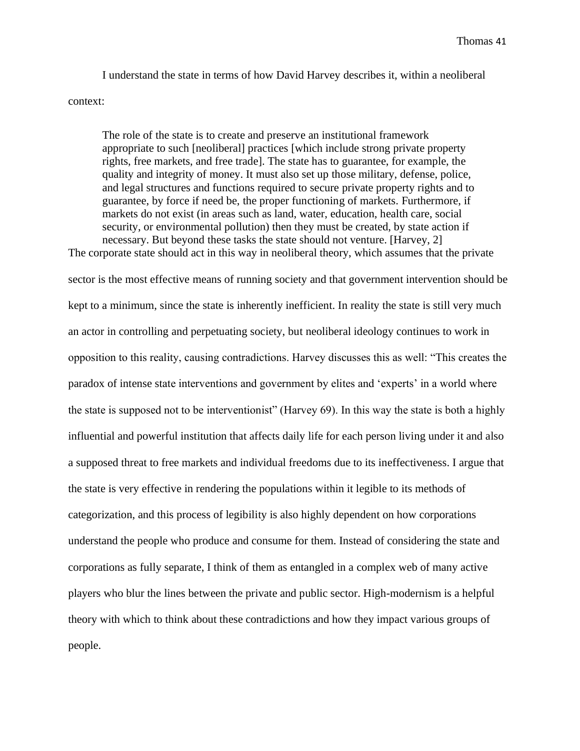I understand the state in terms of how David Harvey describes it, within a neoliberal context:

The role of the state is to create and preserve an institutional framework appropriate to such [neoliberal] practices [which include strong private property rights, free markets, and free trade]. The state has to guarantee, for example, the quality and integrity of money. It must also set up those military, defense, police, and legal structures and functions required to secure private property rights and to guarantee, by force if need be, the proper functioning of markets. Furthermore, if markets do not exist (in areas such as land, water, education, health care, social security, or environmental pollution) then they must be created, by state action if necessary. But beyond these tasks the state should not venture. [Harvey, 2]

The corporate state should act in this way in neoliberal theory, which assumes that the private sector is the most effective means of running society and that government intervention should be kept to a minimum, since the state is inherently inefficient. In reality the state is still very much an actor in controlling and perpetuating society, but neoliberal ideology continues to work in opposition to this reality, causing contradictions. Harvey discusses this as well: "This creates the paradox of intense state interventions and government by elites and 'experts' in a world where the state is supposed not to be interventionist" (Harvey 69). In this way the state is both a highly influential and powerful institution that affects daily life for each person living under it and also a supposed threat to free markets and individual freedoms due to its ineffectiveness. I argue that the state is very effective in rendering the populations within it legible to its methods of categorization, and this process of legibility is also highly dependent on how corporations understand the people who produce and consume for them. Instead of considering the state and corporations as fully separate, I think of them as entangled in a complex web of many active players who blur the lines between the private and public sector. High-modernism is a helpful theory with which to think about these contradictions and how they impact various groups of people.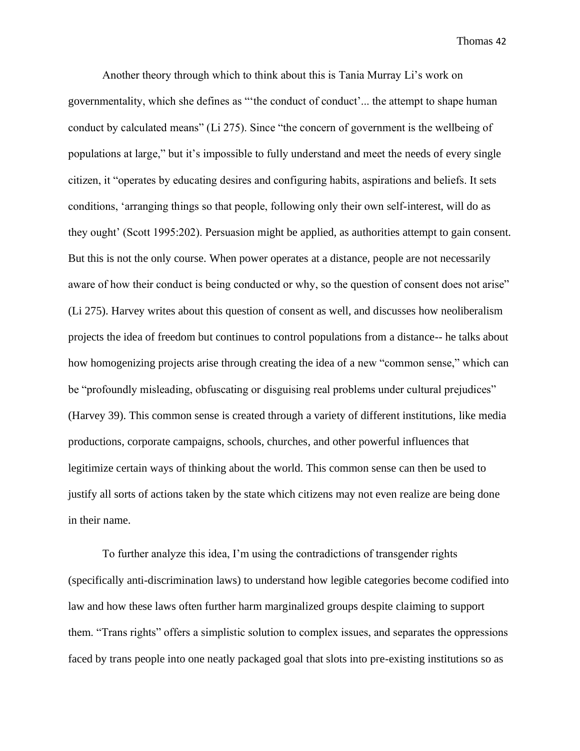Another theory through which to think about this is Tania Murray Li's work on governmentality, which she defines as "'the conduct of conduct'... the attempt to shape human conduct by calculated means" (Li 275). Since "the concern of government is the wellbeing of populations at large," but it's impossible to fully understand and meet the needs of every single citizen, it "operates by educating desires and configuring habits, aspirations and beliefs. It sets conditions, 'arranging things so that people, following only their own self-interest, will do as they ought' (Scott 1995:202). Persuasion might be applied, as authorities attempt to gain consent. But this is not the only course. When power operates at a distance, people are not necessarily aware of how their conduct is being conducted or why, so the question of consent does not arise" (Li 275). Harvey writes about this question of consent as well, and discusses how neoliberalism projects the idea of freedom but continues to control populations from a distance-- he talks about how homogenizing projects arise through creating the idea of a new "common sense," which can be "profoundly misleading, obfuscating or disguising real problems under cultural prejudices" (Harvey 39). This common sense is created through a variety of different institutions, like media productions, corporate campaigns, schools, churches, and other powerful influences that legitimize certain ways of thinking about the world. This common sense can then be used to justify all sorts of actions taken by the state which citizens may not even realize are being done in their name.

To further analyze this idea, I'm using the contradictions of transgender rights (specifically anti-discrimination laws) to understand how legible categories become codified into law and how these laws often further harm marginalized groups despite claiming to support them. "Trans rights" offers a simplistic solution to complex issues, and separates the oppressions faced by trans people into one neatly packaged goal that slots into pre-existing institutions so as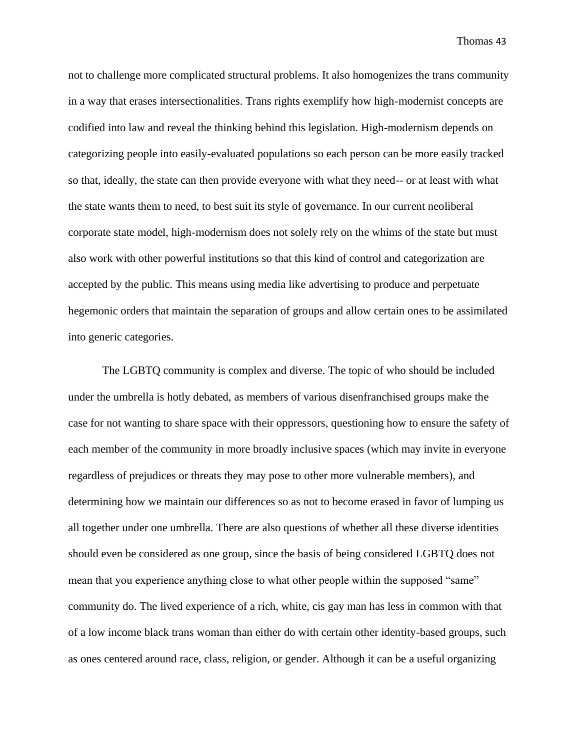not to challenge more complicated structural problems. It also homogenizes the trans community in a way that erases intersectionalities. Trans rights exemplify how high-modernist concepts are codified into law and reveal the thinking behind this legislation. High-modernism depends on categorizing people into easily-evaluated populations so each person can be more easily tracked so that, ideally, the state can then provide everyone with what they need-- or at least with what the state wants them to need, to best suit its style of governance. In our current neoliberal corporate state model, high-modernism does not solely rely on the whims of the state but must also work with other powerful institutions so that this kind of control and categorization are accepted by the public. This means using media like advertising to produce and perpetuate hegemonic orders that maintain the separation of groups and allow certain ones to be assimilated into generic categories.

The LGBTQ community is complex and diverse. The topic of who should be included under the umbrella is hotly debated, as members of various disenfranchised groups make the case for not wanting to share space with their oppressors, questioning how to ensure the safety of each member of the community in more broadly inclusive spaces (which may invite in everyone regardless of prejudices or threats they may pose to other more vulnerable members), and determining how we maintain our differences so as not to become erased in favor of lumping us all together under one umbrella. There are also questions of whether all these diverse identities should even be considered as one group, since the basis of being considered LGBTQ does not mean that you experience anything close to what other people within the supposed "same" community do. The lived experience of a rich, white, cis gay man has less in common with that of a low income black trans woman than either do with certain other identity-based groups, such as ones centered around race, class, religion, or gender. Although it can be a useful organizing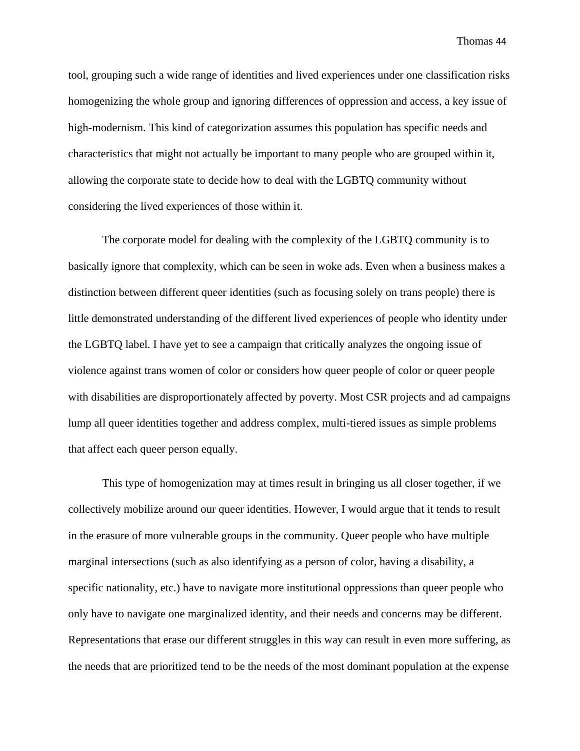tool, grouping such a wide range of identities and lived experiences under one classification risks homogenizing the whole group and ignoring differences of oppression and access, a key issue of high-modernism. This kind of categorization assumes this population has specific needs and characteristics that might not actually be important to many people who are grouped within it, allowing the corporate state to decide how to deal with the LGBTQ community without considering the lived experiences of those within it.

The corporate model for dealing with the complexity of the LGBTQ community is to basically ignore that complexity, which can be seen in woke ads. Even when a business makes a distinction between different queer identities (such as focusing solely on trans people) there is little demonstrated understanding of the different lived experiences of people who identity under the LGBTQ label. I have yet to see a campaign that critically analyzes the ongoing issue of violence against trans women of color or considers how queer people of color or queer people with disabilities are disproportionately affected by poverty. Most CSR projects and ad campaigns lump all queer identities together and address complex, multi-tiered issues as simple problems that affect each queer person equally.

This type of homogenization may at times result in bringing us all closer together, if we collectively mobilize around our queer identities. However, I would argue that it tends to result in the erasure of more vulnerable groups in the community. Queer people who have multiple marginal intersections (such as also identifying as a person of color, having a disability, a specific nationality, etc.) have to navigate more institutional oppressions than queer people who only have to navigate one marginalized identity, and their needs and concerns may be different. Representations that erase our different struggles in this way can result in even more suffering, as the needs that are prioritized tend to be the needs of the most dominant population at the expense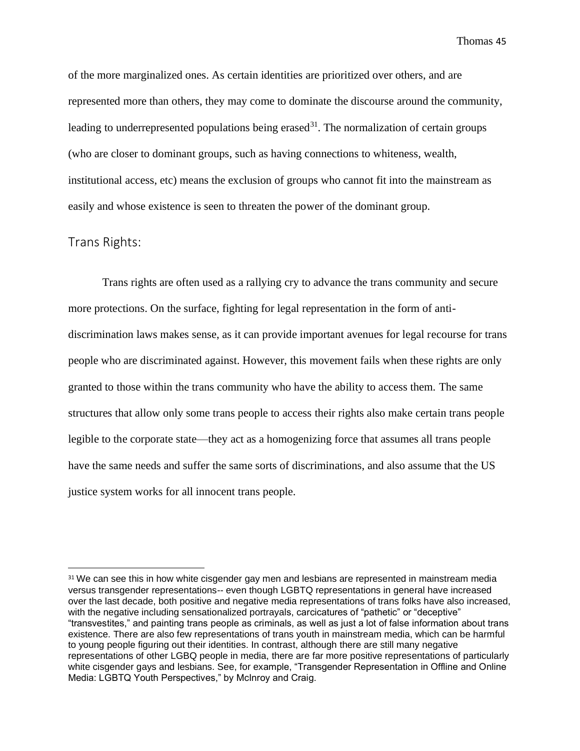of the more marginalized ones. As certain identities are prioritized over others, and are represented more than others, they may come to dominate the discourse around the community, leading to underrepresented populations being erased<sup>31</sup>. The normalization of certain groups (who are closer to dominant groups, such as having connections to whiteness, wealth, institutional access, etc) means the exclusion of groups who cannot fit into the mainstream as easily and whose existence is seen to threaten the power of the dominant group.

#### Trans Rights:

Trans rights are often used as a rallying cry to advance the trans community and secure more protections. On the surface, fighting for legal representation in the form of antidiscrimination laws makes sense, as it can provide important avenues for legal recourse for trans people who are discriminated against. However, this movement fails when these rights are only granted to those within the trans community who have the ability to access them. The same structures that allow only some trans people to access their rights also make certain trans people legible to the corporate state—they act as a homogenizing force that assumes all trans people have the same needs and suffer the same sorts of discriminations, and also assume that the US justice system works for all innocent trans people.

<sup>&</sup>lt;sup>31</sup> We can see this in how white cisgender gay men and lesbians are represented in mainstream media versus transgender representations-- even though LGBTQ representations in general have increased over the last decade, both positive and negative media representations of trans folks have also increased, with the negative including sensationalized portrayals, carcicatures of "pathetic" or "deceptive" "transvestites," and painting trans people as criminals, as well as just a lot of false information about trans existence. There are also few representations of trans youth in mainstream media, which can be harmful to young people figuring out their identities. In contrast, although there are still many negative representations of other LGBQ people in media, there are far more positive representations of particularly white cisgender gays and lesbians. See, for example, "Transgender Representation in Offline and Online Media: LGBTQ Youth Perspectives," by McInroy and Craig.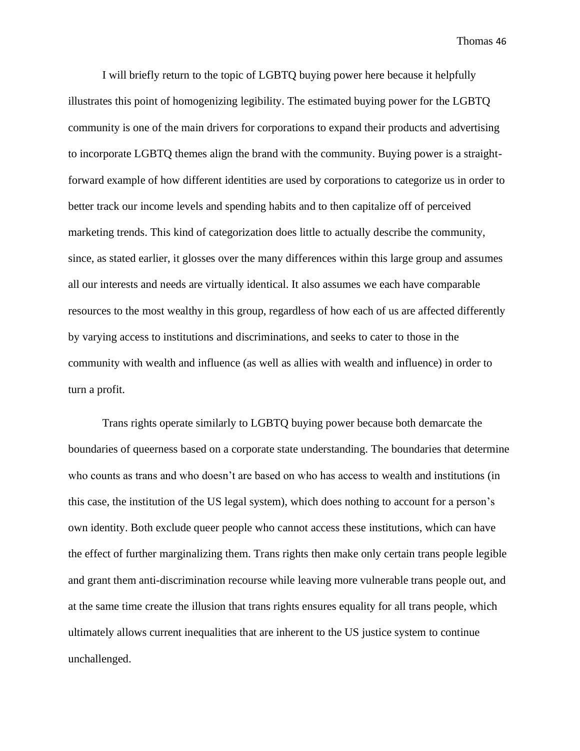I will briefly return to the topic of LGBTQ buying power here because it helpfully illustrates this point of homogenizing legibility. The estimated buying power for the LGBTQ community is one of the main drivers for corporations to expand their products and advertising to incorporate LGBTQ themes align the brand with the community. Buying power is a straightforward example of how different identities are used by corporations to categorize us in order to better track our income levels and spending habits and to then capitalize off of perceived marketing trends. This kind of categorization does little to actually describe the community, since, as stated earlier, it glosses over the many differences within this large group and assumes all our interests and needs are virtually identical. It also assumes we each have comparable resources to the most wealthy in this group, regardless of how each of us are affected differently by varying access to institutions and discriminations, and seeks to cater to those in the community with wealth and influence (as well as allies with wealth and influence) in order to turn a profit.

Trans rights operate similarly to LGBTQ buying power because both demarcate the boundaries of queerness based on a corporate state understanding. The boundaries that determine who counts as trans and who doesn't are based on who has access to wealth and institutions (in this case, the institution of the US legal system), which does nothing to account for a person's own identity. Both exclude queer people who cannot access these institutions, which can have the effect of further marginalizing them. Trans rights then make only certain trans people legible and grant them anti-discrimination recourse while leaving more vulnerable trans people out, and at the same time create the illusion that trans rights ensures equality for all trans people, which ultimately allows current inequalities that are inherent to the US justice system to continue unchallenged.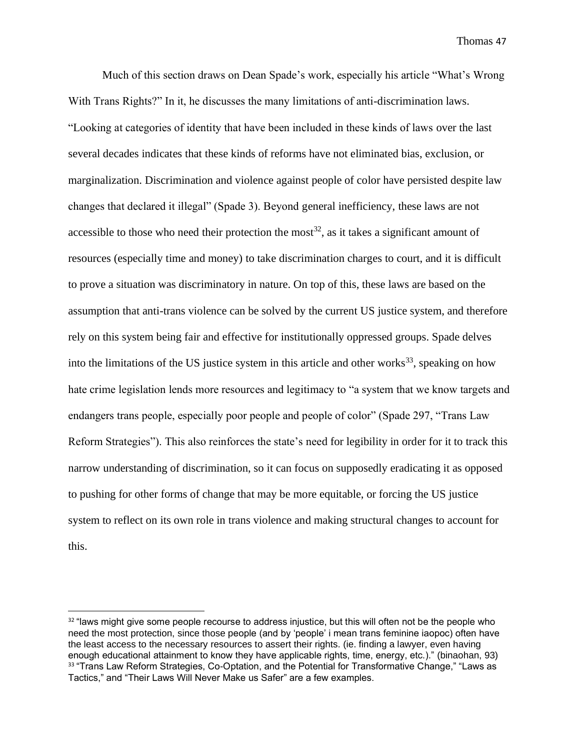Much of this section draws on Dean Spade's work, especially his article "What's Wrong With Trans Rights?" In it, he discusses the many limitations of anti-discrimination laws. "Looking at categories of identity that have been included in these kinds of laws over the last several decades indicates that these kinds of reforms have not eliminated bias, exclusion, or marginalization. Discrimination and violence against people of color have persisted despite law changes that declared it illegal" (Spade 3). Beyond general inefficiency, these laws are not accessible to those who need their protection the most<sup>32</sup>, as it takes a significant amount of resources (especially time and money) to take discrimination charges to court, and it is difficult to prove a situation was discriminatory in nature. On top of this, these laws are based on the assumption that anti-trans violence can be solved by the current US justice system, and therefore rely on this system being fair and effective for institutionally oppressed groups. Spade delves into the limitations of the US justice system in this article and other works<sup>33</sup>, speaking on how hate crime legislation lends more resources and legitimacy to "a system that we know targets and endangers trans people, especially poor people and people of color" (Spade 297, "Trans Law Reform Strategies"). This also reinforces the state's need for legibility in order for it to track this narrow understanding of discrimination, so it can focus on supposedly eradicating it as opposed to pushing for other forms of change that may be more equitable, or forcing the US justice system to reflect on its own role in trans violence and making structural changes to account for this.

<sup>&</sup>lt;sup>32</sup> "laws might give some people recourse to address injustice, but this will often not be the people who need the most protection, since those people (and by 'people' i mean trans feminine iaopoc) often have the least access to the necessary resources to assert their rights. (ie. finding a lawyer, even having enough educational attainment to know they have applicable rights, time, energy, etc.)." (binaohan, 93) <sup>33</sup> "Trans Law Reform Strategies, Co-Optation, and the Potential for Transformative Change," "Laws as Tactics," and "Their Laws Will Never Make us Safer" are a few examples.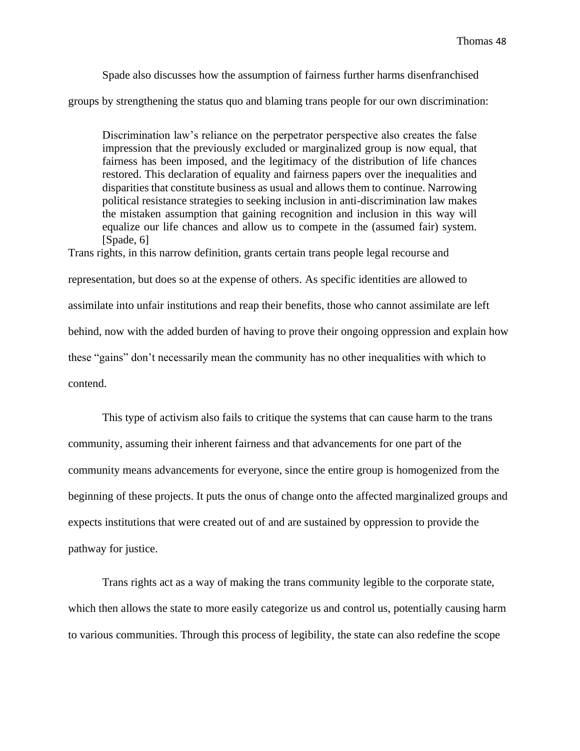Spade also discusses how the assumption of fairness further harms disenfranchised groups by strengthening the status quo and blaming trans people for our own discrimination:

Discrimination law's reliance on the perpetrator perspective also creates the false impression that the previously excluded or marginalized group is now equal, that fairness has been imposed, and the legitimacy of the distribution of life chances restored. This declaration of equality and fairness papers over the inequalities and disparities that constitute business as usual and allows them to continue. Narrowing political resistance strategies to seeking inclusion in anti-discrimination law makes the mistaken assumption that gaining recognition and inclusion in this way will equalize our life chances and allow us to compete in the (assumed fair) system. [Spade, 6]

Trans rights, in this narrow definition, grants certain trans people legal recourse and representation, but does so at the expense of others. As specific identities are allowed to assimilate into unfair institutions and reap their benefits, those who cannot assimilate are left behind, now with the added burden of having to prove their ongoing oppression and explain how these "gains" don't necessarily mean the community has no other inequalities with which to contend.

This type of activism also fails to critique the systems that can cause harm to the trans community, assuming their inherent fairness and that advancements for one part of the community means advancements for everyone, since the entire group is homogenized from the beginning of these projects. It puts the onus of change onto the affected marginalized groups and expects institutions that were created out of and are sustained by oppression to provide the pathway for justice.

Trans rights act as a way of making the trans community legible to the corporate state, which then allows the state to more easily categorize us and control us, potentially causing harm to various communities. Through this process of legibility, the state can also redefine the scope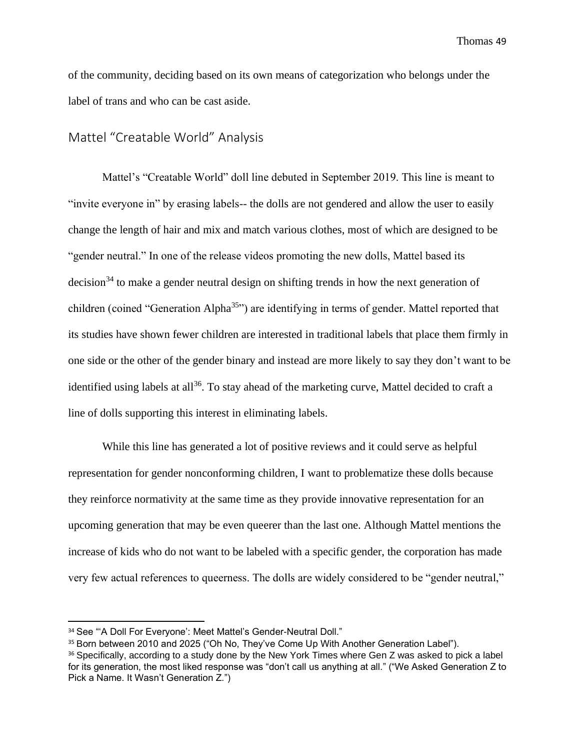of the community, deciding based on its own means of categorization who belongs under the label of trans and who can be cast aside.

### Mattel "Creatable World" Analysis

Mattel's "Creatable World" doll line debuted in September 2019. This line is meant to "invite everyone in" by erasing labels-- the dolls are not gendered and allow the user to easily change the length of hair and mix and match various clothes, most of which are designed to be "gender neutral." In one of the release videos promoting the new dolls, Mattel based its  $decision<sup>34</sup>$  to make a gender neutral design on shifting trends in how the next generation of children (coined "Generation Alpha<sup>35</sup>") are identifying in terms of gender. Mattel reported that its studies have shown fewer children are interested in traditional labels that place them firmly in one side or the other of the gender binary and instead are more likely to say they don't want to be identified using labels at all<sup>36</sup>. To stay ahead of the marketing curve, Mattel decided to craft a line of dolls supporting this interest in eliminating labels.

While this line has generated a lot of positive reviews and it could serve as helpful representation for gender nonconforming children, I want to problematize these dolls because they reinforce normativity at the same time as they provide innovative representation for an upcoming generation that may be even queerer than the last one. Although Mattel mentions the increase of kids who do not want to be labeled with a specific gender, the corporation has made very few actual references to queerness. The dolls are widely considered to be "gender neutral,"

<sup>34</sup> See "'A Doll For Everyone': Meet Mattel's Gender-Neutral Doll."

<sup>&</sup>lt;sup>35</sup> Born between 2010 and 2025 ("Oh No, They've Come Up With Another Generation Label").

<sup>&</sup>lt;sup>36</sup> Specifically, according to a study done by the New York Times where Gen Z was asked to pick a label for its generation, the most liked response was "don't call us anything at all." ("We Asked Generation Z to Pick a Name. It Wasn't Generation Z.")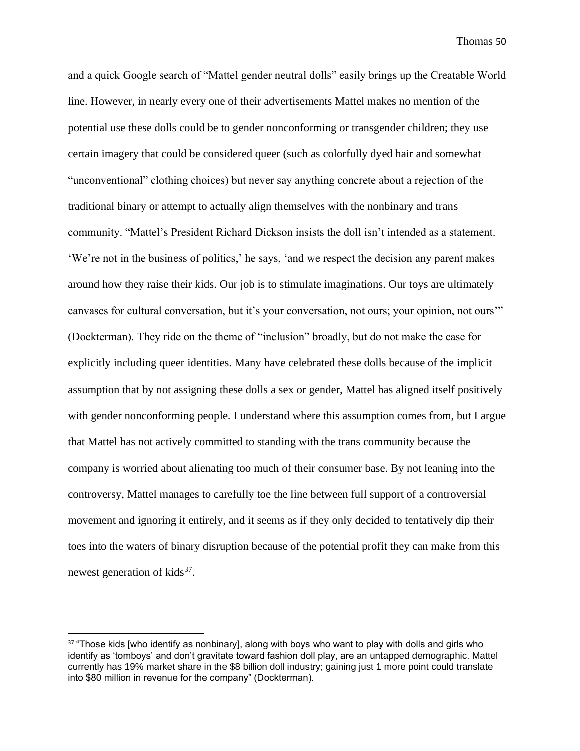and a quick Google search of "Mattel gender neutral dolls" easily brings up the Creatable World line. However, in nearly every one of their advertisements Mattel makes no mention of the potential use these dolls could be to gender nonconforming or transgender children; they use certain imagery that could be considered queer (such as colorfully dyed hair and somewhat "unconventional" clothing choices) but never say anything concrete about a rejection of the traditional binary or attempt to actually align themselves with the nonbinary and trans community. "Mattel's President Richard Dickson insists the doll isn't intended as a statement. 'We're not in the business of politics,' he says, 'and we respect the decision any parent makes around how they raise their kids. Our job is to stimulate imaginations. Our toys are ultimately canvases for cultural conversation, but it's your conversation, not ours; your opinion, not ours'" (Dockterman). They ride on the theme of "inclusion" broadly, but do not make the case for explicitly including queer identities. Many have celebrated these dolls because of the implicit assumption that by not assigning these dolls a sex or gender, Mattel has aligned itself positively with gender nonconforming people. I understand where this assumption comes from, but I argue that Mattel has not actively committed to standing with the trans community because the company is worried about alienating too much of their consumer base. By not leaning into the controversy, Mattel manages to carefully toe the line between full support of a controversial movement and ignoring it entirely, and it seems as if they only decided to tentatively dip their toes into the waters of binary disruption because of the potential profit they can make from this newest generation of kids<sup>37</sup>.

<sup>&</sup>lt;sup>37</sup> "Those kids [who identify as nonbinary], along with boys who want to play with dolls and girls who identify as 'tomboys' and don't gravitate toward fashion doll play, are an untapped demographic. Mattel currently has 19% market share in the \$8 billion doll industry; gaining just 1 more point could translate into \$80 million in revenue for the company" (Dockterman).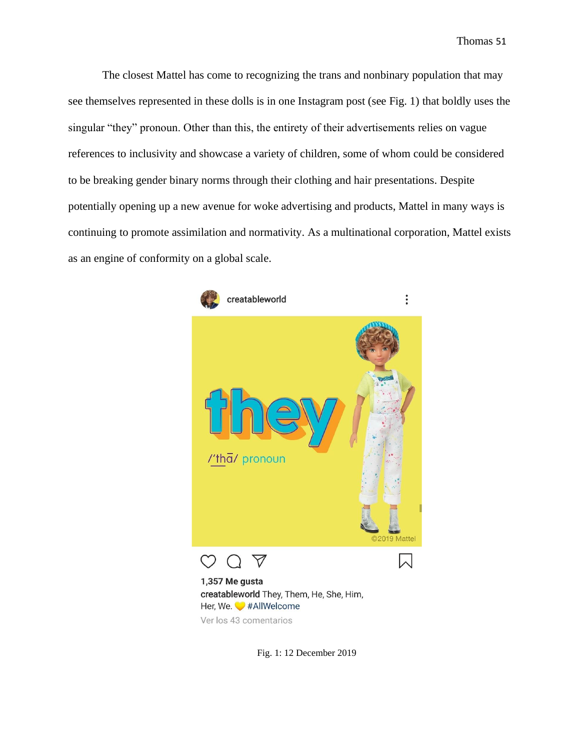The closest Mattel has come to recognizing the trans and nonbinary population that may see themselves represented in these dolls is in one Instagram post (see Fig. 1) that boldly uses the singular "they" pronoun. Other than this, the entirety of their advertisements relies on vague references to inclusivity and showcase a variety of children, some of whom could be considered to be breaking gender binary norms through their clothing and hair presentations. Despite potentially opening up a new avenue for woke advertising and products, Mattel in many ways is continuing to promote assimilation and normativity. As a multinational corporation, Mattel exists as an engine of conformity on a global scale.



Fig. 1: 12 December 2019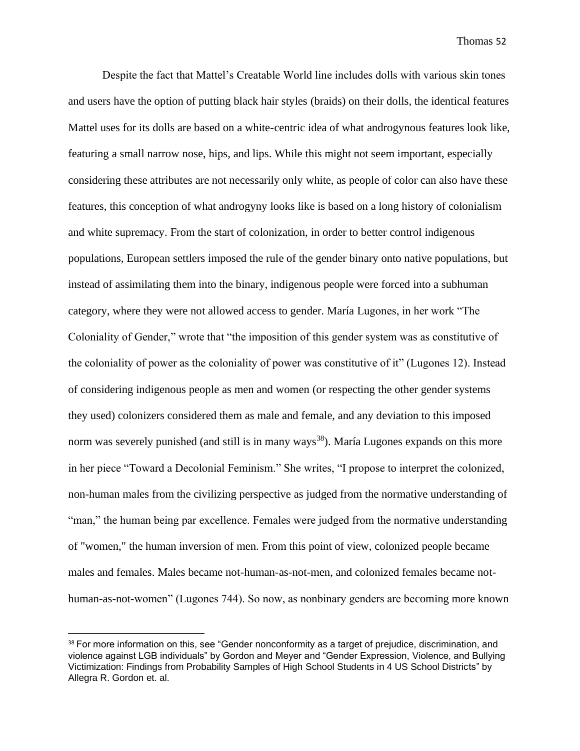Despite the fact that Mattel's Creatable World line includes dolls with various skin tones and users have the option of putting black hair styles (braids) on their dolls, the identical features Mattel uses for its dolls are based on a white-centric idea of what androgynous features look like, featuring a small narrow nose, hips, and lips. While this might not seem important, especially considering these attributes are not necessarily only white, as people of color can also have these features, this conception of what androgyny looks like is based on a long history of colonialism and white supremacy. From the start of colonization, in order to better control indigenous populations, European settlers imposed the rule of the gender binary onto native populations, but instead of assimilating them into the binary, indigenous people were forced into a subhuman category, where they were not allowed access to gender. María Lugones, in her work "The Coloniality of Gender," wrote that "the imposition of this gender system was as constitutive of the coloniality of power as the coloniality of power was constitutive of it" (Lugones 12). Instead of considering indigenous people as men and women (or respecting the other gender systems they used) colonizers considered them as male and female, and any deviation to this imposed norm was severely punished (and still is in many ways<sup>38</sup>). María Lugones expands on this more in her piece "Toward a Decolonial Feminism." She writes, "I propose to interpret the colonized, non-human males from the civilizing perspective as judged from the normative understanding of "man," the human being par excellence. Females were judged from the normative understanding of "women," the human inversion of men. From this point of view, colonized people became males and females. Males became not-human-as-not-men, and colonized females became nothuman-as-not-women" (Lugones 744). So now, as nonbinary genders are becoming more known

<sup>38</sup> For more information on this, see "Gender nonconformity as a target of prejudice, discrimination, and violence against LGB individuals" by Gordon and Meyer and "Gender Expression, Violence, and Bullying Victimization: Findings from Probability Samples of High School Students in 4 US School Districts" by Allegra R. Gordon et. al.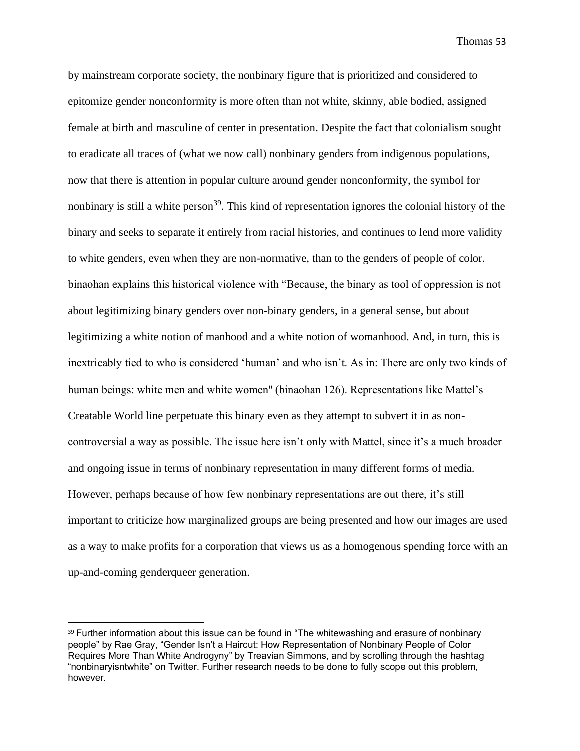by mainstream corporate society, the nonbinary figure that is prioritized and considered to epitomize gender nonconformity is more often than not white, skinny, able bodied, assigned female at birth and masculine of center in presentation. Despite the fact that colonialism sought to eradicate all traces of (what we now call) nonbinary genders from indigenous populations, now that there is attention in popular culture around gender nonconformity, the symbol for nonbinary is still a white person<sup>39</sup>. This kind of representation ignores the colonial history of the binary and seeks to separate it entirely from racial histories, and continues to lend more validity to white genders, even when they are non-normative, than to the genders of people of color. binaohan explains this historical violence with "Because, the binary as tool of oppression is not about legitimizing binary genders over non-binary genders, in a general sense, but about legitimizing a white notion of manhood and a white notion of womanhood. And, in turn, this is inextricably tied to who is considered 'human' and who isn't. As in: There are only two kinds of human beings: white men and white women'' (binaohan 126). Representations like Mattel's Creatable World line perpetuate this binary even as they attempt to subvert it in as noncontroversial a way as possible. The issue here isn't only with Mattel, since it's a much broader and ongoing issue in terms of nonbinary representation in many different forms of media. However, perhaps because of how few nonbinary representations are out there, it's still important to criticize how marginalized groups are being presented and how our images are used as a way to make profits for a corporation that views us as a homogenous spending force with an up-and-coming genderqueer generation.

<sup>&</sup>lt;sup>39</sup> Further information about this issue can be found in "The whitewashing and erasure of nonbinary people" by Rae Gray, "Gender Isn't a Haircut: How Representation of Nonbinary People of Color Requires More Than White Androgyny" by Treavian Simmons, and by scrolling through the hashtag "nonbinaryisntwhite" on Twitter. Further research needs to be done to fully scope out this problem, however.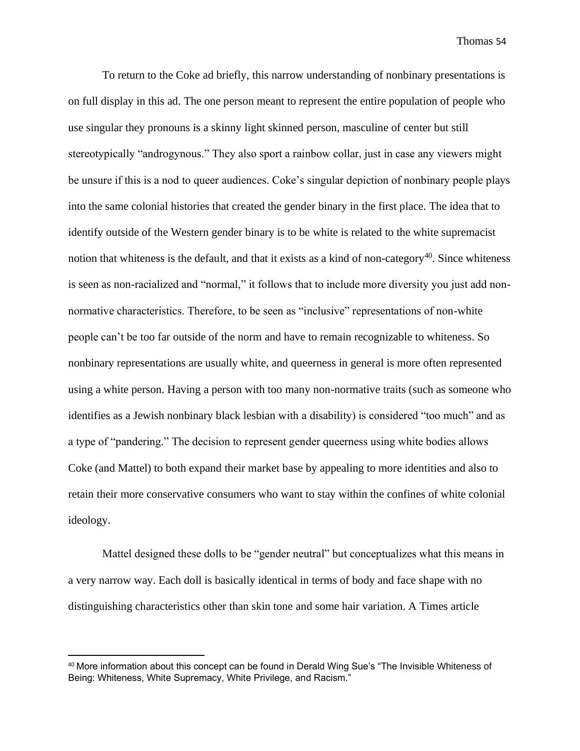To return to the Coke ad briefly, this narrow understanding of nonbinary presentations is on full display in this ad. The one person meant to represent the entire population of people who use singular they pronouns is a skinny light skinned person, masculine of center but still stereotypically "androgynous." They also sport a rainbow collar, just in case any viewers might be unsure if this is a nod to queer audiences. Coke's singular depiction of nonbinary people plays into the same colonial histories that created the gender binary in the first place. The idea that to identify outside of the Western gender binary is to be white is related to the white supremacist notion that whiteness is the default, and that it exists as a kind of non-category<sup>40</sup>. Since whiteness is seen as non-racialized and "normal," it follows that to include more diversity you just add nonnormative characteristics. Therefore, to be seen as "inclusive" representations of non-white people can't be too far outside of the norm and have to remain recognizable to whiteness. So nonbinary representations are usually white, and queerness in general is more often represented using a white person. Having a person with too many non-normative traits (such as someone who identifies as a Jewish nonbinary black lesbian with a disability) is considered "too much" and as a type of "pandering." The decision to represent gender queerness using white bodies allows Coke (and Mattel) to both expand their market base by appealing to more identities and also to retain their more conservative consumers who want to stay within the confines of white colonial ideology.

Mattel designed these dolls to be "gender neutral" but conceptualizes what this means in a very narrow way. Each doll is basically identical in terms of body and face shape with no distinguishing characteristics other than skin tone and some hair variation. A Times article

<sup>40</sup> More information about this concept can be found in Derald Wing Sue's "The Invisible Whiteness of Being: Whiteness, White Supremacy, White Privilege, and Racism."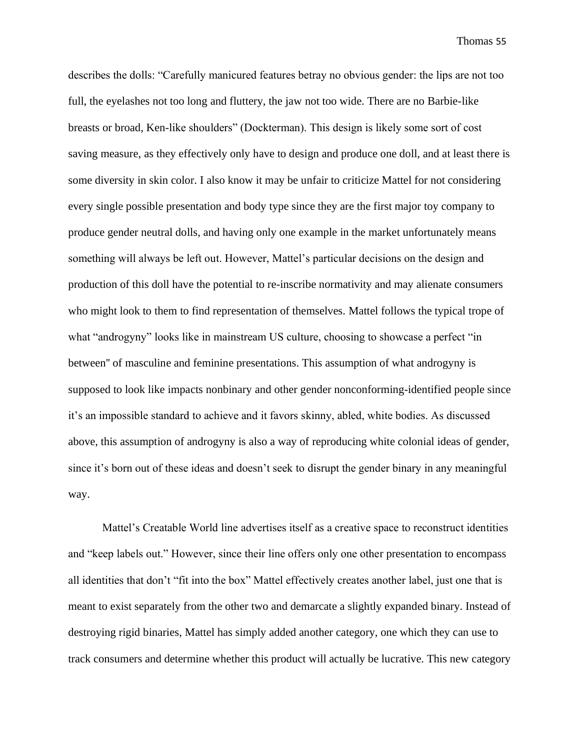describes the dolls: "Carefully manicured features betray no obvious gender: the lips are not too full, the eyelashes not too long and fluttery, the jaw not too wide. There are no Barbie-like breasts or broad, Ken-like shoulders" (Dockterman). This design is likely some sort of cost saving measure, as they effectively only have to design and produce one doll, and at least there is some diversity in skin color. I also know it may be unfair to criticize Mattel for not considering every single possible presentation and body type since they are the first major toy company to produce gender neutral dolls, and having only one example in the market unfortunately means something will always be left out. However, Mattel's particular decisions on the design and production of this doll have the potential to re-inscribe normativity and may alienate consumers who might look to them to find representation of themselves. Mattel follows the typical trope of what "androgyny" looks like in mainstream US culture, choosing to showcase a perfect "in between'' of masculine and feminine presentations. This assumption of what androgyny is supposed to look like impacts nonbinary and other gender nonconforming-identified people since it's an impossible standard to achieve and it favors skinny, abled, white bodies. As discussed above, this assumption of androgyny is also a way of reproducing white colonial ideas of gender, since it's born out of these ideas and doesn't seek to disrupt the gender binary in any meaningful way.

Mattel's Creatable World line advertises itself as a creative space to reconstruct identities and "keep labels out." However, since their line offers only one other presentation to encompass all identities that don't "fit into the box" Mattel effectively creates another label, just one that is meant to exist separately from the other two and demarcate a slightly expanded binary. Instead of destroying rigid binaries, Mattel has simply added another category, one which they can use to track consumers and determine whether this product will actually be lucrative. This new category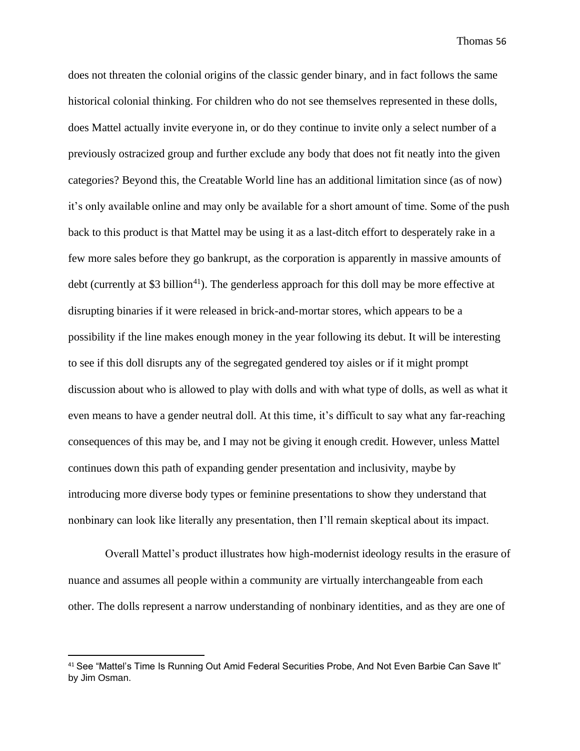does not threaten the colonial origins of the classic gender binary, and in fact follows the same historical colonial thinking. For children who do not see themselves represented in these dolls, does Mattel actually invite everyone in, or do they continue to invite only a select number of a previously ostracized group and further exclude any body that does not fit neatly into the given categories? Beyond this, the Creatable World line has an additional limitation since (as of now) it's only available online and may only be available for a short amount of time. Some of the push back to this product is that Mattel may be using it as a last-ditch effort to desperately rake in a few more sales before they go bankrupt, as the corporation is apparently in massive amounts of debt (currently at \$3 billion<sup>41</sup>). The genderless approach for this doll may be more effective at disrupting binaries if it were released in brick-and-mortar stores, which appears to be a possibility if the line makes enough money in the year following its debut. It will be interesting to see if this doll disrupts any of the segregated gendered toy aisles or if it might prompt discussion about who is allowed to play with dolls and with what type of dolls, as well as what it even means to have a gender neutral doll. At this time, it's difficult to say what any far-reaching consequences of this may be, and I may not be giving it enough credit. However, unless Mattel continues down this path of expanding gender presentation and inclusivity, maybe by introducing more diverse body types or feminine presentations to show they understand that nonbinary can look like literally any presentation, then I'll remain skeptical about its impact.

Overall Mattel's product illustrates how high-modernist ideology results in the erasure of nuance and assumes all people within a community are virtually interchangeable from each other. The dolls represent a narrow understanding of nonbinary identities, and as they are one of

<sup>41</sup> See "Mattel's Time Is Running Out Amid Federal Securities Probe, And Not Even Barbie Can Save It" by Jim Osman.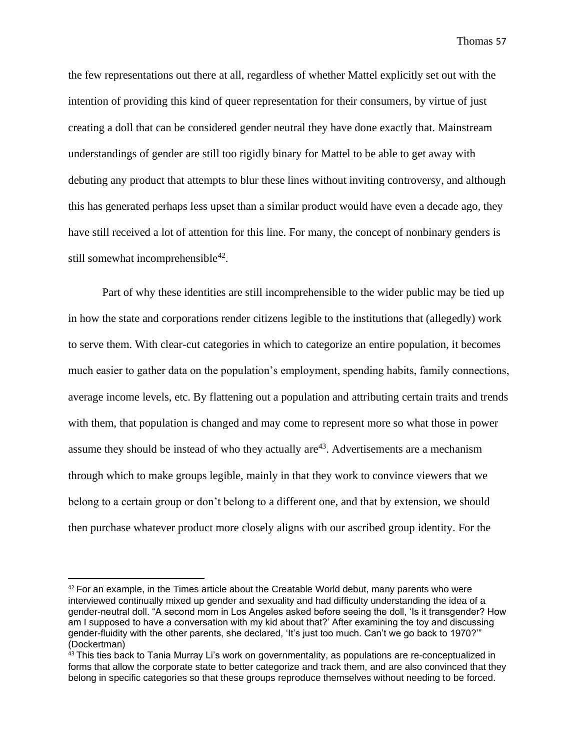the few representations out there at all, regardless of whether Mattel explicitly set out with the intention of providing this kind of queer representation for their consumers, by virtue of just creating a doll that can be considered gender neutral they have done exactly that. Mainstream understandings of gender are still too rigidly binary for Mattel to be able to get away with debuting any product that attempts to blur these lines without inviting controversy, and although this has generated perhaps less upset than a similar product would have even a decade ago, they have still received a lot of attention for this line. For many, the concept of nonbinary genders is still somewhat incomprehensible<sup>42</sup>.

Part of why these identities are still incomprehensible to the wider public may be tied up in how the state and corporations render citizens legible to the institutions that (allegedly) work to serve them. With clear-cut categories in which to categorize an entire population, it becomes much easier to gather data on the population's employment, spending habits, family connections, average income levels, etc. By flattening out a population and attributing certain traits and trends with them, that population is changed and may come to represent more so what those in power assume they should be instead of who they actually  $are^{43}$ . Advertisements are a mechanism through which to make groups legible, mainly in that they work to convince viewers that we belong to a certain group or don't belong to a different one, and that by extension, we should then purchase whatever product more closely aligns with our ascribed group identity. For the

 $42$  For an example, in the Times article about the Creatable World debut, many parents who were interviewed continually mixed up gender and sexuality and had difficulty understanding the idea of a gender-neutral doll. "A second mom in Los Angeles asked before seeing the doll, 'Is it transgender? How am I supposed to have a conversation with my kid about that?' After examining the toy and discussing gender-fluidity with the other parents, she declared, 'It's just too much. Can't we go back to 1970?'" (Dockertman)

<sup>43</sup> This ties back to Tania Murray Li's work on governmentality, as populations are re-conceptualized in forms that allow the corporate state to better categorize and track them, and are also convinced that they belong in specific categories so that these groups reproduce themselves without needing to be forced.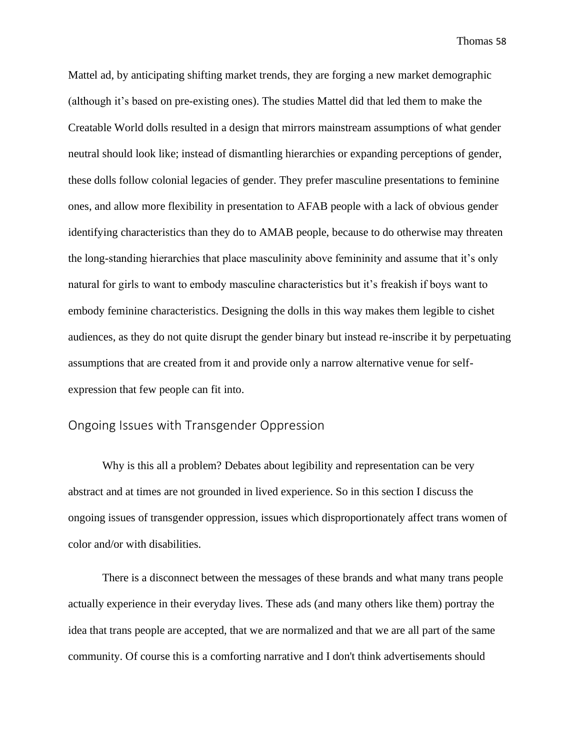Mattel ad, by anticipating shifting market trends, they are forging a new market demographic (although it's based on pre-existing ones). The studies Mattel did that led them to make the Creatable World dolls resulted in a design that mirrors mainstream assumptions of what gender neutral should look like; instead of dismantling hierarchies or expanding perceptions of gender, these dolls follow colonial legacies of gender. They prefer masculine presentations to feminine ones, and allow more flexibility in presentation to AFAB people with a lack of obvious gender identifying characteristics than they do to AMAB people, because to do otherwise may threaten the long-standing hierarchies that place masculinity above femininity and assume that it's only natural for girls to want to embody masculine characteristics but it's freakish if boys want to embody feminine characteristics. Designing the dolls in this way makes them legible to cishet audiences, as they do not quite disrupt the gender binary but instead re-inscribe it by perpetuating assumptions that are created from it and provide only a narrow alternative venue for selfexpression that few people can fit into.

#### Ongoing Issues with Transgender Oppression

Why is this all a problem? Debates about legibility and representation can be very abstract and at times are not grounded in lived experience. So in this section I discuss the ongoing issues of transgender oppression, issues which disproportionately affect trans women of color and/or with disabilities.

There is a disconnect between the messages of these brands and what many trans people actually experience in their everyday lives. These ads (and many others like them) portray the idea that trans people are accepted, that we are normalized and that we are all part of the same community. Of course this is a comforting narrative and I don't think advertisements should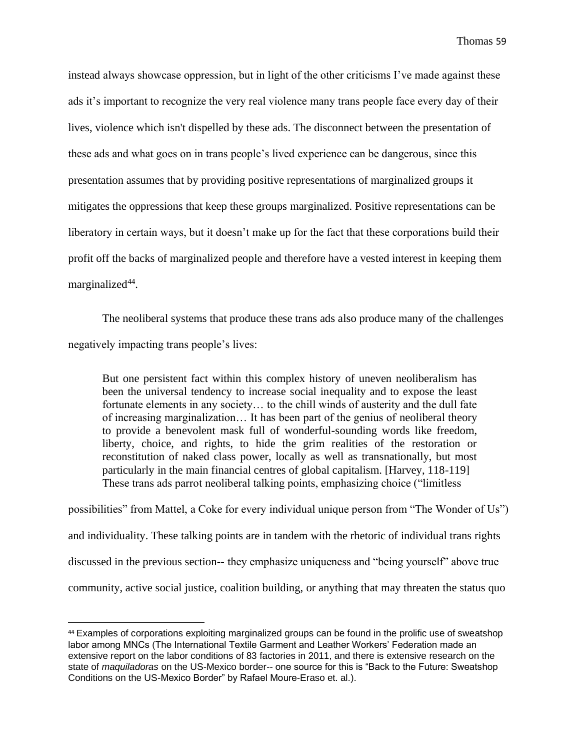instead always showcase oppression, but in light of the other criticisms I've made against these ads it's important to recognize the very real violence many trans people face every day of their lives, violence which isn't dispelled by these ads. The disconnect between the presentation of these ads and what goes on in trans people's lived experience can be dangerous, since this presentation assumes that by providing positive representations of marginalized groups it mitigates the oppressions that keep these groups marginalized. Positive representations can be liberatory in certain ways, but it doesn't make up for the fact that these corporations build their profit off the backs of marginalized people and therefore have a vested interest in keeping them marginalized<sup>44</sup>.

The neoliberal systems that produce these trans ads also produce many of the challenges negatively impacting trans people's lives:

But one persistent fact within this complex history of uneven neoliberalism has been the universal tendency to increase social inequality and to expose the least fortunate elements in any society… to the chill winds of austerity and the dull fate of increasing marginalization… It has been part of the genius of neoliberal theory to provide a benevolent mask full of wonderful-sounding words like freedom, liberty, choice, and rights, to hide the grim realities of the restoration or reconstitution of naked class power, locally as well as transnationally, but most particularly in the main financial centres of global capitalism. [Harvey, 118-119] These trans ads parrot neoliberal talking points, emphasizing choice ("limitless

possibilities" from Mattel, a Coke for every individual unique person from "The Wonder of Us") and individuality. These talking points are in tandem with the rhetoric of individual trans rights discussed in the previous section-- they emphasize uniqueness and "being yourself" above true community, active social justice, coalition building, or anything that may threaten the status quo

<sup>44</sup> Examples of corporations exploiting marginalized groups can be found in the prolific use of sweatshop labor among MNCs (The International Textile Garment and Leather Workers' Federation made an extensive report on the labor conditions of 83 factories in 2011, and there is extensive research on the state of *maquiladoras* on the US-Mexico border-- one source for this is "Back to the Future: Sweatshop Conditions on the US-Mexico Border" by Rafael Moure-Eraso et. al.).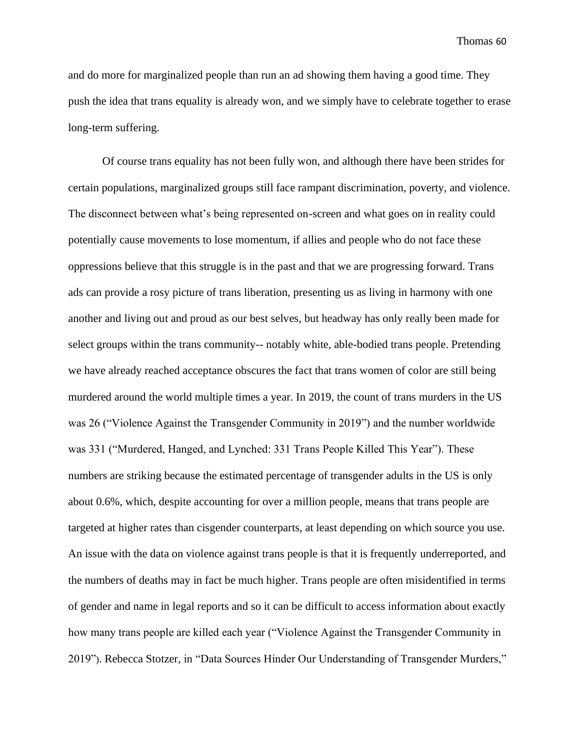and do more for marginalized people than run an ad showing them having a good time. They push the idea that trans equality is already won, and we simply have to celebrate together to erase long-term suffering.

Of course trans equality has not been fully won, and although there have been strides for certain populations, marginalized groups still face rampant discrimination, poverty, and violence. The disconnect between what's being represented on-screen and what goes on in reality could potentially cause movements to lose momentum, if allies and people who do not face these oppressions believe that this struggle is in the past and that we are progressing forward. Trans ads can provide a rosy picture of trans liberation, presenting us as living in harmony with one another and living out and proud as our best selves, but headway has only really been made for select groups within the trans community-- notably white, able-bodied trans people. Pretending we have already reached acceptance obscures the fact that trans women of color are still being murdered around the world multiple times a year. In 2019, the count of trans murders in the US was 26 ("Violence Against the Transgender Community in 2019") and the number worldwide was 331 ("Murdered, Hanged, and Lynched: 331 Trans People Killed This Year"). These numbers are striking because the estimated percentage of transgender adults in the US is only about 0.6%, which, despite accounting for over a million people, means that trans people are targeted at higher rates than cisgender counterparts, at least depending on which source you use. An issue with the data on violence against trans people is that it is frequently underreported, and the numbers of deaths may in fact be much higher. Trans people are often misidentified in terms of gender and name in legal reports and so it can be difficult to access information about exactly how many trans people are killed each year ("Violence Against the Transgender Community in 2019"). Rebecca Stotzer, in "Data Sources Hinder Our Understanding of Transgender Murders,"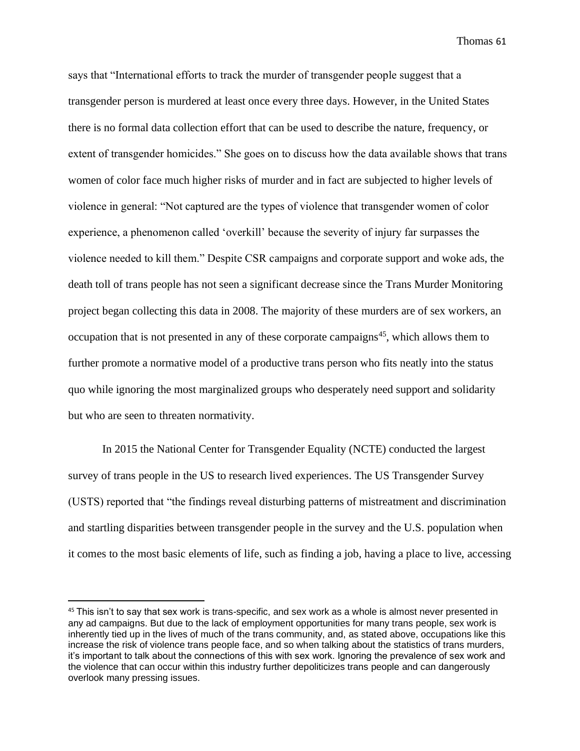says that "International efforts to track the murder of transgender people suggest that a transgender person is murdered at least once every three days. However, in the United States there is no formal data collection effort that can be used to describe the nature, frequency, or extent of transgender homicides." She goes on to discuss how the data available shows that trans women of color face much higher risks of murder and in fact are subjected to higher levels of violence in general: "Not captured are the types of violence that transgender women of color experience, a phenomenon called 'overkill' because the severity of injury far surpasses the violence needed to kill them." Despite CSR campaigns and corporate support and woke ads, the death toll of trans people has not seen a significant decrease since the Trans Murder Monitoring project began collecting this data in 2008. The majority of these murders are of sex workers, an occupation that is not presented in any of these corporate campaigns<sup>45</sup>, which allows them to further promote a normative model of a productive trans person who fits neatly into the status quo while ignoring the most marginalized groups who desperately need support and solidarity but who are seen to threaten normativity.

In 2015 the National Center for Transgender Equality (NCTE) conducted the largest survey of trans people in the US to research lived experiences. The US Transgender Survey (USTS) reported that "the findings reveal disturbing patterns of mistreatment and discrimination and startling disparities between transgender people in the survey and the U.S. population when it comes to the most basic elements of life, such as finding a job, having a place to live, accessing

<sup>45</sup> This isn't to say that sex work is trans-specific, and sex work as a whole is almost never presented in any ad campaigns. But due to the lack of employment opportunities for many trans people, sex work is inherently tied up in the lives of much of the trans community, and, as stated above, occupations like this increase the risk of violence trans people face, and so when talking about the statistics of trans murders, it's important to talk about the connections of this with sex work. Ignoring the prevalence of sex work and the violence that can occur within this industry further depoliticizes trans people and can dangerously overlook many pressing issues.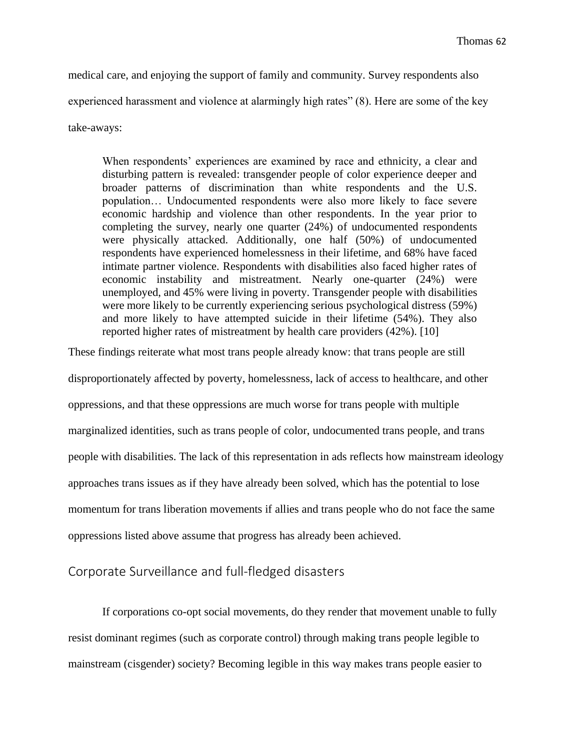medical care, and enjoying the support of family and community. Survey respondents also experienced harassment and violence at alarmingly high rates" (8). Here are some of the key take-aways:

When respondents' experiences are examined by race and ethnicity, a clear and disturbing pattern is revealed: transgender people of color experience deeper and broader patterns of discrimination than white respondents and the U.S. population… Undocumented respondents were also more likely to face severe economic hardship and violence than other respondents. In the year prior to completing the survey, nearly one quarter (24%) of undocumented respondents were physically attacked. Additionally, one half (50%) of undocumented respondents have experienced homelessness in their lifetime, and 68% have faced intimate partner violence. Respondents with disabilities also faced higher rates of economic instability and mistreatment. Nearly one-quarter (24%) were unemployed, and 45% were living in poverty. Transgender people with disabilities were more likely to be currently experiencing serious psychological distress (59%) and more likely to have attempted suicide in their lifetime (54%). They also reported higher rates of mistreatment by health care providers (42%). [10]

These findings reiterate what most trans people already know: that trans people are still

disproportionately affected by poverty, homelessness, lack of access to healthcare, and other oppressions, and that these oppressions are much worse for trans people with multiple marginalized identities, such as trans people of color, undocumented trans people, and trans people with disabilities. The lack of this representation in ads reflects how mainstream ideology approaches trans issues as if they have already been solved, which has the potential to lose momentum for trans liberation movements if allies and trans people who do not face the same oppressions listed above assume that progress has already been achieved.

#### Corporate Surveillance and full-fledged disasters

If corporations co-opt social movements, do they render that movement unable to fully resist dominant regimes (such as corporate control) through making trans people legible to mainstream (cisgender) society? Becoming legible in this way makes trans people easier to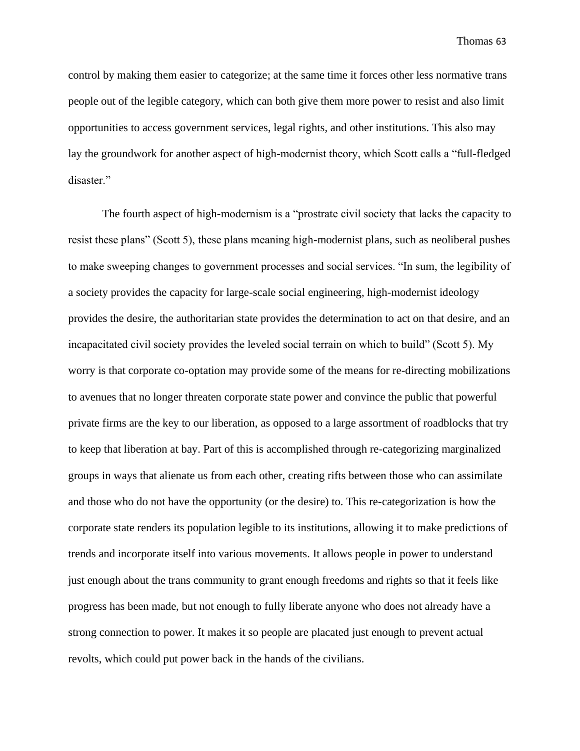control by making them easier to categorize; at the same time it forces other less normative trans people out of the legible category, which can both give them more power to resist and also limit opportunities to access government services, legal rights, and other institutions. This also may lay the groundwork for another aspect of high-modernist theory, which Scott calls a "full-fledged disaster."

The fourth aspect of high-modernism is a "prostrate civil society that lacks the capacity to resist these plans" (Scott 5), these plans meaning high-modernist plans, such as neoliberal pushes to make sweeping changes to government processes and social services. "In sum, the legibility of a society provides the capacity for large-scale social engineering, high-modernist ideology provides the desire, the authoritarian state provides the determination to act on that desire, and an incapacitated civil society provides the leveled social terrain on which to build" (Scott 5). My worry is that corporate co-optation may provide some of the means for re-directing mobilizations to avenues that no longer threaten corporate state power and convince the public that powerful private firms are the key to our liberation, as opposed to a large assortment of roadblocks that try to keep that liberation at bay. Part of this is accomplished through re-categorizing marginalized groups in ways that alienate us from each other, creating rifts between those who can assimilate and those who do not have the opportunity (or the desire) to. This re-categorization is how the corporate state renders its population legible to its institutions, allowing it to make predictions of trends and incorporate itself into various movements. It allows people in power to understand just enough about the trans community to grant enough freedoms and rights so that it feels like progress has been made, but not enough to fully liberate anyone who does not already have a strong connection to power. It makes it so people are placated just enough to prevent actual revolts, which could put power back in the hands of the civilians.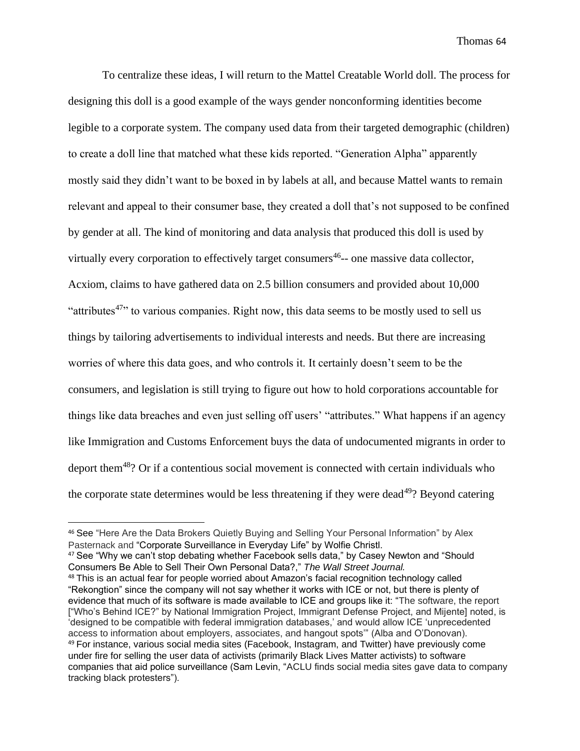To centralize these ideas, I will return to the Mattel Creatable World doll. The process for designing this doll is a good example of the ways gender nonconforming identities become legible to a corporate system. The company used data from their targeted demographic (children) to create a doll line that matched what these kids reported. "Generation Alpha" apparently mostly said they didn't want to be boxed in by labels at all, and because Mattel wants to remain relevant and appeal to their consumer base, they created a doll that's not supposed to be confined by gender at all. The kind of monitoring and data analysis that produced this doll is used by virtually every corporation to effectively target consumers<sup>46</sup>-- one massive data collector, Acxiom, claims to have gathered data on 2.5 billion consumers and provided about 10,000 "attributes<sup>47</sup>" to various companies. Right now, this data seems to be mostly used to sell us things by tailoring advertisements to individual interests and needs. But there are increasing worries of where this data goes, and who controls it. It certainly doesn't seem to be the consumers, and legislation is still trying to figure out how to hold corporations accountable for things like data breaches and even just selling off users' "attributes." What happens if an agency like Immigration and Customs Enforcement buys the data of undocumented migrants in order to deport them<sup>48</sup>? Or if a contentious social movement is connected with certain individuals who the corporate state determines would be less threatening if they were dead $49$ ? Beyond catering

<sup>46</sup> See "Here Are the Data Brokers Quietly Buying and Selling Your Personal Information" by Alex Pasternack and "Corporate Surveillance in Everyday Life" by Wolfie Christl.

<sup>&</sup>lt;sup>47</sup> See "Why we can't stop debating whether Facebook sells data," by Casey Newton and "Should Consumers Be Able to Sell Their Own Personal Data?," *The Wall Street Journal.*

<sup>48</sup> This is an actual fear for people worried about Amazon's facial recognition technology called "Rekongtion" since the company will not say whether it works with ICE or not, but there is plenty of evidence that much of its software is made available to ICE and groups like it: "The software, the report ["Who's Behind ICE?" by National Immigration Project, Immigrant Defense Project, and Mijente] noted, is 'designed to be compatible with federal immigration databases,' and would allow ICE 'unprecedented access to information about employers, associates, and hangout spots'" (Alba and O'Donovan). <sup>49</sup> For instance, various social media sites (Facebook, Instagram, and Twitter) have previously come under fire for selling the user data of activists (primarily Black Lives Matter activists) to software companies that aid police surveillance (Sam Levin, "ACLU finds social media sites gave data to company tracking black protesters").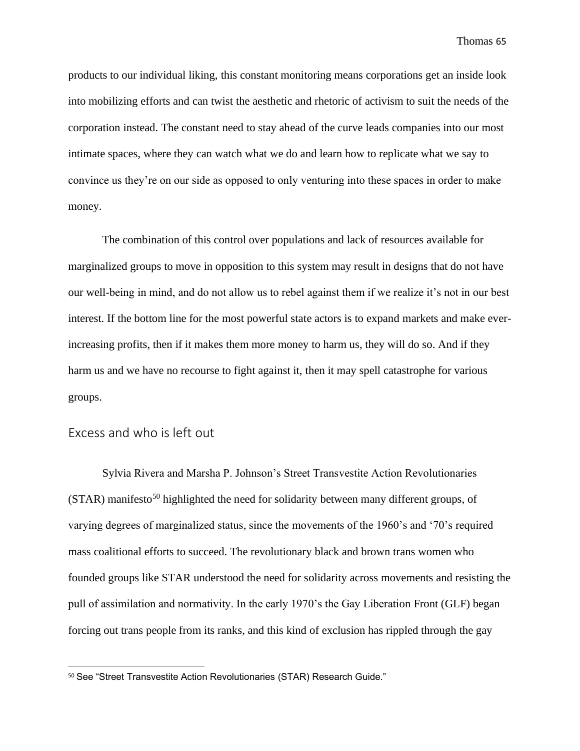products to our individual liking, this constant monitoring means corporations get an inside look into mobilizing efforts and can twist the aesthetic and rhetoric of activism to suit the needs of the corporation instead. The constant need to stay ahead of the curve leads companies into our most intimate spaces, where they can watch what we do and learn how to replicate what we say to convince us they're on our side as opposed to only venturing into these spaces in order to make money.

The combination of this control over populations and lack of resources available for marginalized groups to move in opposition to this system may result in designs that do not have our well-being in mind, and do not allow us to rebel against them if we realize it's not in our best interest. If the bottom line for the most powerful state actors is to expand markets and make everincreasing profits, then if it makes them more money to harm us, they will do so. And if they harm us and we have no recourse to fight against it, then it may spell catastrophe for various groups.

#### Excess and who is left out

Sylvia Rivera and Marsha P. Johnson's Street Transvestite Action Revolutionaries  $(STAR)$  manifesto<sup>50</sup> highlighted the need for solidarity between many different groups, of varying degrees of marginalized status, since the movements of the 1960's and '70's required mass coalitional efforts to succeed. The revolutionary black and brown trans women who founded groups like STAR understood the need for solidarity across movements and resisting the pull of assimilation and normativity. In the early 1970's the Gay Liberation Front (GLF) began forcing out trans people from its ranks, and this kind of exclusion has rippled through the gay

<sup>50</sup> See "Street Transvestite Action Revolutionaries (STAR) Research Guide."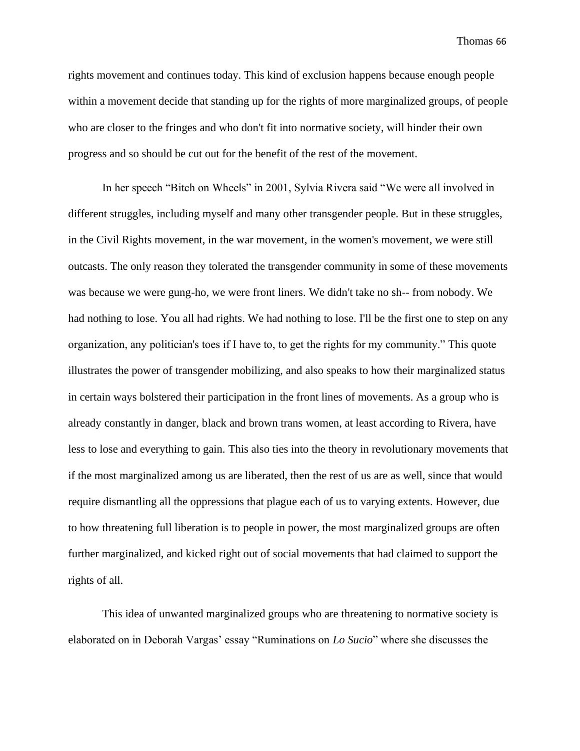rights movement and continues today. This kind of exclusion happens because enough people within a movement decide that standing up for the rights of more marginalized groups, of people who are closer to the fringes and who don't fit into normative society, will hinder their own progress and so should be cut out for the benefit of the rest of the movement.

In her speech "Bitch on Wheels" in 2001, Sylvia Rivera said "We were all involved in different struggles, including myself and many other transgender people. But in these struggles, in the Civil Rights movement, in the war movement, in the women's movement, we were still outcasts. The only reason they tolerated the transgender community in some of these movements was because we were gung-ho, we were front liners. We didn't take no sh-- from nobody. We had nothing to lose. You all had rights. We had nothing to lose. I'll be the first one to step on any organization, any politician's toes if I have to, to get the rights for my community." This quote illustrates the power of transgender mobilizing, and also speaks to how their marginalized status in certain ways bolstered their participation in the front lines of movements. As a group who is already constantly in danger, black and brown trans women, at least according to Rivera, have less to lose and everything to gain. This also ties into the theory in revolutionary movements that if the most marginalized among us are liberated, then the rest of us are as well, since that would require dismantling all the oppressions that plague each of us to varying extents. However, due to how threatening full liberation is to people in power, the most marginalized groups are often further marginalized, and kicked right out of social movements that had claimed to support the rights of all.

This idea of unwanted marginalized groups who are threatening to normative society is elaborated on in Deborah Vargas' essay "Ruminations on *Lo Sucio*" where she discusses the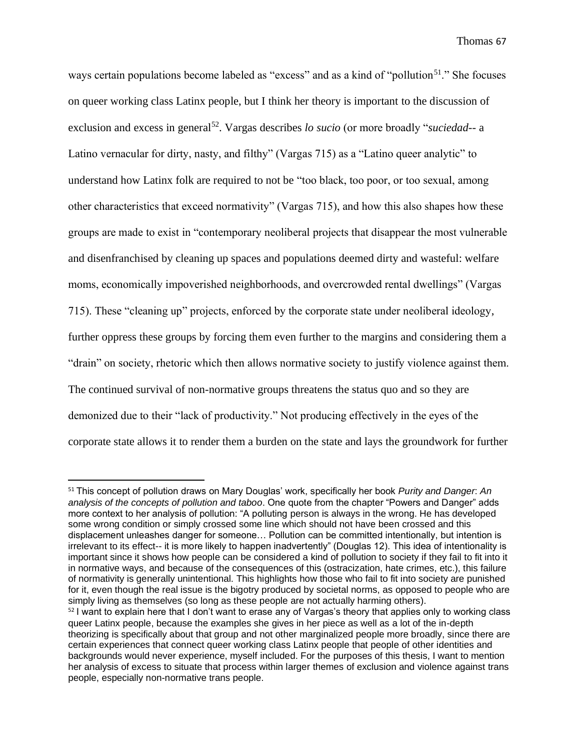ways certain populations become labeled as "excess" and as a kind of "pollution<sup>51</sup>." She focuses on queer working class Latinx people, but I think her theory is important to the discussion of exclusion and excess in general<sup>52</sup>. Vargas describes *lo sucio* (or more broadly "*suciedad*-- a Latino vernacular for dirty, nasty, and filthy" (Vargas 715) as a "Latino queer analytic" to understand how Latinx folk are required to not be "too black, too poor, or too sexual, among other characteristics that exceed normativity" (Vargas 715), and how this also shapes how these groups are made to exist in "contemporary neoliberal projects that disappear the most vulnerable and disenfranchised by cleaning up spaces and populations deemed dirty and wasteful: welfare moms, economically impoverished neighborhoods, and overcrowded rental dwellings" (Vargas 715). These "cleaning up" projects, enforced by the corporate state under neoliberal ideology, further oppress these groups by forcing them even further to the margins and considering them a "drain" on society, rhetoric which then allows normative society to justify violence against them. The continued survival of non-normative groups threatens the status quo and so they are demonized due to their "lack of productivity." Not producing effectively in the eyes of the corporate state allows it to render them a burden on the state and lays the groundwork for further

<sup>51</sup> This concept of pollution draws on Mary Douglas' work, specifically her book *Purity and Danger*: *An analysis of the concepts of pollution and taboo*. One quote from the chapter "Powers and Danger" adds more context to her analysis of pollution: "A polluting person is always in the wrong. He has developed some wrong condition or simply crossed some line which should not have been crossed and this displacement unleashes danger for someone… Pollution can be committed intentionally, but intention is irrelevant to its effect-- it is more likely to happen inadvertently" (Douglas 12). This idea of intentionality is important since it shows how people can be considered a kind of pollution to society if they fail to fit into it in normative ways, and because of the consequences of this (ostracization, hate crimes, etc.), this failure of normativity is generally unintentional. This highlights how those who fail to fit into society are punished for it, even though the real issue is the bigotry produced by societal norms, as opposed to people who are simply living as themselves (so long as these people are not actually harming others).

<sup>52</sup> I want to explain here that I don't want to erase any of Vargas's theory that applies only to working class queer Latinx people, because the examples she gives in her piece as well as a lot of the in-depth theorizing is specifically about that group and not other marginalized people more broadly, since there are certain experiences that connect queer working class Latinx people that people of other identities and backgrounds would never experience, myself included. For the purposes of this thesis, I want to mention her analysis of excess to situate that process within larger themes of exclusion and violence against trans people, especially non-normative trans people.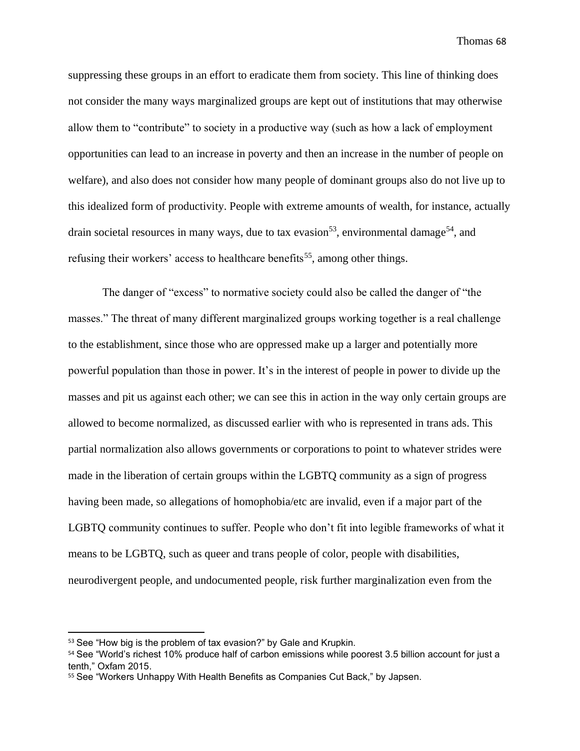suppressing these groups in an effort to eradicate them from society. This line of thinking does not consider the many ways marginalized groups are kept out of institutions that may otherwise allow them to "contribute" to society in a productive way (such as how a lack of employment opportunities can lead to an increase in poverty and then an increase in the number of people on welfare), and also does not consider how many people of dominant groups also do not live up to this idealized form of productivity. People with extreme amounts of wealth, for instance, actually drain societal resources in many ways, due to tax evasion<sup>53</sup>, environmental damage<sup>54</sup>, and refusing their workers' access to healthcare benefits<sup>55</sup>, among other things.

The danger of "excess" to normative society could also be called the danger of "the masses." The threat of many different marginalized groups working together is a real challenge to the establishment, since those who are oppressed make up a larger and potentially more powerful population than those in power. It's in the interest of people in power to divide up the masses and pit us against each other; we can see this in action in the way only certain groups are allowed to become normalized, as discussed earlier with who is represented in trans ads. This partial normalization also allows governments or corporations to point to whatever strides were made in the liberation of certain groups within the LGBTQ community as a sign of progress having been made, so allegations of homophobia/etc are invalid, even if a major part of the LGBTQ community continues to suffer. People who don't fit into legible frameworks of what it means to be LGBTQ, such as queer and trans people of color, people with disabilities, neurodivergent people, and undocumented people, risk further marginalization even from the

<sup>53</sup> See "How big is the problem of tax evasion?" by Gale and Krupkin.

<sup>54</sup> See "World's richest 10% produce half of carbon emissions while poorest 3.5 billion account for just a tenth," Oxfam 2015.

<sup>55</sup> See "Workers Unhappy With Health Benefits as Companies Cut Back," by Japsen.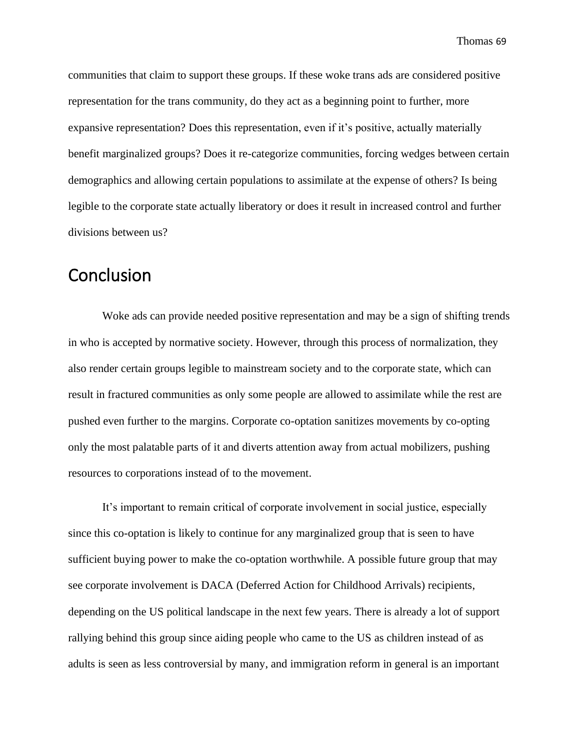communities that claim to support these groups. If these woke trans ads are considered positive representation for the trans community, do they act as a beginning point to further, more expansive representation? Does this representation, even if it's positive, actually materially benefit marginalized groups? Does it re-categorize communities, forcing wedges between certain demographics and allowing certain populations to assimilate at the expense of others? Is being legible to the corporate state actually liberatory or does it result in increased control and further divisions between us?

## Conclusion

Woke ads can provide needed positive representation and may be a sign of shifting trends in who is accepted by normative society. However, through this process of normalization, they also render certain groups legible to mainstream society and to the corporate state, which can result in fractured communities as only some people are allowed to assimilate while the rest are pushed even further to the margins. Corporate co-optation sanitizes movements by co-opting only the most palatable parts of it and diverts attention away from actual mobilizers, pushing resources to corporations instead of to the movement.

It's important to remain critical of corporate involvement in social justice, especially since this co-optation is likely to continue for any marginalized group that is seen to have sufficient buying power to make the co-optation worthwhile. A possible future group that may see corporate involvement is DACA (Deferred Action for Childhood Arrivals) recipients, depending on the US political landscape in the next few years. There is already a lot of support rallying behind this group since aiding people who came to the US as children instead of as adults is seen as less controversial by many, and immigration reform in general is an important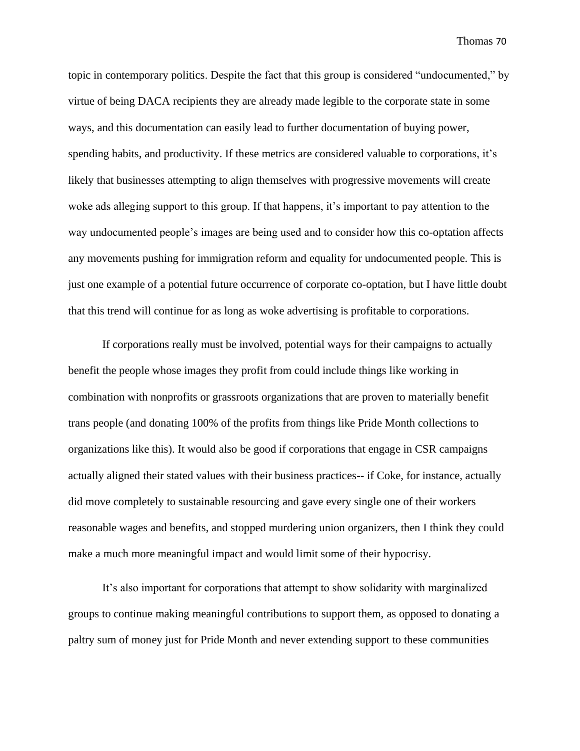topic in contemporary politics. Despite the fact that this group is considered "undocumented," by virtue of being DACA recipients they are already made legible to the corporate state in some ways, and this documentation can easily lead to further documentation of buying power, spending habits, and productivity. If these metrics are considered valuable to corporations, it's likely that businesses attempting to align themselves with progressive movements will create woke ads alleging support to this group. If that happens, it's important to pay attention to the way undocumented people's images are being used and to consider how this co-optation affects any movements pushing for immigration reform and equality for undocumented people. This is just one example of a potential future occurrence of corporate co-optation, but I have little doubt that this trend will continue for as long as woke advertising is profitable to corporations.

If corporations really must be involved, potential ways for their campaigns to actually benefit the people whose images they profit from could include things like working in combination with nonprofits or grassroots organizations that are proven to materially benefit trans people (and donating 100% of the profits from things like Pride Month collections to organizations like this). It would also be good if corporations that engage in CSR campaigns actually aligned their stated values with their business practices-- if Coke, for instance, actually did move completely to sustainable resourcing and gave every single one of their workers reasonable wages and benefits, and stopped murdering union organizers, then I think they could make a much more meaningful impact and would limit some of their hypocrisy.

It's also important for corporations that attempt to show solidarity with marginalized groups to continue making meaningful contributions to support them, as opposed to donating a paltry sum of money just for Pride Month and never extending support to these communities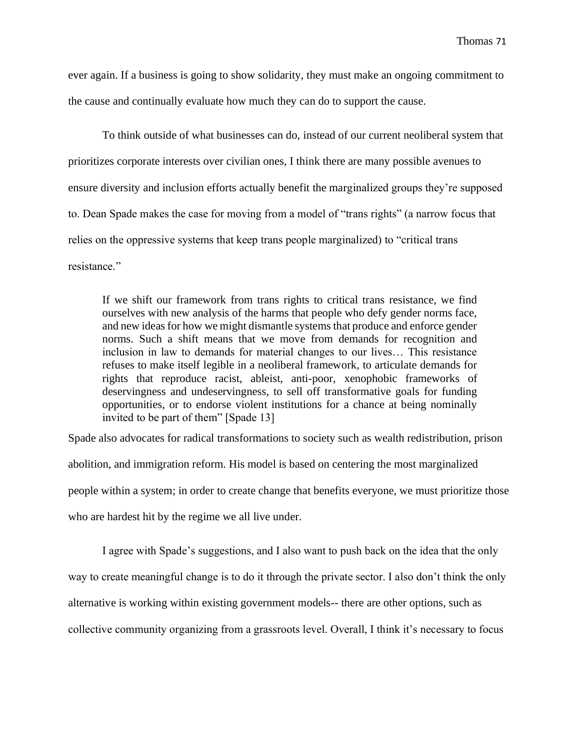ever again. If a business is going to show solidarity, they must make an ongoing commitment to the cause and continually evaluate how much they can do to support the cause.

To think outside of what businesses can do, instead of our current neoliberal system that prioritizes corporate interests over civilian ones, I think there are many possible avenues to ensure diversity and inclusion efforts actually benefit the marginalized groups they're supposed to. Dean Spade makes the case for moving from a model of "trans rights" (a narrow focus that relies on the oppressive systems that keep trans people marginalized) to "critical trans resistance."

If we shift our framework from trans rights to critical trans resistance, we find ourselves with new analysis of the harms that people who defy gender norms face, and new ideas for how we might dismantle systems that produce and enforce gender norms. Such a shift means that we move from demands for recognition and inclusion in law to demands for material changes to our lives… This resistance refuses to make itself legible in a neoliberal framework, to articulate demands for rights that reproduce racist, ableist, anti-poor, xenophobic frameworks of deservingness and undeservingness, to sell off transformative goals for funding opportunities, or to endorse violent institutions for a chance at being nominally invited to be part of them" [Spade 13]

Spade also advocates for radical transformations to society such as wealth redistribution, prison abolition, and immigration reform. His model is based on centering the most marginalized people within a system; in order to create change that benefits everyone, we must prioritize those who are hardest hit by the regime we all live under.

I agree with Spade's suggestions, and I also want to push back on the idea that the only way to create meaningful change is to do it through the private sector. I also don't think the only alternative is working within existing government models-- there are other options, such as collective community organizing from a grassroots level. Overall, I think it's necessary to focus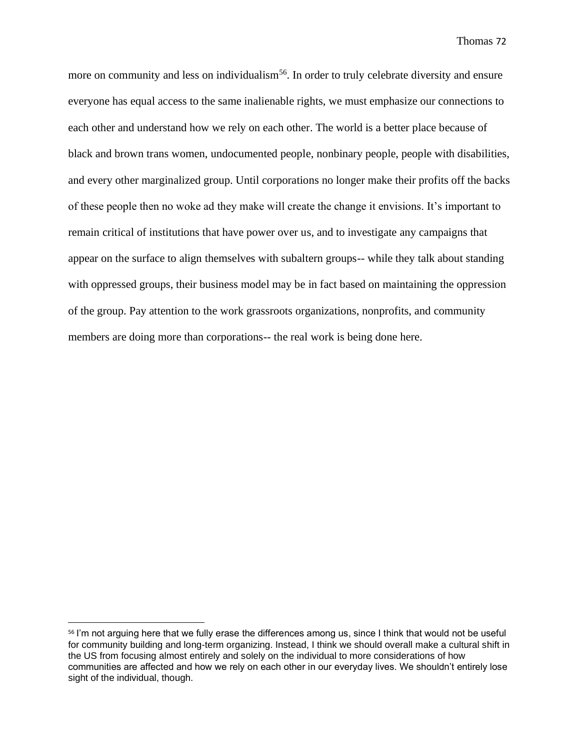more on community and less on individualism<sup>56</sup>. In order to truly celebrate diversity and ensure everyone has equal access to the same inalienable rights, we must emphasize our connections to each other and understand how we rely on each other. The world is a better place because of black and brown trans women, undocumented people, nonbinary people, people with disabilities, and every other marginalized group. Until corporations no longer make their profits off the backs of these people then no woke ad they make will create the change it envisions. It's important to remain critical of institutions that have power over us, and to investigate any campaigns that appear on the surface to align themselves with subaltern groups-- while they talk about standing with oppressed groups, their business model may be in fact based on maintaining the oppression of the group. Pay attention to the work grassroots organizations, nonprofits, and community members are doing more than corporations-- the real work is being done here.

<sup>56</sup> I'm not arguing here that we fully erase the differences among us, since I think that would not be useful for community building and long-term organizing. Instead, I think we should overall make a cultural shift in the US from focusing almost entirely and solely on the individual to more considerations of how communities are affected and how we rely on each other in our everyday lives. We shouldn't entirely lose sight of the individual, though.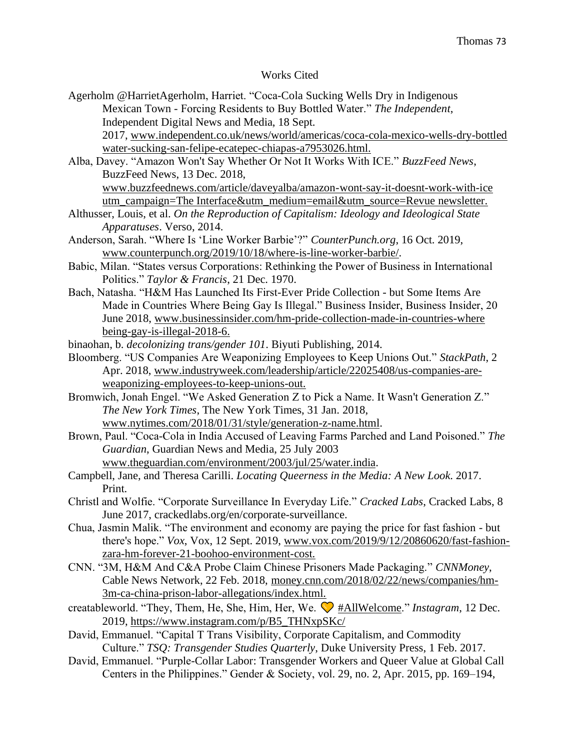## Works Cited

Agerholm @HarrietAgerholm, Harriet. "Coca-Cola Sucking Wells Dry in Indigenous Mexican Town - Forcing Residents to Buy Bottled Water." *The Independent*, Independent Digital News and Media, 18 Sept.

2017, www.independent.co.uk/news/world/americas/coca-cola-mexico-wells-dry-bottled water-sucking-san-felipe-ecatepec-chiapas-a7953026.html.

Alba, Davey. "Amazon Won't Say Whether Or Not It Works With ICE." *BuzzFeed News*, BuzzFeed News, 13 Dec. 2018, [www.buzzfeednews.com/article/daveyalba/amazon-wont-say-it-doesnt-work-with-ice](http://www.buzzfeednews.com/article/daveyalba/amazon-wont-say-it-doesnt-work-with-ice)

utm\_campaign=The Interface&utm\_medium=email&utm\_source=Revue newsletter.

- Althusser, Louis, et al. *On the Reproduction of Capitalism: Ideology and Ideological State Apparatuses*. Verso, 2014.
- Anderson, Sarah. "Where Is 'Line Worker Barbie'?" *CounterPunch.org*, 16 Oct. 2019, www.counterpunch.org/2019/10/18/where-is-line-worker-barbie/.
- Babic, Milan. "States versus Corporations: Rethinking the Power of Business in International Politics." *Taylor & Francis*, 21 Dec. 1970.
- Bach, Natasha. "H&M Has Launched Its First-Ever Pride Collection but Some Items Are Made in Countries Where Being Gay Is Illegal." Business Insider, Business Insider, 20 June 2018, [www.businessinsider.com/hm-pride-collection-made-in-countries-where](http://www.businessinsider.com/hm-pride-collection-made-in-countries-where) being-gay-is-illegal-2018-6.
- binaohan, b. *decolonizing trans/gender 101*. Biyuti Publishing, 2014.
- Bloomberg. "US Companies Are Weaponizing Employees to Keep Unions Out." *StackPath*, 2 Apr. 2018, [www.industryweek.com/leadership/article/22025408/us-companies-are](http://www.industryweek.com/leadership/article/22025408/us-companies-are-weaponizing-empl)[weaponizing-emplo](http://www.industryweek.com/leadership/article/22025408/us-companies-are-weaponizing-empl)yees-to-keep-unions-out.
- Bromwich, Jonah Engel. "We Asked Generation Z to Pick a Name. It Wasn't Generation Z." *The New York Times*, The New York Times, 31 Jan. 2018, [www.nytimes.com/2018/01/31/style/generation-z-name.html.](http://www.nytimes.com/2018/01/31/style/generation-z-name.html)
- Brown, Paul. "Coca-Cola in India Accused of Leaving Farms Parched and Land Poisoned." *The Guardian*, Guardian News and Media, 25 July 2003 [www.theguardian.com/environment/2003/jul/25/water.india.](http://www.theguardian.com/environment/2003/jul/25/water.india)
- Campbell, Jane, and Theresa Carilli. *Locating Queerness in the Media: A New Look*. 2017. Print.
- Christl and Wolfie. "Corporate Surveillance In Everyday Life." *Cracked Labs*, Cracked Labs, 8 June 2017, crackedlabs.org/en/corporate-surveillance.
- Chua, Jasmin Malik. "The environment and economy are paying the price for fast fashion but there's hope." *Vox*, Vox, 12 Sept. 2019, [www.vox.com/2019/9/12/20860620/fast-fashion](http://www.vox.com/2019/9/12/20860620/fast-fashion-zara-hm-forever-21-boohoo-environment-)[zara-hm-forever-21-boohoo-environment-c](http://www.vox.com/2019/9/12/20860620/fast-fashion-zara-hm-forever-21-boohoo-environment-)ost.
- CNN. "3M, H&M And C&A Probe Claim Chinese Prisoners Made Packaging." *CNNMoney*, Cable News Network, 22 Feb. 2018, money.cnn.com/2018/02/22/news/companies/hm-3m-ca-china-prison-labor-allegations/index.html.
- creatableworld. "They, Them, He, She, Him, Her, We. [#AllWelcome.](https://www.instagram.com/explore/tags/allwelcome/)" *Instagram*, 12 Dec. 2019, [https://www.instagram.com/p/B5\\_THNxpSKc/](https://www.instagram.com/p/B5_THNxpSKc/)
- David, Emmanuel. "Capital T Trans Visibility, Corporate Capitalism, and Commodity Culture." *TSQ: Transgender Studies Quarterly*, Duke University Press, 1 Feb. 2017.
- David, Emmanuel. "Purple-Collar Labor: Transgender Workers and Queer Value at Global Call Centers in the Philippines." Gender & Society, vol. 29, no. 2, Apr. 2015, pp. 169–194,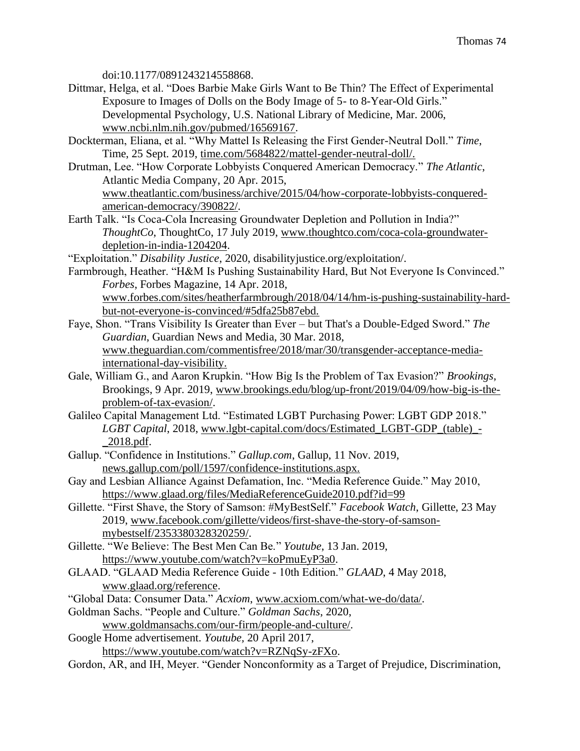doi:10.1177/0891243214558868.

- Dittmar, Helga, et al. "Does Barbie Make Girls Want to Be Thin? The Effect of Experimental Exposure to Images of Dolls on the Body Image of 5- to 8-Year-Old Girls." Developmental Psychology, U.S. National Library of Medicine, Mar. 2006, www.ncbi.nlm.nih.gov/pubmed/16569167.
- Dockterman, Eliana, et al. "Why Mattel Is Releasing the First Gender-Neutral Doll." *Time*, Time, 25 Sept. 2019, time.com/5684822/mattel-gender-neutral-doll/.
- Drutman, Lee. "How Corporate Lobbyists Conquered American Democracy." *The Atlantic*, Atlantic Media Company, 20 Apr. 2015,

[www.theatlantic.com/business/archive/2015/04/how-corporate-lobbyists-conquered](http://www.theatlantic.com/business/archive/2015/04/how-corporate-lobbyists-conquered-american-democracy/390822/)[american-democracy/390822/.](http://www.theatlantic.com/business/archive/2015/04/how-corporate-lobbyists-conquered-american-democracy/390822/)

- Earth Talk. "Is Coca-Cola Increasing Groundwater Depletion and Pollution in India?" *ThoughtCo*, ThoughtCo, 17 July 2019, www.thoughtco.com/coca-cola-groundwaterdepletion-in-india-1204204.
- "Exploitation." *Disability Justice*, 2020, disabilityjustice.org/exploitation/.
- Farmbrough, Heather. "H&M Is Pushing Sustainability Hard, But Not Everyone Is Convinced." *Forbes*, Forbes Magazine, 14 Apr. 2018, [www.forbes.com/sites/heatherfarmbrough/2018/04/14/hm-is-pushing-sustainability-hard](http://www.forbes.com/sites/heatherfarmbrough/2018/04/14/hm-is-pushing-sustainability-hard-bu)[but](http://www.forbes.com/sites/heatherfarmbrough/2018/04/14/hm-is-pushing-sustainability-hard-bu)-not-everyone-is-convinced/#5dfa25b87ebd.
- Faye, Shon. "Trans Visibility Is Greater than Ever but That's a Double-Edged Sword." *The Guardian*, Guardian News and Media, 30 Mar. 2018, [www.theguardian.com/commentisfree/2018/mar/30/transgender-acceptance-media](http://www.theguardian.com/commentisfree/2018/mar/30/transgender-acceptance-media-internati)[internatio](http://www.theguardian.com/commentisfree/2018/mar/30/transgender-acceptance-media-internati)nal-day-visibility.
- Gale, William G., and Aaron Krupkin. "How Big Is the Problem of Tax Evasion?" *Brookings*, Brookings, 9 Apr. 2019, www.brookings.edu/blog/up-front/2019/04/09/how-big-is-theproblem-of-tax-evasion/.
- Galileo Capital Management Ltd. "Estimated LGBT Purchasing Power: LGBT GDP 2018." *LGBT Capital*, 2018, [www.lgbt-capital.com/docs/Estimated\\_LGBT-GDP\\_\(table\)\\_-](http://www.lgbt-capital.com/docs/Estimated_LGBT-GDP_(table)_-_2018.pdf) [\\_2018.pdf.](http://www.lgbt-capital.com/docs/Estimated_LGBT-GDP_(table)_-_2018.pdf)
- Gallup. "Confidence in Institutions." *Gallup.com*, Gallup, 11 Nov. 2019, news.gallup.com/poll/1597/confidence-institutions.aspx.
- Gay and Lesbian Alliance Against Defamation, Inc. "Media Reference Guide." May 2010, <https://www.glaad.org/files/MediaReferenceGuide2010.pdf?id=99>
- Gillette. "First Shave, the Story of Samson: #MyBestSelf." *Facebook Watch*, Gillette, 23 May 2019, [www.facebook.com/gillette/videos/first-shave-the-story-of-samson](http://www.facebook.com/gillette/videos/first-shave-the-story-of-samson-mybestself/2353380328320259/)[mybestself/2353380328320259/.](http://www.facebook.com/gillette/videos/first-shave-the-story-of-samson-mybestself/2353380328320259/)
- Gillette. "We Believe: The Best Men Can Be." *Youtube*, 13 Jan. 2019, [https://www.youtube.com/watch?v=koPmuEyP3a0.](https://www.youtube.com/watch?v=koPmuEyP3a0)
- GLAAD. "GLAAD Media Reference Guide 10th Edition." *GLAAD*, 4 May 2018, www.glaad.org/reference.
- "Global Data: Consumer Data." *Acxiom*, [www.acxiom.com/what-we-do/data/.](http://www.acxiom.com/what-we-do/data/)
- Goldman Sachs. "People and Culture." *Goldman Sachs*, 2020, www.goldmansachs.com/our-firm/people-and-culture/.
- Google Home advertisement. *Youtube,* 20 April 2017,
	- [https://www.youtube.com/watch?v=RZNqSy-zFXo.](https://www.youtube.com/watch?v=RZNqSy-zFXo)
- Gordon, AR, and IH, Meyer. "Gender Nonconformity as a Target of Prejudice, Discrimination,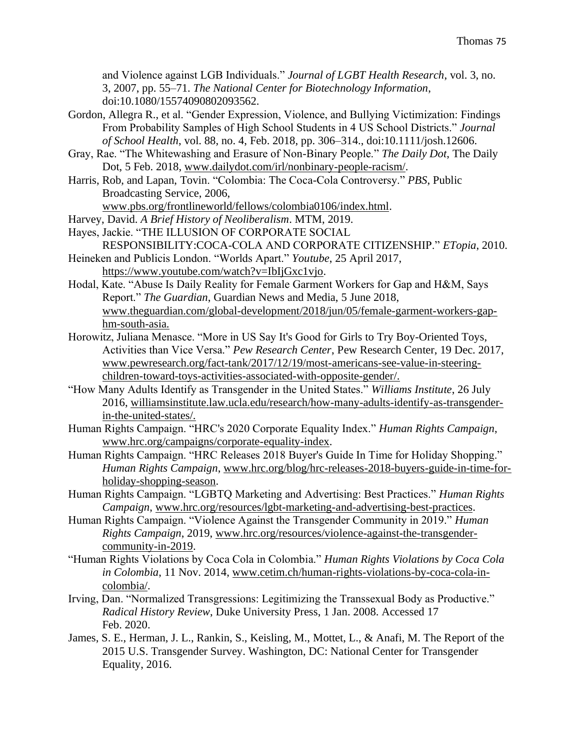and Violence against LGB Individuals." *Journal of LGBT Health Research*, vol. 3, no. 3, 2007, pp. 55–71. *The National Center for Biotechnology Information*, doi:10.1080/15574090802093562.

Gordon, Allegra R., et al. "Gender Expression, Violence, and Bullying Victimization: Findings From Probability Samples of High School Students in 4 US School Districts." *Journal of School Health*, vol. 88, no. 4, Feb. 2018, pp. 306–314., doi:10.1111/josh.12606.

- Gray, Rae. "The Whitewashing and Erasure of Non-Binary People." *The Daily Dot*, The Daily Dot, 5 Feb. 2018, [www.dailydot.com/irl/nonbinary-people-racism/.](http://www.dailydot.com/irl/nonbinary-people-racism/)
- Harris, Rob, and Lapan, Tovin. "Colombia: The Coca-Cola Controversy." *PBS*, Public Broadcasting Service, 2006,

www.pbs.org/frontlineworld/fellows/colombia0106/index.html.

- Harvey, David. *A Brief History of Neoliberalism*. MTM, 2019.
- Hayes, Jackie. "THE ILLUSION OF CORPORATE SOCIAL
- RESPONSIBILITY:COCA-COLA AND CORPORATE CITIZENSHIP." *ETopia*, 2010. Heineken and Publicis London. "Worlds Apart." *Youtube*, 25 April 2017,
	- [https://www.youtube.com/watch?v=IbIjGxc1vjo.](https://www.youtube.com/watch?v=IbIjGxc1vjo)
- Hodal, Kate. "Abuse Is Daily Reality for Female Garment Workers for Gap and H&M, Says Report." *The Guardian*, Guardian News and Media, 5 June 2018, [www.theguardian.com/global-development/2018/jun/05/female-garment-workers-gap](http://www.theguardian.com/global-development/2018/jun/05/female-garment-workers-gap-hm-s)[hm-so](http://www.theguardian.com/global-development/2018/jun/05/female-garment-workers-gap-hm-s)uth-asia.
- Horowitz, Juliana Menasce. "More in US Say It's Good for Girls to Try Boy-Oriented Toys, Activities than Vice Versa." *Pew Research Center*, Pew Research Center, 19 Dec. 2017, [www.pewresearch.org/fact-tank/2017/12/19/most-americans-see-value-in-steering](http://www.pewresearch.org/fact-tank/2017/12/19/most-americans-see-value-in-steering-children-)[children-t](http://www.pewresearch.org/fact-tank/2017/12/19/most-americans-see-value-in-steering-children-)oward-toys-activities-associated-with-opposite-gender/.
- "How Many Adults Identify as Transgender in the United States." *Williams Institute*, 26 July 2016, williamsinstitute.law.ucla.edu/research/how-many-adults-identify-as-transgenderin-the-united-states/.
- Human Rights Campaign. "HRC's 2020 Corporate Equality Index." *Human Rights Campaign*, [www.hrc.org/campaigns/corporate-equality-index.](http://www.hrc.org/campaigns/corporate-equality-index)
- Human Rights Campaign. "HRC Releases 2018 Buyer's Guide In Time for Holiday Shopping." *Human Rights Campaign*, [www.hrc.org/blog/hrc-releases-2018-buyers-guide-in-time-for](http://www.hrc.org/blog/hrc-releases-2018-buyers-guide-in-time-for-holiday-shopping-season)[holiday-shopping-season.](http://www.hrc.org/blog/hrc-releases-2018-buyers-guide-in-time-for-holiday-shopping-season)
- Human Rights Campaign. "LGBTQ Marketing and Advertising: Best Practices." *Human Rights Campaign*, [www.hrc.org/resources/lgbt-marketing-and-advertising-best-practices.](http://www.hrc.org/resources/lgbt-marketing-and-advertising-best-practices)
- Human Rights Campaign. "Violence Against the Transgender Community in 2019." *Human Rights Campaign*, 2019, www.hrc.org/resources/violence-against-the-transgendercommunity-in-2019.
- "Human Rights Violations by Coca Cola in Colombia." *Human Rights Violations by Coca Cola in Colombia*, 11 Nov. 2014, [www.cetim.ch/human-rights-violations-by-coca-cola-in](http://www.cetim.ch/human-rights-violations-by-coca-cola-in-colombia/)[colombia/.](http://www.cetim.ch/human-rights-violations-by-coca-cola-in-colombia/)
- Irving, Dan. "Normalized Transgressions: Legitimizing the Transsexual Body as Productive." *Radical History Review*, Duke University Press, 1 Jan. 2008. Accessed 17 Feb. 2020.
- James, S. E., Herman, J. L., Rankin, S., Keisling, M., Mottet, L., & Anafi, M. The Report of the 2015 U.S. Transgender Survey. Washington, DC: National Center for Transgender Equality, 2016.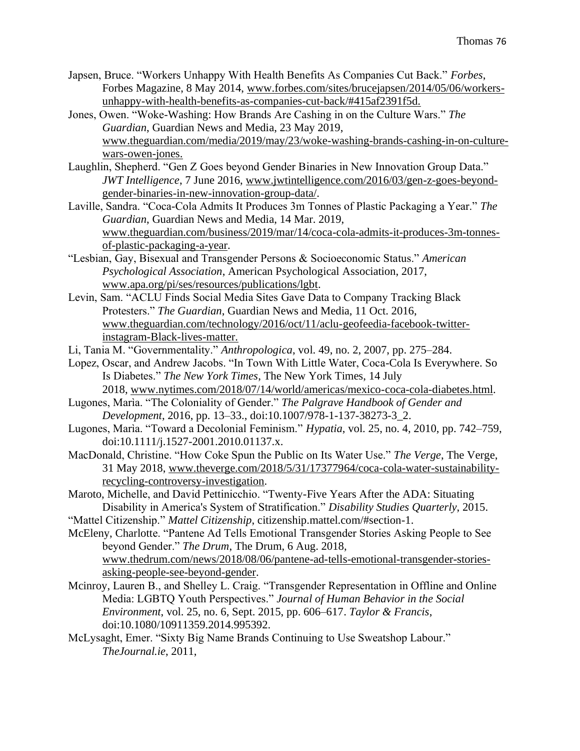- Japsen, Bruce. "Workers Unhappy With Health Benefits As Companies Cut Back." *Forbes*, Forbes Magazine, 8 May 2014, [www.forbes.com/sites/brucejapsen/2014/05/06/workers](http://www.forbes.com/sites/brucejapsen/2014/05/06/workers-unhappy-with-health-benefits-as-c)[unhappy-with-health-benefits-as-co](http://www.forbes.com/sites/brucejapsen/2014/05/06/workers-unhappy-with-health-benefits-as-c)mpanies-cut-back/#415af2391f5d.
- Jones, Owen. "Woke-Washing: How Brands Are Cashing in on the Culture Wars." *The Guardian*, Guardian News and Media, 23 May 2019, [www.theguardian.com/media/2019/may/23/woke-washing-brands-cashing-in-on-culture](http://www.theguardian.com/media/2019/may/23/woke-washing-brands-cashing-in-on-culture-w)[wa](http://www.theguardian.com/media/2019/may/23/woke-washing-brands-cashing-in-on-culture-w)rs-owen-jones.
- Laughlin, Shepherd. "Gen Z Goes beyond Gender Binaries in New Innovation Group Data." *JWT Intelligence*, 7 June 2016, [www.jwtintelligence.com/2016/03/gen-z-goes-beyond](http://www.jwtintelligence.com/2016/03/gen-z-goes-beyond-gender-binaries-in-new-innovation-group-data/)[gender-binaries-in-new-innovation-group-data/.](http://www.jwtintelligence.com/2016/03/gen-z-goes-beyond-gender-binaries-in-new-innovation-group-data/)
- Laville, Sandra. "Coca-Cola Admits It Produces 3m Tonnes of Plastic Packaging a Year." *The Guardian*, Guardian News and Media, 14 Mar. 2019, [www.theguardian.com/business/2019/mar/14/coca-cola-admits-it-produces-3m-tonnes](http://www.theguardian.com/business/2019/mar/14/coca-cola-admits-it-produces-3m-tonnes-of-plastic-packaging-a-year)[of-plastic-packaging-a-year.](http://www.theguardian.com/business/2019/mar/14/coca-cola-admits-it-produces-3m-tonnes-of-plastic-packaging-a-year)
- "Lesbian, Gay, Bisexual and Transgender Persons & Socioeconomic Status." *American Psychological Association*, American Psychological Association, 2017, [www.apa.org/pi/ses/resources/publications/lgbt.](http://www.apa.org/pi/ses/resources/publications/lgbt)
- Levin, Sam. "ACLU Finds Social Media Sites Gave Data to Company Tracking Black Protesters." *The Guardian*, Guardian News and Media, 11 Oct. 2016, [www.theguardian.com/technology/2016/oct/11/aclu-geofeedia-facebook-twitter](http://www.theguardian.com/technology/2016/oct/11/aclu-geofeedia-facebook-twitter-instagram-)[instagram-B](http://www.theguardian.com/technology/2016/oct/11/aclu-geofeedia-facebook-twitter-instagram-)lack-lives-matter.
- Li, Tania M. "Governmentality." *Anthropologica*, vol. 49, no. 2, 2007, pp. 275–284.
- Lopez, Oscar, and Andrew Jacobs. "In Town With Little Water, Coca-Cola Is Everywhere. So Is Diabetes." *The New York Times*, The New York Times, 14 July
- 2018, [www.nytimes.com/2018/07/14/world/americas/mexico-coca-cola-diabetes.html.](http://www.nytimes.com/2018/07/14/world/americas/mexico-coca-cola-diabetes.html) Lugones, Marìa. "The Coloniality of Gender." *The Palgrave Handbook of Gender and*
- *Development*, 2016, pp. 13–33., doi:10.1007/978-1-137-38273-3\_2. Lugones, Marìa. "Toward a Decolonial Feminism." *Hypatia*, vol. 25, no. 4, 2010, pp. 742–759,
- doi:10.1111/j.1527-2001.2010.01137.x.
- MacDonald, Christine. "How Coke Spun the Public on Its Water Use." *The Verge*, The Verge, 31 May 2018, [www.theverge.com/2018/5/31/17377964/coca-cola-water-sustainability](http://www.theverge.com/2018/5/31/17377964/coca-cola-water-sustainability-recycling-controversy-investigation)[recycling-controversy-investigation.](http://www.theverge.com/2018/5/31/17377964/coca-cola-water-sustainability-recycling-controversy-investigation)
- Maroto, Michelle, and David Pettinicchio. "Twenty-Five Years After the ADA: Situating Disability in America's System of Stratification." *Disability Studies Quarterly*, 2015.
- "Mattel Citizenship." *Mattel Citizenship*, citizenship.mattel.com/#section-1.
- McEleny, Charlotte. "Pantene Ad Tells Emotional Transgender Stories Asking People to See beyond Gender." *The Drum*, The Drum, 6 Aug. 2018, [www.thedrum.com/news/2018/08/06/pantene-ad-tells-emotional-transgender-stories](http://www.thedrum.com/news/2018/08/06/pantene-ad-tells-emotional-transgender-stories-asking-people-see-beyond-gender)[asking-people-see-beyond-gender.](http://www.thedrum.com/news/2018/08/06/pantene-ad-tells-emotional-transgender-stories-asking-people-see-beyond-gender)
- Mcinroy, Lauren B., and Shelley L. Craig. "Transgender Representation in Offline and Online Media: LGBTQ Youth Perspectives." *Journal of Human Behavior in the Social Environment*, vol. 25, no. 6, Sept. 2015, pp. 606–617. *Taylor & Francis*, doi:10.1080/10911359.2014.995392.
- McLysaght, Emer. "Sixty Big Name Brands Continuing to Use Sweatshop Labour." *TheJournal.ie*, 2011,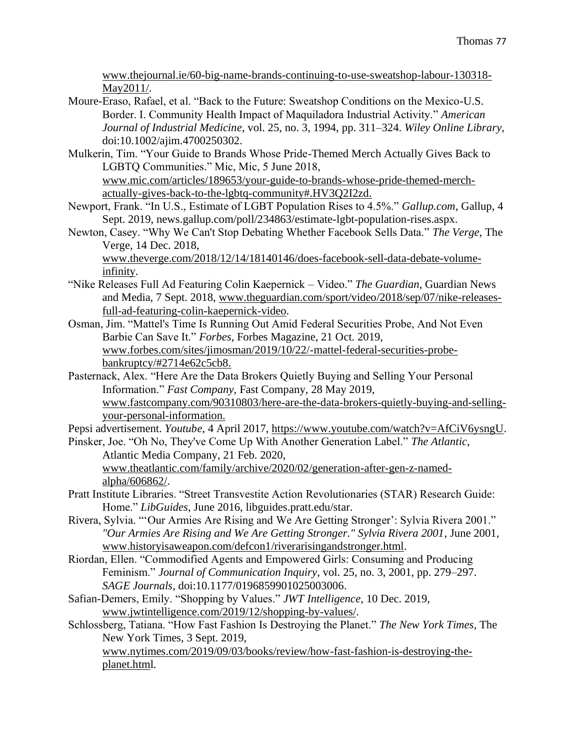[www.thejournal.ie/60-big-name-brands-continuing-to-use-sweatshop-labour-130318-](http://www.thejournal.ie/60-big-name-brands-continuing-to-use-sweatshop-labour-130318-May2011/) [May2011/.](http://www.thejournal.ie/60-big-name-brands-continuing-to-use-sweatshop-labour-130318-May2011/)

- Moure-Eraso, Rafael, et al. "Back to the Future: Sweatshop Conditions on the Mexico-U.S. Border. I. Community Health Impact of Maquiladora Industrial Activity." *American Journal of Industrial Medicine*, vol. 25, no. 3, 1994, pp. 311–324. *Wiley Online Library*, doi:10.1002/ajim.4700250302.
- Mulkerin, Tim. "Your Guide to Brands Whose Pride-Themed Merch Actually Gives Back to LGBTQ Communities." Mic, Mic, 5 June 2018, www.mic.com/articles/189653/your-guide-to-brands-whose-pride-themed-merchactually-gives-back-to-the-lgbtq-community#.HV3Q2I2zd.
- Newport, Frank. "In U.S., Estimate of LGBT Population Rises to 4.5%." *Gallup.com*, Gallup, 4 Sept. 2019, news.gallup.com/poll/234863/estimate-lgbt-population-rises.aspx.
- Newton, Casey. "Why We Can't Stop Debating Whether Facebook Sells Data." *The Verge*, The Verge, 14 Dec. 2018,

www.theverge.com/2018/12/14/18140146/does-facebook-sell-data-debate-volumeinfinity.

- "Nike Releases Full Ad Featuring Colin Kaepernick Video." *The Guardian*, Guardian News and Media, 7 Sept. 2018, [www.theguardian.com/sport/video/2018/sep/07/nike-releases](http://www.theguardian.com/sport/video/2018/sep/07/nike-releases-full-ad-featuring-colin-kaepernick-video)[full-ad-featuring-colin-kaepernick-video.](http://www.theguardian.com/sport/video/2018/sep/07/nike-releases-full-ad-featuring-colin-kaepernick-video)
- Osman, Jim. "Mattel's Time Is Running Out Amid Federal Securities Probe, And Not Even Barbie Can Save It." *Forbes*, Forbes Magazine, 21 Oct. 2019, [www.forbes.com/sites/jimosman/2019/10/22/-mattel-federal-securities-probe](http://www.forbes.com/sites/jimosman/2019/10/22/-mattel-federal-securities-probe-bankruptcy/#2)[bankruptcy/#27](http://www.forbes.com/sites/jimosman/2019/10/22/-mattel-federal-securities-probe-bankruptcy/#2)14e62c5cb8.
- Pasternack, Alex. "Here Are the Data Brokers Quietly Buying and Selling Your Personal Information." *Fast Company*, Fast Company, 28 May 2019, [www.fastcompany.com/90310803/here-are-the-data-brokers-quietly-buying-and-selling](http://www.fastcompany.com/90310803/here-are-the-data-brokers-quietly-buying-and-selling-yo)[you](http://www.fastcompany.com/90310803/here-are-the-data-brokers-quietly-buying-and-selling-yo)r-personal-information.

Pepsi advertisement. *Youtube*, 4 April 2017, [https://www.youtube.com/watch?v=AfCiV6ysngU.](https://www.youtube.com/watch?v=AfCiV6ysngU)

- Pinsker, Joe. "Oh No, They've Come Up With Another Generation Label." *The Atlantic*, Atlantic Media Company, 21 Feb. 2020, www.theatlantic.com/family/archive/2020/02/generation-after-gen-z-namedalpha/606862/.
- Pratt Institute Libraries. "Street Transvestite Action Revolutionaries (STAR) Research Guide: Home." *LibGuides*, June 2016, libguides.pratt.edu/star.
- Rivera, Sylvia. "'Our Armies Are Rising and We Are Getting Stronger': Sylvia Rivera 2001." *"Our Armies Are Rising and We Are Getting Stronger." Sylvia Rivera 2001*, June 2001, [www.historyisaweapon.com/defcon1/riverarisingandstronger.html.](http://www.historyisaweapon.com/defcon1/riverarisingandstronger.html)
- Riordan, Ellen. "Commodified Agents and Empowered Girls: Consuming and Producing Feminism." *Journal of Communication Inquiry*, vol. 25, no. 3, 2001, pp. 279–297. *SAGE Journals*, doi:10.1177/0196859901025003006.
- Safian-Demers, Emily. "Shopping by Values." *JWT Intelligence*, 10 Dec. 2019, [www.jwtintelligence.com/2019/12/shopping-by-values/.](http://www.jwtintelligence.com/2019/12/shopping-by-values/)
- Schlossberg, Tatiana. "How Fast Fashion Is Destroying the Planet." *The New York Times*, The New York Times, 3 Sept. 2019,

[www.nytimes.com/2019/09/03/books/review/how-fast-fashion-is-destroying-the](http://www.nytimes.com/2019/09/03/books/review/how-fast-fashion-is-destroying-the-planet.htm)[planet.html](http://www.nytimes.com/2019/09/03/books/review/how-fast-fashion-is-destroying-the-planet.htm).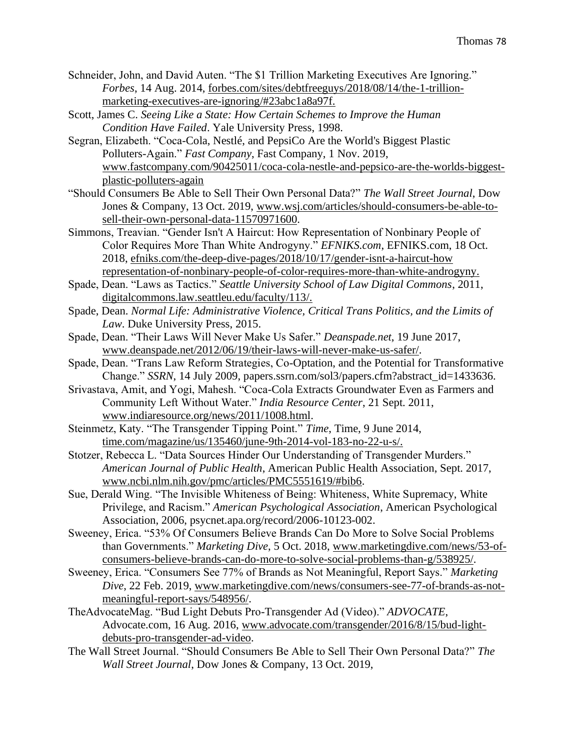- Schneider, John, and David Auten. "The \$1 Trillion Marketing Executives Are Ignoring." *Forbes*, 14 Aug. 2014, forbes.com/sites/debtfreeguys/2018/08/14/the-1-trillionmarketing-executives-are-ignoring/#23abc1a8a97f.
- Scott, James C. *Seeing Like a State: How Certain Schemes to Improve the Human Condition Have Failed*. Yale University Press, 1998.
- Segran, Elizabeth. "Coca-Cola, Nestlé, and PepsiCo Are the World's Biggest Plastic Polluters-Again." *Fast Company*, Fast Company, 1 Nov. 2019, [www.fastcompany.com/90425011/coca-cola-nestle-and-pepsico-are-the-worlds-biggest](http://www.fastcompany.com/90425011/coca-cola-nestle-and-pepsico-are-the-worlds-biggest-plastic-polluters-again?utm_campaign=eem524:524:s00:20191101_fc&utm_medium=Compass&utm_source=newsletter)[plastic-polluters-again](http://www.fastcompany.com/90425011/coca-cola-nestle-and-pepsico-are-the-worlds-biggest-plastic-polluters-again?utm_campaign=eem524:524:s00:20191101_fc&utm_medium=Compass&utm_source=newsletter)
- "Should Consumers Be Able to Sell Their Own Personal Data?" *The Wall Street Journal*, Dow Jones & Company, 13 Oct. 2019, [www.wsj.com/articles/should-consumers-be-able-to](http://www.wsj.com/articles/should-consumers-be-able-to-sell-their-own-personal-data-11570971600)[sell-their-own-personal-data-11570971600.](http://www.wsj.com/articles/should-consumers-be-able-to-sell-their-own-personal-data-11570971600)
- Simmons, Treavian. "Gender Isn't A Haircut: How Representation of Nonbinary People of Color Requires More Than White Androgyny." *EFNIKS.com*, EFNIKS.com, 18 Oct. 2018, efniks.com/the-deep-dive-pages/2018/10/17/gender-isnt-a-haircut-how representation-of-nonbinary-people-of-color-requires-more-than-white-androgyny.
- Spade, Dean. "Laws as Tactics." *Seattle University School of Law Digital Commons*, 2011, digitalcommons.law.seattleu.edu/faculty/113/.
- Spade, Dean. *Normal Life: Administrative Violence, Critical Trans Politics, and the Limits of Law*. Duke University Press, 2015.
- Spade, Dean. "Their Laws Will Never Make Us Safer." *Deanspade.net*, 19 June 2017, www.deanspade.net/2012/06/19/their-laws-will-never-make-us-safer/.
- Spade, Dean. "Trans Law Reform Strategies, Co-Optation, and the Potential for Transformative Change." *SSRN*, 14 July 2009, papers.ssrn.com/sol3/papers.cfm?abstract\_id=1433636.
- Srivastava, Amit, and Yogi, Mahesh. "Coca-Cola Extracts Groundwater Even as Farmers and Community Left Without Water." *India Resource Center*, 21 Sept. 2011, [www.indiaresource.org/news/2011/1008.html.](http://www.indiaresource.org/news/2011/1008.html)
- Steinmetz, Katy. "The Transgender Tipping Point." *Time*, Time, 9 June 2014, time.com/magazine/us/135460/june-9th-2014-vol-183-no-22-u-s/.
- Stotzer, Rebecca L. "Data Sources Hinder Our Understanding of Transgender Murders." *American Journal of Public Health*, American Public Health Association, Sept. 2017, [www.ncbi.nlm.nih.gov/pmc/articles/PMC5551619/#bib6.](http://www.ncbi.nlm.nih.gov/pmc/articles/PMC5551619/#bib6)
- Sue, Derald Wing. "The Invisible Whiteness of Being: Whiteness, White Supremacy, White Privilege, and Racism." *American Psychological Association*, American Psychological Association, 2006, psycnet.apa.org/record/2006-10123-002.
- Sweeney, Erica. "53% Of Consumers Believe Brands Can Do More to Solve Social Problems than Governments." *Marketing Dive*, 5 Oct. 2018, [www.marketingdive.com/news/53-of](http://www.marketingdive.com/news/53-of-consumers-believe-brands-can-do-more-to-solve-social-problems-than-g/538925/)[consumers-believe-brands-can-do-more-to-solve-social-problems-than-g/538925/.](http://www.marketingdive.com/news/53-of-consumers-believe-brands-can-do-more-to-solve-social-problems-than-g/538925/)
- Sweeney, Erica. "Consumers See 77% of Brands as Not Meaningful, Report Says." *Marketing Dive*, 22 Feb. 2019, [www.marketingdive.com/news/consumers-see-77-of-brands-as-not](http://www.marketingdive.com/news/consumers-see-77-of-brands-as-not-meaningful-report-says/548956/)[meaningful-report-says/548956/.](http://www.marketingdive.com/news/consumers-see-77-of-brands-as-not-meaningful-report-says/548956/)
- TheAdvocateMag. "Bud Light Debuts Pro-Transgender Ad (Video)." *ADVOCATE*, Advocate.com, 16 Aug. 2016, [www.advocate.com/transgender/2016/8/15/bud-light](http://www.advocate.com/transgender/2016/8/15/bud-light-debuts-pro-transgender-ad-video)[debuts-pro-transgender-ad-video.](http://www.advocate.com/transgender/2016/8/15/bud-light-debuts-pro-transgender-ad-video)
- The Wall Street Journal. "Should Consumers Be Able to Sell Their Own Personal Data?" *The Wall Street Journal*, Dow Jones & Company, 13 Oct. 2019,